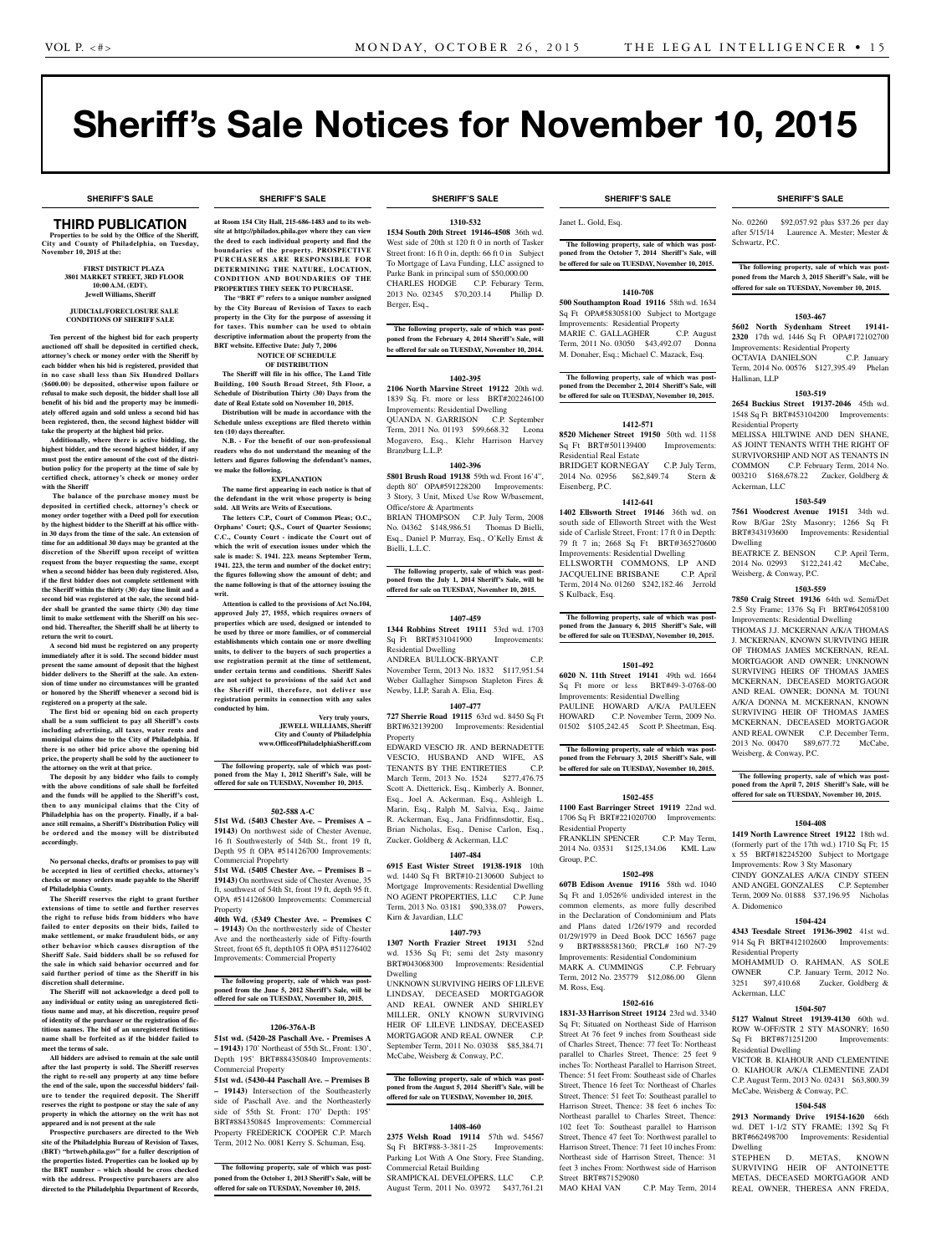# Sheriff's Sale Notices for November 10, 2015

**SHERIFF'S SALE SHERIFF'S SALE SHERIFF'S SALE SHERIFF'S SALE SHERIFF'S SALE**

## **THIRD PUBLICATION**

**Properties to be sold by the Office of the Sheriff, City and County of Philadelphia, on Tuesday, November 10, 2015 at the:** 

## **First District Plaza 3801 Market Street, 3rd Floor 10:00 A.M. (EDT). Jewell Williams, Sheriff**

#### **JUDICIAL/FORECLOSURE SALE CONDITIONS OF SHERIFF SALE**

**Ten percent of the highest bid for each property auctioned off shall be deposited in certified check, attorney's check or money order with the Sheriff by each bidder when his bid is registered, provided that in no case shall less than Six Hundred Dollars (\$600.00) be deposited, otherwise upon failure or refusal to make such deposit, the bidder shall lose all benefit of his bid and the property may be immediately offered again and sold unless a second bid has been registered, then, the second highest bidder will take the property at the highest bid price.**

**Additionally, where there is active bidding, the highest bidder, and the second highest bidder, if any must post the entire amount of the cost of the distribution policy for the property at the time of sale by certified check, attorney's check or money order with the Sheriff**

 **The balance of the purchase money must be deposited in certified check, attorney's check or money order together with a Deed poll for execution by the highest bidder to the Sheriff at his office within 30 days from the time of the sale. An extension of time for an additional 30 days may be granted at the discretion of the Sheriff upon receipt of written request from the buyer requesting the same, except when a second bidder has been duly registered. Also, if the first bidder does not complete settlement with the Sheriff within the thirty (30) day time limit and a second bid was registered at the sale, the second bidder shall be granted the same thirty (30) day time limit to make settlement with the Sheriff on his second bid. Thereafter, the Sheriff shall be at liberty to return the writ to court.**

**A second bid must be registered on any property immediately after it is sold. The second bidder must present the same amount of deposit that the highest bidder delivers to the Sheriff at the sale. An extension of time under no circumstances will be granted or honored by the Sheriff whenever a second bid is registered on a property at the sale.** 

**The first bid or opening bid on each property shall be a sum sufficient to pay all Sheriff's costs including advertising, all taxes, water rents and municipal claims due to the City of Philadelphia. If there is no other bid price above the opening bid price, the property shall be sold by the auctioneer to the attorney on the writ at that price.**

**The deposit by any bidder who fails to comply with the above conditions of sale shall be forfeited and the funds will be applied to the Sheriff's cost, then to any municipal claims that the City of Philadelphia has on the property. Finally, if a balance still remains, a Sheriff's Distribution Policy will be ordered and the money will be distributed accordingly.**

**No personal checks, drafts or promises to pay will be accepted in lieu of certified checks, attorney's checks or money orders made payable to the Sheriff of Philadelphia County.**

**The Sheriff reserves the right to grant further extensions of time to settle and further reserves the right to refuse bids from bidders who have failed to enter deposits on their bids, failed to make settlement, or make fraudulent bids, or any other behavior which causes disruption of the Sheriff Sale. Said bidders shall be so refused for the sale in which said behavior occurred and for said further period of time as the Sheriff in his discretion shall determine.**

**The Sheriff will not acknowledge a deed poll to any individual or entity using an unregistered fictitious name and may, at his discretion, require proof of identity of the purchaser or the registration of fictitious names. The bid of an unregistered fictitious name shall be forfeited as if the bidder failed to meet the terms of sale.**

**All bidders are advised to remain at the sale until after the last property is sold. The Sheriff reserves the right to re-sell any property at any time before the end of the sale, upon the successful bidders' failure to tender the required deposit. The Sheriff reserves the right to postpone or stay the sale of any property in which the attorney on the writ has not appeared and is not present at the sale**

**Prospective purchasers are directed to the Web site of the Philadelphia Bureau of Revision of Taxes, (BRT) "brtweb.phila.gov" for a fuller description of the properties listed. Properties can be looked up by the BRT number – which should be cross checked with the address. Prospective purchasers are also directed to the Philadelphia Department of Records,**  **at Room 154 City Hall, 215-686-1483 and to its website at http://philadox.phila.gov where they can view the deed to each individual property and find the boundaries of the property. PROSPECTIVE PURCHASERS ARE RESPONSIBLE FOR DETERMINING THE NATURE, LOCATION, CONDITION AND BOUNDARIES OF THE PROPERTIES THEY SEEK TO PURCHASE.**

 **The "BRT #" refers to a unique number assigned by the City Bureau of Revision of Taxes to each property in the City for the purpose of assessing it for taxes. This number can be used to obtain descriptive information about the property from the BRT website. Effective Date: July 7, 2006 NOTICE OF SCHEDULE**

## **OF DISTRIBUTION**

**The Sheriff will file in his office, The Land Title Building, 100 South Broad Street, 5th Floor, a Schedule of Distribution Thirty (30) Days from the date of Real Estate sold on November 10, 2015.**

**Distribution will be made in accordance with the Schedule unless exceptions are filed thereto within ten (10) days thereafter.**

**N.B. - For the benefit of our non-professional readers who do not understand the meaning of the letters and figures following the defendant's names, we make the following.**

### **EXPLANATION**

**The name first appearing in each notice is that of the defendant in the writ whose property is being sold. All Writs are Writs of Executions.**

**The letters C.P., Court of Common Pleas; O.C., Orphans' Court; Q.S., Court of Quarter Sessions; C.C., County Court - indicate the Court out of which the writ of execution issues under which the sale is made: S. 1941. 223. means September Term, 1941. 223, the term and number of the docket entry; the figures following show the amount of debt; and the name following is that of the attorney issuing the writ.**

**Attention is called to the provisions of Act No.104, approved July 27, 1955, which requires owners of properties which are used, designed or intended to be used by three or more families, or of commercial establishments which contain one or more dwelling units, to deliver to the buyers of such properties a use registration permit at the time of settlement, under certain terms and conditions. Sheriff Sales are not subject to provisions of the said Act and the Sheriff will, therefore, not deliver use registration permits in connection with any sales conducted by him.**

## **Very truly yours, JEWELL WILLIAMS, Sheriff City and County of Philadelphia www.OfficeofPhiladelphiaSheriff.com**

**The following property, sale of which was postponed from the May 1, 2012 Sheriff's Sale, will be offered for sale on TUESDAY, November 10, 2015.**

## **502-588 A-C**

**51st Wd. (5403 Chester Ave. – Premises A – 19143)** On northwest side of Chester Avenue, 16 ft Southwesterly of 54th St., front 19 ft, Depth 95 ft OPA #514126700 Improvements: Commercial Propehrty

**51st Wd. (5405 Chester Ave. – Premises B – 19143)** On northwest side of Chester Avenue, 35 ft, southwest of 54th St, front 19 ft, depth 95 ft. OPA #514126800 Improvements: Commercial Property

**40th Wd. (5349 Chester Ave. – Premises C – 19143)** On the northwesterly side of Chester Ave and the northeasterly side of Fifty-fourth Street, front 65 ft, depth105 ft OPA #511276402 Improvements: Commercial Property

**The following property, sale of which was postponed from the June 5, 2012 Sheriff's Sale, will be offered for sale on TUESDAY, November 10, 2015.**

### **1206-376A-B**

**51st wd. (5420-28 Paschall Ave. - Premises A – 19143)** 170' Northeast of 55th St., Front: 130', Depth 195' BRT#884350840 Improvements: Commercial Property

**51st wd. (5430-44 Paschall Ave. – Premises B – 19143)** Intersection of the Southeasterly side of Paschall Ave. and the Northeasterly side of 55th St. Front: 170' Depth: 195' BRT#884350845 Improvements: Commercial Property FREDERICK COOPER C.P. March Term, 2012 No. 0081 Kerry S. Schuman, Esq.

**The following property, sale of which was postponed from the October 1, 2013 Sheriff's Sale, will be offered for sale on TUESDAY, November 10, 2015.**

**1310-532**

**1534 South 20th Street 19146-4508** 36th wd. West side of 20th st 120 ft 0 in north of Tasker Street front: 16 ft 0 in, depth: 66 ft 0 in Subject To Mortgage of Lava Funding, LLC assigned to Parke Bank in principal sum of \$50,000.00 CHARLES HODGE C.P. Feburary Term, 2013 No. 02345 \$70,203.14 Phillip D. Berger, Esq.,

**The following property, sale of which was postponed from the February 4, 2014 Sheriff's Sale, will be offered for sale on TUESDAY, November 10, 2014.**

## **1402-395**

**2106 North Marvine Street 19122** 20th wd. 1839 Sq. Ft. more or less BRT#202246100 Improvements: Residential Dwelling QUANDA N. GARRISON C.P. September Term, 2011 No. 01193 \$99,668.32 Leona Mogavero, Esq., Klehr Harrison Harvey Branzburg L.L.P.

## **1402-396**

**5801 Brush Road 19138** 59th wd. Front 16'4", depth 80' OPA#591228200 Improvements: 3 Story, 3 Unit, Mixed Use Row W/basement, Office/store & Apartments

BRIAN THOMPSON C.P. July Term, 2008 No. 04362 \$148,986.51 Thomas D Bielli, Esq., Daniel P. Murray, Esq., O'Kelly Ernst & Bielli, L.L.C.

## **The following property, sale of which was post-poned from the July 1, 2014 Sheriff's Sale, will be offered for sale on TUESDAY, November 10, 2015.**

### **1407-459**

**1344 Robbins Street 19111** 53rd wd. 1703 Sq Ft BRT#531041900 Improvements: Residential Dwelling ANDREA BULLOCK-BRYANT C.P. November Term, 2013 No. 1832 \$117,951.54 Weber Gallagher Simpson Stapleton Fires & Newby, LLP, Sarah A. Elia, Esq.

### **1407-477**

**727 Sherrie Road 19115** 63rd wd. 8450 Sq Ft BRT#632139200 Improvements: Residential Property

EDWARD VESCIO JR. AND BERNADETTE VESCIO, HUSBAND AND WIFE, AS TENANTS BY THE ENTIRETIES C.P. March Term, 2013 No. 1524 \$277,476.75 Scott A. Dietterick, Esq., Kimberly A. Bonner, Esq., Joel A. Ackerman, Esq., Ashleigh L. Marin, Esq., Ralph M. Salvia, Esq., Jaime R. Ackerman, Esq., Jana Fridfinnsdottir, Esq., Brian Nicholas, Esq., Denise Carlon, Esq., Zucker, Goldberg & Ackerman, LLC

## **1407-484**

**6915 East Wister Street 19138-1918** 10th wd. 1440 Sq Ft BRT#10-2130600 Subject to Mortgage Improvements: Residential Dwelling NO AGENT PROPERTIES, LLC C.P. June Term, 2013 No. 03181 \$90,338.07 Powers, Kirn & Javardian, LLC

## **1407-793**

**1307 North Frazier Street 19131** 52nd wd. 1536 Sq Ft; semi det 2sty masonry BRT#043068300 Improvements: Residential Dwelling

UNKNOWN SURVIVING HEIRS OF LILEVE LINDSAY, DECEASED MORTGAGOR AND REAL OWNER AND SHIRLEY MILLER, ONLY KNOWN SURVIVING HEIR OF LILEVE LINDSAY, DECEASED MORTGAGOR AND REAL OWNER C.P. September Term, 2011 No. 03038 \$85,384.71 McCabe, Weisberg & Conway, P.C.

## **The following property, sale of which was post-poned from the August 5, 2014 Sheriff's Sale, will be offered for sale on TUESDAY, November 10, 2015.**

### **1408-460**

**2375 Welsh Road 19114** 57th wd. 54567 Sq Ft BRT#88-3-3811-25 Improvements: Parking Lot With A One Story, Free Standing, Commercial Retail Building SRAMPICKAL DEVELOPERS, LLC C.P.

August Term, 2011 No. 03972 \$437,761.21

## **SHERIFF'S SALE SHERIFF'S SALE SHERIFF'S SALE SHERIFF'S SALE SHERIFF'S SALE**

Janet L. Gold, Esq.

**The following property, sale of which was postponed from the October 7, 2014 Sheriff's Sale, will be offered for sale on TUESDAY, November 10, 2015.**

## **1410-708**

**500 Southampton Road 19116** 58th wd. 1634 Sq Ft OPA#583058100 Subject to Mortgage Improvements: Residential Property MARIE C. GALLAGHER C.P. August Term, 2011 No. 03050 \$43,492.07 Donna M. Donaher, Esq.; Michael C. Mazack, Esq.

**The following property, sale of which was postponed from the December 2, 2014 Sheriff's Sale, will be offered for sale on TUESDAY, November 10, 2015.**

## **1412-571**

**8520 Michener Street 19150** 50th wd. 1158 Sq Ft BRT#501139400 Improvements: Residential Real Estate BRIDGET KORNEGAY C.P. July Term, 2014 No. 02956 \$62,849.74 Stern & Eisenberg, P.C.

## **1412-641**

**1402 Ellsworth Street 19146** 36th wd. on south side of Ellsworth Street with the West side of Carlisle Street, Front: 17 ft 0 in Depth: 79 ft 7 in; 2668 Sq Ft BRT#365270600 Improvements: Residential Dwelling ELLSWORTH COMMONS, LP AND<br>JACQUELINE BRISBANE C.P. April JACQUELINE BRISBANE Term, 2014 No. 01260 \$242,182.46 Jerrold S Kulback, Esq.

**The following property, sale of which was post-poned from the January 6, 2015 Sheriff's Sale, will be offered for sale on TUESDAY, November 10, 2015.**

## **1501-492**

**6020 N. 11th Street 19141** 49th wd. 1664 Sq Ft more or less BRT#49-3-0768-00 Improvements: Residential Dwelling PAULINE HOWARD A/K/A PAULEEN HOWARD C.P. November Term, 2009 No. 01502 \$105,242.45 Scott P. Sheetman, Esq.

**The following property, sale of which was postponed from the February 3, 2015 Sheriff's Sale, will be offered for sale on TUESDAY, November 10, 2015.**

## **1502-455**

**1100 East Barringer Street 19119** 22nd wd. 1706 Sq Ft BRT#221020700 Improvements: Residential Property FRANKLIN SPENCER C.P. May Term,

2014 No. 03531 \$125,134.06 KML Law Group, P.C.

## **1502-498**

**607B Edison Avenue 19116** 58th wd. 1040 Sq Ft and 1.0526% undivided interest in the common elements, as more fully described in the Declaration of Condominium and Plats and Plans dated 1/26/1979 and recorded 01/29/1979 in Deed Book DCC 16567 page 9 BRT#888581360; PRCL# 160 N7-29 Improvements: Residential Condominium

MARK A. CUMMINGS C.P. February Term, 2012 No. 235779 \$12,086.00 Glenn M. Ross, Esq.

## **1502-616**

**1831-33 Harrison Street 19124** 23rd wd. 3340 Sq Ft; Situated on Northeast Side of Harrison Street At 76 feet 9 inches from Southeast side of Charles Street, Thence: 77 feet To: No parallel to Charles Street, Thence: 25 feet 9 inches To: Northeast Parallel to Harrison Street, Thence: 51 feet From: Southeast side of Charles Street, Thence 16 feet To: Northeast of Charles Street, Thence: 51 feet To: Southeast parallel to Harrison Street, Thence: 38 feet 6 inches To: Northeast parallel to Charles Street, Thence: 102 feet To: Southeast parallel to Harrison Street, Thence 47 feet To: Northwest parallel to Harrison Street, Thence: 71 feet 10 inches From: Northeast side of Harrison Street, Thence: 31 feet 3 inches From: Northwest side of Harrison Street BRT#871529080<br>MAO KHAI VAN C.P. May Term, 2014

No. 02260 \$92,057.92 plus \$37.26 per day after 5/15/14 Laurence A. Mester; Mester & Schwartz, P.C.

**The following property, sale of which was postponed from the March 3, 2015 Sheriff's Sale, will be offered for sale on TUESDAY, November 10, 2015.**

#### **1503-467**

**5602 North Sydenham Street 19141- 2320** 17th wd. 1446 Sq Ft OPA#172102700 Improvements: Residential Property<br>
OCTAVIA DANIELSON C.P. January OCTAVIA DANIELSON

Term, 2014 No. 00576 \$127,395.49 Phelan Hallinan, LLP

## **1503-519**

**2654 Buckius Street 19137-2046** 45th wd. 1548 Sq Ft BRT#453104200 Improvements: Residential Property

MELISSA HILTWINE AND DEN SHANE, AS JOINT TENANTS WITH THE RIGHT OF SURVIVORSHIP AND NOT AS TENANTS IN COMMON C.P. February Term, 2014 No. 003210 \$168,678.22 Zucker, Goldberg & Ackerman, LLC

#### **1503-549**

**7561 Woodcrest Avenue 19151** 34th wd. Row B/Gar 2Sty Masonry; 1266 Sq Ft BRT#343193600 Improvements: Residential Dwelling

BEATRICE Z. BENSON C.P. April Term, 2014 No. 02993 \$122,241.42 McCabe, Weisberg, & Conway, P.C.

2.5 Sty Frame; 1376 Sq Ft BRT#642058100 Improvements: Residential Dwelling THOMAS J.J. MCKERNAN A/K/A THOMAS J. MCKERNAN, KNOWN SURVIVING HEIR OF THOMAS JAMES MCKERNAN, REAL MORTGAGOR AND OWNER; UNKNOWN SURVIVING HEIRS OF THOMAS JAMES MCKERNAN, DECEASED MORTGAGOR AND REAL OWNER; DONNA M. TOUNI A/K/A DONNA M. MCKERNAN, KNOWN SURVIVING HEIR OF THOMAS JAMES MCKERNAN, DECEASED MORTGAGOR AND REAL OWNER C.P. December Term, 2013 No. 00470 \$89,677.72 McCabe,

**The following property, sale of which was postponed from the April 7, 2015 Sheriff's Sale, will be offered for sale on TUESDAY, November 10, 2015.**

**1504-408 1419 North Lawrence Street 19122** 18th wd. (formerly part of the 17th wd.) 1710 Sq Ft; 15 x 55 BRT#182245200 Subject to Mortgage Improvements: Row 3 Sty Masonary CINDY GONZALES A/K/A CINDY STEEN AND ANGEL GONZALES C.P. September Term, 2009 No. 01888 \$37,196.95 Nicholas

**1504-424 4343 Teesdale Street 19136-3902** 41st wd. 914 Sq Ft BRT#412102600 Improvements:

MOHAMMUD O. RAHMAN, AS SOLE OWNER C.P. January Term, 2012 No. 3251 \$97,410.68 Zucker, Goldberg &

**1504-507 5127 Walnut Street 19139-4130** 60th wd. ROW W-OFF/STR 2 STY MASONRY: 1650 Sq Ft BRT#871251200 Improvements:

VICTOR B. KIAHOUR AND CLEMENTINE O. KIAHOUR A/K/A CLEMENTINE ZADI C.P. August Term, 2013 No. 02431 \$63,800.39 McCabe, Weisberg & Conway, P.C.

**1504-548 2913 Normandy Drive 19154-1620** 66th wd. DET 1-1/2 STY FRAME; 1392 Sq Ft BRT#662498700 Improvements: Residential

STEPHEN D. METAS, KNOWN SURVIVING HEIR OF ANTOINETTE METAS, DECEASED MORTGAGOR AND REAL OWNER, THERESA ANN FREDA,

## **1503-559 7850 Craig Street 19136** 64th wd. Semi/Det

Weisberg, & Conway, P.C.

A. Didomenico

Residential Property

Ackerman, LLC

Residential Dwelling

Dwelling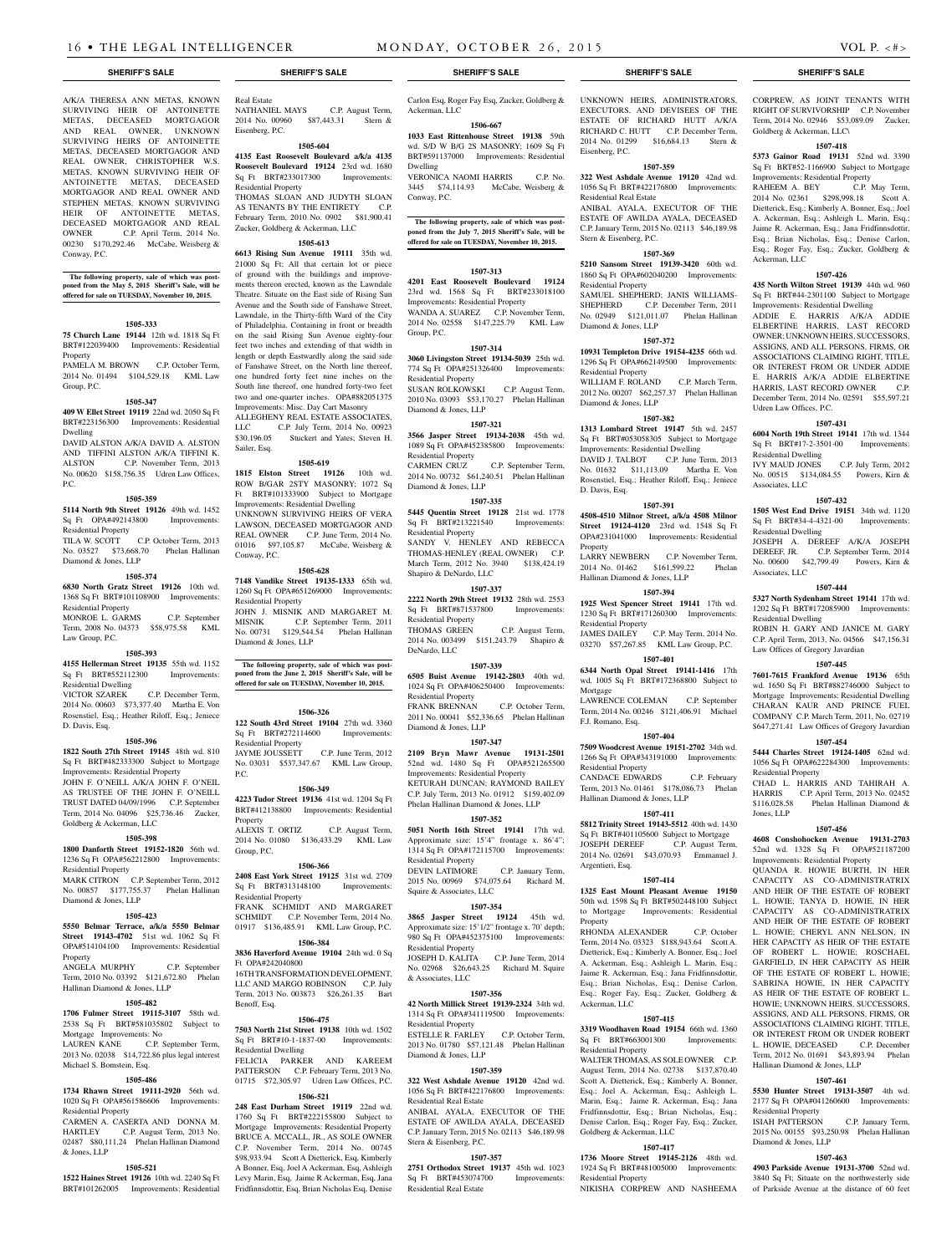REAL OWNER, CHRISTOPHER W.S. METAS, KNOWN SURVIVING HEIR OF ANTOINETTE METAS, DECEASED MORTGAGOR AND REAL OWNER AND STEPHEN METAS, KNOWN SURVIVING HEIR OF ANTOINETTE METAS, DECEASED MORTGAGOR AND REAL OWNER C.P. April Term, 2014 No. 00230 \$170,292.46 McCabe, Weisberg &

**The following property, sale of which was post-poned from the May 5, 2015 Sheriff's Sale, will be offered for sale on TUESDAY, November 10, 2015.**

**1505-333 75 Church Lane 19144** 12th wd. 1818 Sq Ft BRT#122039400 Improvements: Residential

PAMELA M. BROWN C.P. October Term, 2014 No. 01494 \$104,529.18 KML Law

**1505-347 409 W Ellet Street 19119** 22nd wd. 2050 Sq Ft BRT#223156300 Improvements: Residential

DAVID ALSTON A/K/A DAVID A. ALSTON AND TIFFINI ALSTON A/K/A TIFFINI K. ALSTON C.P. November Term, 2013 No. 00620 \$158,756.35 Udren Law Offices,

**1505-359 5114 North 9th Street 19126** 49th wd. 1452 Sq Ft OPA#492143800 Improvements:

TILA W. SCOTT C.P. October Term, 2013 No. 03527 \$73,668.70 Phelan Hallinan

**1505-374 6830 North Gratz Street 19126** 10th wd. 1368 Sq Ft BRT#101108900 Improvements:

MONROE L. GARMS C.P. September Term, 2008 No. 04373 \$58,975.58 KML

**1505-393 4155 Hellerman Street 19135** 55th wd. 1152 Sq Ft BRT#552112300 Improvements:

2014 No. 00603 \$73,377.40 Martha E. Von Rosenstiel, Esq.; Heather Riloff, Esq.; Jeniece

**1505-396 1822 South 27th Street 19145** 48th wd. 810 Sq Ft BRT#482333300 Subject to Mortgage Improvements: Residential Property JOHN F. O'NEILL A/K/A JOHN F. O'NEIL AS TRUSTEE OF THE JOHN F. O'NEILL TRUST DATED 04/09/1996 C.P. September Term, 2014 No. 04096 \$25,736.46 Zucker,

**1505-398 1800 Danforth Street 19152-1820** 56th wd. 1236 Sq Ft OPA#562212800 Improvements:

MARK CITRON C.P. September Term, 2012 No. 00857 \$177,755.37 Phelan Hallinan

**1505-423 5550 Belmar Terrace, a/k/a 5550 Belmar Street 19143-4702** 51st wd. 1062 Sq Ft OPA#514104100 Improvements: Residential

Term, 2010 No. 03392 \$121,672.80 Phelan

**1505-482 1706 Fulmer Street 19115-3107** 58th wd. 2538 Sq Ft BRT#581035802 Subject to

LAUREN KANE C.P. September Term, 2013 No. 02038 \$14,722.86 plus legal interest

**1505-486 1734 Rhawn Street 19111-2920** 56th wd. 1020 Sq Ft OPA#561586606 Improvements:

CARMEN A. CASERTA AND DONNA M. HARTLEY C.P. August Term, 2013 No. 02487 \$80,111.24 Phelan Hallinan Diamond

**1505-521 1522 Haines Street 19126** 10th wd. 2240 Sq Ft BRT#101262005 Improvements: Residential

C.P. September

C.P. December Term,

Conway, P.C.

Property

Group, P.C.

Dwelling

P.C.

Residential Property

Diamond & Jones, LLP

Residential Property

Law Group, P.C.

Residential Dwelling<br>VICTOR SZAREK

Goldberg & Ackerman, LLC

Residential Property

Diamond & Jones, LLP

Property<br>ANGELA MURPHY

Hallinan Diamond & Jones, LLP

Mortgage Improvements: No

Michael S. Bomstein, Esq.

Residential Property

& Jones, LLP

D. Davis, Esq.

A/K/A THERESA ANN METAS, KNOWN SURVIVING HEIR OF ANTOINETTE METAS, DECEASED MORTGAGOR AND REAL OWNER, UNKNOWN SURVIVING HEIRS OF ANTOINETTE METAS, DECEASED MORTGAGOR AND Real Estate NATHANIEL MAYS C.P. August Term, 2014 No. 00960 \$87,443.31 Stern & Eisenberg, P.C. **1505-604**

**4135 East Roosevelt Boulevard a/k/a 4135 Roosevelt Boulevard 19124** 23rd wd. 1680 Sq Ft BRT#233017300 Improvements: Residential Property THOMAS SLOAN AND JUDYTH SLOAN

AS TENANTS BY THE ENTIRETY C.P. February Term, 2010 No. 0902 \$81,900.41 Zucker, Goldberg & Ackerman, LLC

## **1505-613**

**6613 Rising Sun Avenue 19111** 35th wd. 21000 Sq Ft; All that certain lot or piece of ground with the buildings and improvements thereon erected, known as the Lawndale Theatre. Situate on the East side of Rising Sun Avenue and the South side of Fanshawe Street, Lawndale, in the Thirty-fifth Ward of the City of Philadelphia. Containing in front or breadth on the said Rising Sun Avenue eighty-four feet two inches and extending of that width in length or depth Eastwardly along the said side of Fanshawe Street, on the North line thereof, one hundred forty feet nine inches on the South line thereof, one hundred forty-two feet two and one-quarter inches. OPA#882051375

Improvements: Misc. Day Cart Masonry ALLEGHENY REAL ESTATE ASSOCIATES, LLC C.P. July Term, 2014 No. 00923 \$30,196.05 Stuckert and Yates; Steven H. Sailer, Esq.

## **1505-619**

**1815 Elston Street 19126** 10th wd. ROW B/GAR 2STY MASONRY; 1072 Sq Ft BRT#101333900 Subject to Mortgage Improvements: Residential Dwelling UNKNOWN SURVIVING HEIRS OF VERA LAWSON, DECEASED MORTGAGOR AND REAL OWNER C.P. June Term, 2014 No. 01016 \$97,105.87 McCabe, Weisberg & Conway, P.C.

### **1505-628**

**7148 Vandike Street 19135-1333** 65th wd. 1260 Sq Ft OPA#651269000 Improvements: Residential Property JOHN J. MISNIK AND MARGARET M.

MISNIK C.P. September Term, 2011 No. 00731 \$129,544.54 Phelan Hallinan

**The following property, sale of which was postponed from the June 2, 2015 Sheriff's Sale, will be offered for sale on TUESDAY, November 10, 2015.**

## **1506-326**

Diamond & Jones, LLP

**122 South 43rd Street 19104** 27th wd. 3360 Sq Ft BRT#272114600 Improvements: Residential Property JAYME JOUSSETT C.P. June Term, 2012 No. 03031 \$537,347.67 KML Law Group, P.C.

## **1506-349**

**4223 Tudor Street 19136** 41st wd. 1204 Sq Ft BRT#412138800 Improvements: Residential Property ALEXIS T. ORTIZ C.P. August Term, 2014 No. 01080 \$136,433.29 KML Law

## **1506-366**

Group, P.C.

**2408 East York Street 19125** 31st wd. 2709 Sq Ft BRT#313148100 Improvements: Residential Property FRANK SCHMIDT AND MARGARET SCHMIDT C.P. November Term, 2014 No. 01917 \$136,485.91 KML Law Group, P.C. **1506-384**

**3836 Haverford Avenue 19104** 24th wd. 0 Sq Ft OPA#242040800 16TH TRANSFORMATION DEVELOPMENT, LLC AND MARGO ROBINSON C.P. July Term, 2013 No. 003873 \$26,261.35 Bart Benoff, Esq.

#### **1506-475**

**7503 North 21st Street 19138** 10th wd. 1502 Sq Ft BRT#10-1-1837-00 Improvements: Residential Dwelling FELICIA PARKER AND KAREEM PATTERSON C.P. February Term, 2013 No. 01715 \$72,305.97 Udren Law Offices, P.C.

#### **1506-521**

**248 East Durham Street 19119** 22nd wd. 1760 Sq Ft BRT#222155800 Subject to Mortgage Improvements: Residential Property BRUCE A. MCCALL, JR., AS SOLE OWNER C.P. November Term, 2014 No. 00745 \$98,933.94 Scott A Dietterick, Esq, Kimberly A Bonner, Esq, Joel A Ackerman, Esq, Ashleigh Levy Marin, Esq, Jaime R Ackerman, Esq, Jana Fridfinnsdottir, Esq, Brian Nicholas Esq, Denise Carlon Esq, Roger Fay Esq, Zucker, Goldberg &

Ackerman, LLC **1506-667 1033 East Rittenhouse Street 19138** 59th

wd. S/D W B/G 2S MASONRY; 1609 Sq Ft BRT#591137000 Improvements: Residential Dwelling VERONICA NAOMI HARRIS C.P. No.

3445 \$74,114.93 McCabe, Weisberg & Conway, P.C.

**The following property, sale of which was postponed from the July 7, 2015 Sheriff's Sale, will be offered for sale on TUESDAY, November 10, 2015.**

## **1507-313**

**4201 East Roosevelt Boulevard 19124**  23rd wd. 1568 Sq Ft BRT#233018100 Improvements: Residential Property WANDA A. SUAREZ C.P. November Term, 2014 No. 02558 \$147,225.79 KML Law

## **1507-314**

Group, P.C.

**3060 Livingston Street 19134-5039** 25th wd. 774 Sq Ft OPA#251326400 Improvements: Residential Property

SUSAN ROLKOWSKI C.P. August Term, 2010 No. 03093 \$53,170.27 Phelan Hallinan Diamond & Jones, LLP

## **1507-321**

**3566 Jasper Street 19134-2038** 45th wd. 1089 Sq Ft OPA#452385800 Improvements: Residential Property<br>CARMEN CRUZ C.P. September Term,

2014 No. 00732 \$61,240.51 Phelan Hallinan Diamond & Jones, LLP

## **1507-335**

**5445 Quentin Street 19128** 21st wd. 1778 Sq Ft BRT#213221540 Improvements: Residential Property SANDY V. HENLEY AND REBECCA THOMAS-HENLEY (REAL OWNER) C.P. March Term, 2012 No. 3940 \$138,424.19 Shapiro & DeNardo, LLC

## **1507-337**

**2222 North 29th Street 19132** 28th wd. 2553 Sq Ft BRT#871537800 Improvements: Residential Property THOMAS GREEN C.P. August Term,

2014 No. 003499 \$151,243.79 Shapiro & DeNardo, LLC **1507-339**

**6505 Buist Avenue 19142-2803** 40th wd. 1024 Sq Ft OPA#406250400 Improvements: Residential Property FRANK BRENNAN C.P. October Term, 2011 No. 00041 \$52,336.65 Phelan Hallinan

Diamond & Jones, LLP **1507-347**

**2109 Bryn Mawr Avenue 19131-2501**  52nd wd. 1480 Sq Ft OPA#521265500 Improvements: Residential Property KETURAH DUNCAN; RAYMOND BAILEY C.P. July Term, 2013 No. 01912 \$159,402.09 Phelan Hallinan Diamond & Jones, LLP

## **1507-352**

**5051 North 16th Street 19141** 17th wd. Approximate size: 15'4" frontage x. 86'4"; 1314 Sq Ft OPA#172115700 Improvements: Residential Property<br>DEVIN LATIMORE

C.P. January Term, 2015 No. 00969 \$74,075.64 Richard M. Squire & Associates, LLC

## **1507-354**

**3865 Jasper Street 19124** 45th wd. Approximate size: 15'1/2" frontage x. 70' depth; 980 Sq Ft OPA#452375100 Improvements: Residential Property JOSEPH D. KALITA C.P. June Term, 2014 No. 02968 \$26,643.25 Richard M. Squire

## **1507-356**

& Associates, LLC

**42 North Millick Street 19139-2324** 34th wd. 1314 Sq Ft OPA#341119500 Improvements: Residential Property

ESTELLE R. FARLEY C.P. October Term, 2013 No. 01780 \$57,121.48 Phelan Hallinan Diamond & Jones, LLP

## **1507-359**

**322 West Ashdale Avenue 19120** 42nd wd. 1056 Sq Ft BRT#422176800 Improvements:

Residential Real Estate ANIBAL AYALA, EXECUTOR OF THE ESTATE OF AWILDA AYALA, DECEASED C.P. January Term, 2015 No. 02113 \$46,189.98 Stern & Eisenberg, P.C.

### **1507-357**

**2751 Orthodox Street 19137** 45th wd. 1023 Sq Ft BRT#453074700 Improvements: Residential Real Estate

UNKNOWN HEIRS, ADMINISTRATORS, EXECUTORS, AND DEVISEES OF THE ESTATE OF RICHARD HUTT A/K/A RICHARD C. HUTT C.P. December Term, 2014 No. 01299 \$16,684.13 Stern & Eisenberg, P.C.

## **1507-359**

**322 West Ashdale Avenue 19120** 42nd wd. 1056 Sq Ft BRT#422176800 Improvements: Residential Real Estate ANIBAL AYALA, EXECUTOR OF THE

ESTATE OF AWILDA AYALA, DECEASED C.P. January Term, 2015 No. 02113 \$46,189.98 Stern & Eisenberg, P.C.

## **1507-369**

**5210 Sansom Street 19139-3420** 60th wd. 1860 Sq Ft OPA#602040200 Improvements: Residential Property SAMUEL SHEPHERD<sup>,</sup> JANIS WILLIAMS-

SHEPHERD C.P. December Term, 2011

No. 02949 \$121,011.07 Phelan Hallinan Diamond & Jones, LLP **1507-372 10931 Templeton Drive 19154-4235** 66th wd.

1296 Sq Ft OPA#662149500 Improvements: Residential Property

WILLIAM F. ROLAND C.P. March Term, 2012 No. 00207 \$62,257.37 Phelan Hallinan Diamond & Jones, LLP

## **1507-382**

**1313 Lombard Street 19147** 5th wd. 2457 Sq Ft BRT#053058305 Subject to Mortgage Improvements: Residential Dwelling DAVID J. TALBOT C.P. June Term, 2013 No. 01632 \$11,113.09 Martha E. Von Rosenstiel, Esq.; Heather Riloff, Esq.; Jeniece D. Davis, Esq.

## **1507-391**

**4508-4510 Milnor Street, a/k/a 4508 Milnor Street 19124-4120** 23rd wd. 1548 Sq Ft OPA#231041000 Improvements: Residential Property

LARRY NEWBERN C.P. November Term, 2014 No. 01462 \$161,599.22 Phelan Hallinan Diamond & Jones, LLP **1507-394**

**1925 West Spencer Street 19141** 17th wd. 1230 Sq Ft BRT#171260300 Improvements: Residential Property JAMES DAILEY C.P. May Term, 2014 No. 03270 \$57,267.85 KML Law Group, P.C.

**1507-401**

**6344 North Opal Street 19141-1416** 17th wd. 1005 Sq Ft BRT#172368800 Subject to Mortgage

LAWRENCE COLEMAN C.P. September Term, 2014 No. 00246 \$121,406.91 Michael F.J. Romano, Esq.

## **1507-404**

**7509 Woodcrest Avenue 19151-2702** 34th wd. 1266 Sq Ft OPA#343191000 Improvements: Residential Property

CANDACE EDWARDS C.P. February Term, 2013 No. 01461 \$178,086.73 Phelan Hallinan Diamond & Jones, LLP

#### **1507-411**

**5812 Trinity Street 19143-5512** 40th wd. 1430 Sq Ft BRT#401105600 Subject to Mortgage JOSEPH DEREEF C.P. August Term, 2014 No. 02691 \$43,070.93 Emmanuel J. Argentieri, Esq.

## **1507-414**

**1325 East Mount Pleasant Avenue 19150**  50th wd. 1598 Sq Ft BRT#502448100 Subject to Mortgage Improvements: Residential Property

RHONDA ALEXANDER C.P. October Term, 2014 No. 03323 \$188,943.64 Scott A. Dietterick, Esq.; Kimberly A. Bonner, Esq.; Joel A. Ackerman, Esq.; Ashleigh L. Marin, Esq.; Jaime R. Ackerman, Esq.; Jana Fridfinnsdottir, Esq.; Brian Nicholas, Esq.; Denise Carlon, Esq.; Roger Fay, Esq.; Zucker, Goldberg & Ackerman, LLC

## **1507-415**

**3319 Woodhaven Road 19154** 66th wd. 1360 Sq Ft BRT#663001300 Improvements: Residential Property

WALTER THOMAS, AS SOLE OWNER C.P. August Term, 2014 No. 02738 \$137,870.40 Scott A. Dietterick, Esq.; Kimberly A. Bonner, Esq.; Joel A. Ackerman, Esq.; Ashleigh L. Marin, Esq.; Jaime R. Ackerman, Esq.; Jana Fridfinnsdottir, Esq.; Brian Nicholas, Esq.; Denise Carlon, Esq.; Roger Fay, Esq.; Zucker, Goldberg & Ackerman, LLC

#### **1507-417 1736 Moore Street 19145-2126** 48th wd.

1924 Sq Ft BRT#481005000 Improvements: Residential Property NIKISHA CORPREW AND NASHEEMA

**SHERIFF'S SALE SHERIFF'S SALE SHERIFF'S SALE SHERIFF'S SALE SHERIFF'S SALE**

CORPREW, AS JOINT TENANTS WITH RIGHT OF SURVIVORSHIP C.P. November Term, 2014 No. 02946 \$53,089.09 Zucker, Goldberg & Ackerman, LLC\

## **1507-418**

**5373 Gainor Road 19131** 52nd wd. 3390 Sq Ft BRT#52-1166900 Subject to Mortgage Improvements: Residential Property

RAHEEM A. BEY C.P. May Term, 2014 No. 02361 \$298,998.18 Scott A. Dietterick, Esq.; Kimberly A. Bonner, Esq.; Joel A. Ackerman, Esq.; Ashleigh L. Marin, Esq.; Jaime R. Ackerman, Esq.; Jana Fridfinnsdottir, Esq.; Brian Nicholas, Esq.; Denise Carlon, Esq.; Roger Fay, Esq.; Zucker, Goldberg & Ackerman, LLC

**1507-426 435 North Wilton Street 19139** 44th wd. 960 Sq Ft BRT#44-2301100 Subject to Mortgage Improvements: Residential Dwelling ADDIE E. HARRIS A/K/A ADDIE ELBERTINE HARRIS, LAST RECORD OWNER; UNKNOWN HEIRS, SUCCESSORS, ASSIGNS, AND ALL PERSONS, FIRMS, OR ASSOCIATIONS CLAIMING RIGHT, TITLE, OR INTEREST FROM OR UNDER ADDIE E. HARRIS A/K/A ADDIE ELBERTINE HARRIS, LAST RECORD OWNER C.P. December Term, 2014 No. 02591 \$55,597.21

**1507-431 6004 North 19th Street 19141** 17th wd. 1344 Sq Ft BRT#17-2-3501-00 Improvements:

IVY MAUD JONES C.P. July Term, 2012 No. 00515 \$134,084.55 Powers, Kirn &

**1507-432 1505 West End Drive 19151** 34th wd. 1120 Sq Ft BRT#34-4-4321-00 Improvements:

JOSEPH A. DEREEF A/K/A JOSEPH DEREEF, JR. C.P. September Term, 2014 No. 00600 \$42,799.49 Powers, Kirn &

**1507-444 5327 North Sydenham Street 19141** 17th wd. 1202 Sq Ft BRT#172085900 Improvements:

ROBIN H. GARY AND JANICE M. GARY C.P. April Term, 2013, No. 04566 \$47,156.31

**1507-445 7601-7615 Frankford Avenue 19136** 65th wd. 1650 Sq Ft BRT#882746000 Subject to Mortgage Improvements: Residential Dwelling CHARAN KAUR AND PRINCE FUEL COMPANY C.P. March Term, 2011, No. 02719 \$647,271.41 Law Offices of Gregory Javardian **1507-454 5444 Charles Street 19124-1405** 62nd wd. 1056 Sq Ft OPA#622284300 Improvements:

CHAD L. HARRIS AND TAHIRAH A. HARRIS C.P. April Term, 2013 No. 02452 \$116,028.58 Phelan Hallinan Diamond &

**1507-456 4608 Conshohocken Avenue 19131-2703**  52nd wd. 1328 Sq Ft OPA#521187200 Improvements: Residential Property QUANDA R. HOWIE BURTH, IN HER CAPACITY AS CO-ADMINISTRATRIX AND HEIR OF THE ESTATE OF ROBERT L. HOWIE; TANYA D. HOWIE, IN HER CAPACITY AS CO-ADMINISTRATRIX AND HEIR OF THE ESTATE OF ROBERT L. HOWIE; CHERYL ANN NELSON, IN HER CAPACITY AS HEIR OF THE ESTATE OF ROBERT L. HOWIE; ROSCHAEL GARFIELD, IN HER CAPACITY AS HEIR OF THE ESTATE OF ROBERT L. HOWIE; SABRINA HOWIE, IN HER CAPACITY AS HEIR OF THE ESTATE OF ROBERT L. HOWIE: UNKNOWN HEIRS, SUCCESSORS ASSIGNS, AND ALL PERSONS, FIRMS, OR ASSOCIATIONS CLAIMING RIGHT, TITLE, OR INTEREST FROM OR UNDER ROBERT L. HOWIE, DECEASED C.P. Decembe Term, 2012 No. 01691 \$43,893.94 Phelan

Hallinan Diamond & Jones, LLP

Residential Property

Diamond & Jones, LLP

**1507-461 5530 Hunter Street 19131-3507** 4th wd. 2177 Sq Ft OPA#041260600 Improvements:

ISIAH PATTERSON C.P. January Term, 2015 No. 00155 \$93,250.98 Phelan Hallinan

**1507-463 4903 Parkside Avenue 19131-3700** 52nd wd. 3840 Sq Ft; Situate on the northwesterly side of Parkside Avenue at the distance of 60 feet

Law Offices of Gregory Javardian

Udren Law Offices, P.C.

Residential Dwelling

Residential Dwelling

Associates, LLC

Residential Dwelling

Residential Property

Jones, LLP

Associates, LLC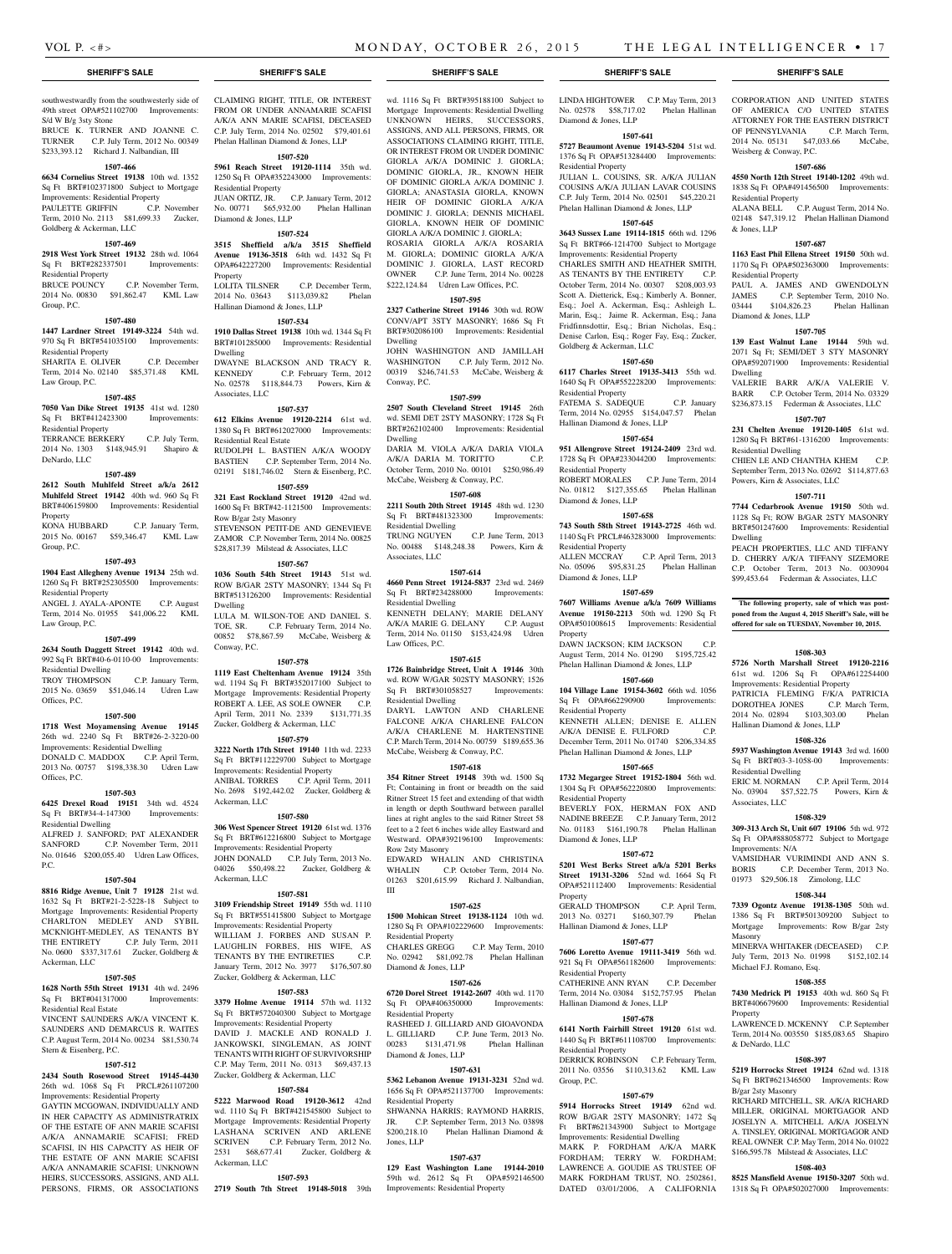Residential Property

Goldberg & Ackerman, LLC

Hallinan Diamond & Jones, LLP

Residential Property

Residential Property

Diamond & Jones, LLP

Residential Property

Property

Diamond & Jones, LLP

Residential Property

Residential Property

Diamond & Jones, LLP

Property

**1507-650 6117 Charles Street 19135-3413** 55th wd. 1640 Sq Ft OPA#552228200 Improvements:

FATEMA S. SADEQUE C.P. January Term, 2014 No. 02955 \$154,047.57 Phelan

**1507-654 951 Allengrove Street 19124-2409** 23rd wd. 1728 Sq Ft OPA#233044200 Improvements:

ROBERT MORALES C.P. June Term, 2014 No. 01812 \$127,355.65 Phelan Hallinan

**1507-658 743 South 58th Street 19143-2725** 46th wd. 1140 Sq Ft PRCL#463283000 Improvements:

ALLEN MCCRAY C.P. April Term, 2013 No. 05096 \$95,831.25 Phelan Hallinan

**1507-659 7607 Williams Avenue a/k/a 7609 Williams Avenue 19150-2213** 50th wd. 1290 Sq Ft OPA#501008615 Improvements: Residential

DAWN JACKSON; KIM JACKSON August Term, 2014 No. 01290 \$195,725.42 Phelan Hallinan Diamond & Jones, LLP **1507-660 104 Village Lane 19154-3602** 66th wd. 1056 Sq Ft OPA#662290900 Improvements:

KENNETH ALLEN; DENISE E. ALLEN A/K/A DENISE E. FULFORD December Term, 2011 No. 01740 \$206,334.85 Phelan Hallinan Diamond & Jones, LLP **1507-665 1732 Megargee Street 19152-1804** 56th wd. 1304 Sq Ft OPA#562220800 Improvements:

BEVERLY FOX, HERMAN FOX AND NADINE BREEZE C.P. January Term, 2012 No. 01183 \$161,190.78 Phelan Hallinan

**1507-672 5201 West Berks Street a/k/a 5201 Berks Street 19131-3206** 52nd wd. 1664 Sq Ft OPA#521112400 Improvements: Residential

GERALD THOMPSON C.P. April Term, 2013 No. 03271 \$160,307.79 Phelan

**1507-677 7606 Loretto Avenue 19111-3419** 56th wd. 921 Sq Ft OPA#561182600 Improvements:

CATHERINE ANN RYAN C.P. December Term, 2014 No. 03084 \$152,757.95 Phelan

**1507-678 6141 North Fairhill Street 19120** 61st wd. 1440 Sq Ft BRT#611108700 Improvements:

DERRICK ROBINSON C.P. February Term, 2011 No. 03556 \$110,313.62 KML Law

**1507-679 5914 Horrocks Street 19149** 62nd wd. ROW B/GAR 2STY MASONRY; 1472 Sq Ft BRT#621343900 Subject to Mortgage Improvements: Residential Dwelling MARK P. FORDHAM A/K/A MARK FORDHAM; TERRY W. FORDHAM; LAWRENCE A. GOUDIE AS TRUSTEE OF MARK FORDHAM TRUST, NO. 2502861, DATED 03/01/2006, A CALIFORNIA

Hallinan Diamond & Jones, LLP

Hallinan Diamond & Jones, LLP

Residential Property

Residential Property

Group, P.C.

## southwestwardly from the southwesterly side of 49th street OPA#521102700 Improvements: S/d W B/g 3sty Stone

BRUCE K. TURNER AND JOANNE C. TURNER C.P. July Term, 2012 No. 00349 \$233,393.12 Richard J. Nalbandian, III

## **1507-466**

**6634 Cornelius Street 19138** 10th wd. 1352 Sq Ft BRT#102371800 Subject to Mortgage Improvements: Residential Property PAULETTE GRIFFIN C.P. November Term, 2010 No. 2113 \$81,699.33 Zucker,

## Goldberg & Ackerman, LLC

## **1507-469**

**2918 West York Street 19132** 28th wd. 1064 Sq Ft BRT#282337501 Improvements:

Residential Property BRUCE POUNCY C.P. November Term, 2014 No. 00830 \$91,862.47 KML Law Group, P.C.

## **1507-480**

**1447 Lardner Street 19149-3224** 54th wd. 970 Sq Ft BRT#541035100 Improvements: Residential Property SHARITA E. OLIVER C.P. December

Term, 2014 No. 02140 \$85,371.48 KML Law Group, P.C.

## **1507-485**

**7050 Van Dike Street 19135** 41st wd. 1280 Sq Ft BRT#412423300 Improvements: Residential Property

TERRANCE BERKERY C.P. July Term, 2014 No. 1303 \$148,945.91 Shapiro & DeNardo, LLC

#### **1507-489**

**2612 South Muhlfeld Street a/k/a 2612 Muhlfeld Street 19142** 40th wd. 960 Sq Ft BRT#406159800 Improvements: Residential Property

KONA HUBBARD C.P. January Term, 2015 No. 00167 \$59,346.47 KML Law Group, P.C.

#### **1507-493**

**1904 East Allegheny Avenue 19134** 25th wd. 1260 Sq Ft BRT#252305500 Improvements: Residential Property

ANGEL J. AYALA-APONTE C.P. August Term, 2014 No. 01955 \$41,006.22 KML Law Group, P.C.

#### **1507-499**

**2634 South Daggett Street 19142** 40th wd. 992 Sq Ft BRT#40-6-0110-00 Improvements: Residential Dwelling

TROY THOMPSON C.P. January Term, 2015 No. 03659 \$51,046.14 Udren Law Offices, P.C.

#### **1507-500**

**1718 West Moyamensing Avenue 19145**  26th wd. 2240 Sq Ft BRT#26-2-3220-00 Improvements: Residential Dwelling DONALD C. MADDOX C.P. April Term, 2013 No. 00757 \$198,338.30 Udren Law Offices, P.C.

#### **1507-503**

**6425 Drexel Road 19151** 34th wd. 4524 Sq Ft BRT#34-4-147300 Improvements: Residential Dwelling ALFRED J. SANFORD; PAT ALEXANDER<br>SANFORD C.P. November Term. 2011 C.P. November Term, 2011

No. 01646 \$200,055.40 Udren Law Offices, P.C.

## **1507-504**

**8816 Ridge Avenue, Unit 7 19128** 21st wd. 1632 Sq Ft BRT#21-2-5228-18 Subject to Mortgage Improvements: Residential Property CHARLTON MEDLEY AND SYBIL MCKNIGHT-MEDLEY, AS TENANTS BY THE ENTIRETY C.P. July Term, 2011 No. 0600 \$337,317.61 Zucker, Goldberg & Ackerman, LLC

## **1507-505**

**1628 North 55th Street 19131** 4th wd. 2496 Sq Ft BRT#041317000 Improvements: Residential Real Estate

VINCENT SAUNDERS A/K/A VINCENT K. SAUNDERS AND DEMARCUS R. WAITES C.P. August Term, 2014 No. 00234 \$81,530.74 Stern & Eisenberg, P.C.

## **1507-512**

**2434 South Rosewood Street 19145-4430**  26th wd. 1068 Sq Ft PRCL#261107200 Improvements: Residential Property

GAYTIN MCGOWAN, INDIVIDUALLY AND IN HER CAPACITY AS ADMINISTRATRIX OF THE ESTATE OF ANN MARIE SCAFISI A/K/A ANNAMARIE SCAFISI; FRED SCAFISI, IN HIS CAPACITY AS HEIR OF THE ESTATE OF ANN MARIE SCAFISI A/K/A ANNAMARIE SCAFISI; UNKNOWN HEIRS, SUCCESSORS, ASSIGNS, AND ALL PERSONS, FIRMS, OR ASSOCIATIONS CLAIMING RIGHT, TITLE, OR INTEREST FROM OR UNDER ANNAMARIE SCAFISI A/K/A ANN MARIE SCAFISI, DECEASED C.P. July Term, 2014 No. 02502 \$79,401.61 Phelan Hallinan Diamond & Jones, LLP

## **1507-520**

**5961 Reach Street 19120-1114** 35th wd. 1250 Sq Ft OPA#352243000 Improvements: Residential Property JUAN ORTIZ, JR. C.P. January Term, 2012

No. 00771 \$65,932.00 Phelan Hallinan Diamond & Jones, LLP **1507-524**

**3515 Sheffield a/k/a 3515 Sheffield Avenue 19136-3518** 64th wd. 1432 Sq Ft OPA#642227200 Improvements: Residential Property

LOLITA TILSNER C.P. December Term, 2014 No. 03643 \$113,039.82 Phelan Hallinan Diamond & Jones, LLP

## **1507-534**

**1910 Dallas Street 19138** 10th wd. 1344 Sq Ft BRT#101285000 Improvements: Residential Dwelling

DWAYNE BLACKSON AND TRACY R. KENNEDY C.P. February Term, 2012 No. 02578 \$118,844.73 Powers, Kirn & Associates, LLC

#### **1507-537**

**612 Elkins Avenue 19120-2214** 61st wd. 1380 Sq Ft BRT#612027000 Improvements: Residential Real Estate RUDOLPH L. BASTIEN A/K/A WOODY BASTIEN C.P. September Term, 2014 No. 02191 \$181,746.02 Stern & Eisenberg, P.C.

**1507-559**

**321 East Rockland Street 19120** 42nd wd. 1600 Sq Ft BRT#42-1121500 Improvements: Row B/gar 2sty Masonry STEVENSON PETIT-DE AND GENEVIEVE ZAMOR C.P. November Term, 2014 No. 00825 \$28,817.39 Milstead & Associates, LLC

## **1507-567**

**1036 South 54th Street 19143** 51st wd. ROW B/GAR 2STY MASONRY; 1344 Sq Ft BRT#513126200 Improvements: Residential Dwelling LULA M. WILSON-TOE AND DANIEL S. TOE, SR. C.P. February Term, 2014 No.

00852 \$78,867.59 McCabe, Weisberg & Conway, P.C.

## **1507-578**

**1119 East Cheltenham Avenue 19124** 35th wd. 1194 Sq Ft BRT#352017100 Subject to Mortgage Improvements: Residential Property ROBERT A. LEE, AS SOLE OWNER C.P. April Term, 2011 No. 2339 \$131,771.35 Zucker, Goldberg & Ackerman, LLC

## **1507-579**

**3222 North 17th Street 19140** 11th wd. 2233 Sq Ft BRT#112229700 Subject to Mortgage Improvements: Residential Property ANIBAL TORRES C.P. April Term, 2011 No. 2698 \$192,442.02 Zucker, Goldberg & Ackerman, LLC

**1507-580**

**306 West Spencer Street 19120** 61st wd. 1376 Sq Ft BRT#612216800 Subject to Mortgage Improvements: Residential Property JOHN DONALD C.P. July Term, 2013 No. 04026 \$50,498.22 Zucker, Goldberg & Ackerman, LLC

### **1507-581**

**3109 Friendship Street 19149** 55th wd. 1110 Sq Ft BRT#551415800 Subject to Mortgage Improvements: Residential Property WILLIAM J. FORBES AND SUSAN P. LAUGHLIN FORBES, HIS WIFE, AS TENANTS BY THE ENTIRETIES C.P. January Term, 2012 No. 3977 \$176,507.80 Zucker, Goldberg & Ackerman, LLC

## **1507-583**

**3379 Holme Avenue 19114** 57th wd. 1132 Sq Ft BRT#572040300 Subject to Mortgage Improvements: Residential Property DAVID J. MACKLE AND RONALD J. JANKOWSKI, SINGLEMAN, AS JOINT TENANTS WITH RIGHT OF SURVIVORSHIP C.P. May Term, 2011 No. 0313 \$69,437.13 Zucker, Goldberg & Ackerman, LLC

## **1507-584**

**5222 Marwood Road 19120-3612** 42nd wd. 1110 Sq Ft BRT#421545800 Subject to Mortgage Improvements: Residential Property LASHANA SCRIVEN AND ARLENE SCRIVEN C.P. February Term, 2012 No. 2531 \$68,677.41 Zucker, Goldberg & Ackerman, LLC

#### **1507-593**

**2719 South 7th Street 19148-5018** 39th Improvements: Residential Property

## **SHERIFF'S SALE SHERIFF'S SALE SHERIFF'S SALE SHERIFF'S SALE SHERIFF'S SALE**

wd. 1116 Sq Ft BRT#395188100 Subject to Mortgage Improvements: Residential Dwelling UNKNOWN HEIRS, SUCCESSORS, ASSIGNS, AND ALL PERSONS, FIRMS, OR ASSOCIATIONS CLAIMING RIGHT, TITLE, OR INTEREST FROM OR UNDER DOMINIC GIORLA A/K/A DOMINIC J. GIORLA; DOMINIC GIORLA, JR., KNOWN HEIR OF DOMINIC GIORLA A/K/A DOMINIC J. GIORLA; ANASTASIA GIORLA, KNOWN HEIR OF DOMINIC GIORLA A/K/A DOMINIC J. GIORLA; DENNIS MICHAEL GIORLA, KNOWN HEIR OF DOMINIC GIORLA A/K/A DOMINIC J. GIORLA; ROSARIA GIORLA A/K/A ROSARIA M. GIORLA; DOMINIC GIORLA A/K/A DOMINIC J. GIORLA, LAST RECORD OWNER C.P. June Term, 2014 No. 00228 \$222,124.84 Udren Law Offices, P.C.

## **1507-595**

**2327 Catherine Street 19146** 30th wd. ROW CONV/APT 3STY MASONRY; 1686 Sq Ft BRT#302086100 Improvements: Residential Dwelling

JOHN WASHINGTON AND JAMILLAH WASHINGTON C.P. July Term, 2012 No. 00319 \$246,741.53 McCabe, Weisberg & Conway, P.C.

## **1507-599**

**2507 South Cleveland Street 19145** 26th wd. SEMI DET 2STY MASONRY; 1728 Sq Ft BRT#262102400 Improvements: Residential Dwelling

DARIA M. VIOLA A/K/A DARIA VIOLA A/K/A DARIA M. TORITTO C.P. October Term, 2010 No. 00101 \$250,986.49 McCabe, Weisberg & Conway, P.C.

## **1507-608**

**2211 South 20th Street 19145** 48th wd. 1230 Sq Ft BRT#481323300 Improvements: Residential Dwelling TRUNG NGUYEN C.P. June Term, 2013 No. 00488 \$148,248.38 Powers, Kirn & Associates, LLC

## **1507-614**

**4660 Penn Street 19124-5837** 23rd wd. 2469 Sq Ft BRT#234288000 Improvements: Residential Dwelling KENNETH DELANY; MARIE DELANY A/K/A MARIE G. DELANY C.P. August

Term, 2014 No. 01150 \$153,424.98 Udren Law Offices, P.C.

## **1507-615**

**1726 Bainbridge Street, Unit A 19146** 30th wd. ROW W/GAR 502STY MASONRY; 1526<br>Sq Ft BRT#301058527 Improvements: Sq Ft BRT#301058527 Residential Dwelling

DARYL LAWTON AND CHARLENE FALCONE A/K/A CHARLENE FALCON A/K/A CHARLENE M. HARTENSTINE C.P. March Term, 2014 No. 00759 \$189,655.36 McCabe, Weisberg & Conway, P.C.

## **1507-618**

**354 Ritner Street 19148** 39th wd. 1500 Sq Ft; Containing in front or breadth on the said Ritner Street 15 feet and extending of that width in length or depth Southward between parallel lines at right angles to the said Ritner Street 58 feet to a 2 feet 6 inches wide alley Eastward and Westward. OPA#392196100 Improvements: Row 2sty Masonry

EDWARD WHALIN AND CHRISTINA WHALIN C.P. October Term, 2014 No. 01263 \$201,615.99 Richard J. Nalbandian, III

## **1507-625**

**1500 Mohican Street 19138-1124** 10th wd. 1280 Sq Ft OPA#102229600 Improvements: Residential Property

CHARLES GREGG C.P. May Term, 2010 No. 02942 \$81,092.78 Phelan Hallinan Diamond & Jones, LLP

## **1507-626**

**6720 Dorel Street 19142-2607** 40th wd. 1170 Sq Ft OPA#406350000 Improvements: Residential Property RASHEED J. GILLIARD AND GIOAVONDA L. GILLIARD C.P. June Term, 2013 No. \$131,471.98 Phelan Hallinan Diamond & Jones, LLP

## **1507-631**

**5362 Lebanon Avenue 19131-3231** 52nd wd. 1656 Sq Ft OPA#521137700 Improvements: Residential Property SHWANNA HARRIS; RAYMOND HARRIS, JR. C.P. September Term, 2013 No. 03898 \$200,218.10 Phelan Hallinan Diamond & Jones, LLP

#### **1507-637**

**129 East Washington Lane 19144-2010**  59th wd. 2612 Sq Ft OPA#592146500

## LINDA HIGHTOWER C.P. May Term, 2013

CORPORATION AND UNITED STATES OF AMERICA C/O UNITED STATES ATTORNEY FOR THE EASTERN DISTRICT OF PENNSYLVANIA C.P. March Term, 2014 No. 05131 \$47,033.66 McCabe,

**1507-686 4550 North 12th Street 19140-1202** 49th wd. 1838 Sq Ft OPA#491456500 Improvements:

ALANA BELL C.P. August Term, 2014 No. 02148 \$47,319.12 Phelan Hallinan Diamond

**1507-687 1163 East Phil Ellena Street 19150** 50th wd. 1170 Sq Ft OPA#502363000 Improvements:

PAUL A. JAMES AND GWENDOLYN JAMES C.P. September Term, 2010 No. 03444 \$104,826.23 Phelan Hallinan

**1507-705 139 East Walnut Lane 19144** 59th wd. 2071 Sq Ft; SEMI/DET 3 STY MASONRY OPA#592071900 Improvements: Residential

VALERIE BARR A/K/A VALERIE V. BARR C.P. October Term, 2014 No. 03329 \$236,873.15 Federman & Associates, LLC **1507-707 231 Chelten Avenue 19120-1405** 61st wd. 1280 Sq Ft BRT#61-1316200 Improvements:

CHIEN LE AND CHANTHA KHEM C.P. September Term, 2013 No. 02692 \$114,877.63

**1507-711 7744 Cedarbrook Avenue 19150** 50th wd. 1128 Sq Ft; ROW B/GAR 2STY MASONRY BRT#501247600 Improvements: Residential

PEACH PROPERTIES, LLC AND TIFFANY D. CHERRY A/K/A TIFFANY SIZEMORE C.P. October Term, 2013 No. 0030904 \$99,453.64 Federman & Associates, LLC

**The following property, sale of which was postponed from the August 4, 2015 Sheriff's Sale, will be offered for sale on TUESDAY, November 10, 2015.**

**1508-303 5726 North Marshall Street 19120-2216**  61st wd. 1206 Sq Ft OPA#612254400 Improvements: Residential Property

PATRICIA FLEMING F/K/A PATRICIA<br>DOROTHEA JONES C.P. March Term,

2014 No. 02894 \$103,303.00 Phelan

**1508-326 5937 Washington Avenue 19143** 3rd wd. 1600 Sq Ft BRT#03-3-1058-00 Improvements:

ERIC M. NORMAN C.P. April Term, 2014 No. 03904 \$57,522.75 Powers, Kirn &

**1508-329 309-313 Arch St, Unit 607 19106** 5th wd. 972 Sq Ft OPA#888058772 Subject to Mortgage

VAMSIDHAR VURIMINDI AND ANN S. BORIS C.P. December Term, 2013 No. 01973 \$29,506.18 Zimolong, LLC **1508-344 7339 Ogontz Avenue 19138-1305** 50th wd. 1386 Sq Ft BRT#501309200 Subject to Mortgage Improvements: Row B/gar 2sty

MINERVA WHITAKER (DECEASED) C.P. July Term, 2013 No. 01998 \$152,102.14

**1508-355 7430 Medrick Pl 19153** 40th wd. 860 Sq Ft BRT#406679600 Improvements: Residential

LAWRENCE D. MCKENNY C.P. September Term, 2014 No. 003550 \$185,083.65 Shapiro

**1508-397 5219 Horrocks Street 19124** 62nd wd. 1318 Sq Ft BRT#621346500 Improvements: Row

RICHARD MITCHELL, SR. A/K/A RICHARD MILLER, ORIGINAL MORTGAGOR AND JOSELYN A. MITCHELL A/K/A JOSELYN A. TINSLEY, ORIGINAL MORTGAGOR AND REAL OWNER C.P. May Term, 2014 No. 01022 \$166,595.78 Milstead & Associates, LLC **1508-403 8525 Mansfield Avenue 19150-3207** 50th wd. 1318 Sq Ft OPA#502027000 Improvements:

DOROTHEA JONES

Residential Dwelling

Associates, LLC

Improvements: N/A

Michael F.J. Romano, Esq.

Masonry

Property

& DeNardo, LLC

B/gar 2sty Masonry

Hallinan Diamond & Jones, LLP

Weisberg & Conway, P.C.

Residential Property

Residential Property

Diamond & Jones, LLP

Residential Dwelling

Powers, Kirn & Associates, LLC

Dwelling

Dwelling

& Jones, LLP

No. 02578 \$58,717.02 Phelan Hallinan Diamond & Jones, LLP **1507-641**

**5727 Beaumont Avenue 19143-5204** 51st wd. 1376 Sq Ft OPA#513284400 Improvements:

JULIAN L. COUSINS, SR. A/K/A JULIAN COUSINS A/K/A JULIAN LAVAR COUSINS C.P. July Term, 2014 No. 02501 \$45,220.21 Phelan Hallinan Diamond & Jones, LLP **1507-645 3643 Sussex Lane 19114-1815** 66th wd. 1296 Sq Ft BRT#66-1214700 Subject to Mortgage Improvements: Residential Property CHARLES SMITH AND HEATHER SMITH, AS TENANTS BY THE ENTIRETY C.P. October Term, 2014 No. 00307 \$208,003.93 Scott A. Dietterick, Esq.; Kimberly A. Bonner, Esq.; Joel A. Ackerman, Esq.; Ashleigh L. Marin, Esq.; Jaime R. Ackerman, Esq.; Jana Fridfinnsdottir, Esq.; Brian Nicholas, Esq.; Denise Carlon, Esq.; Roger Fay, Esq.; Zucker,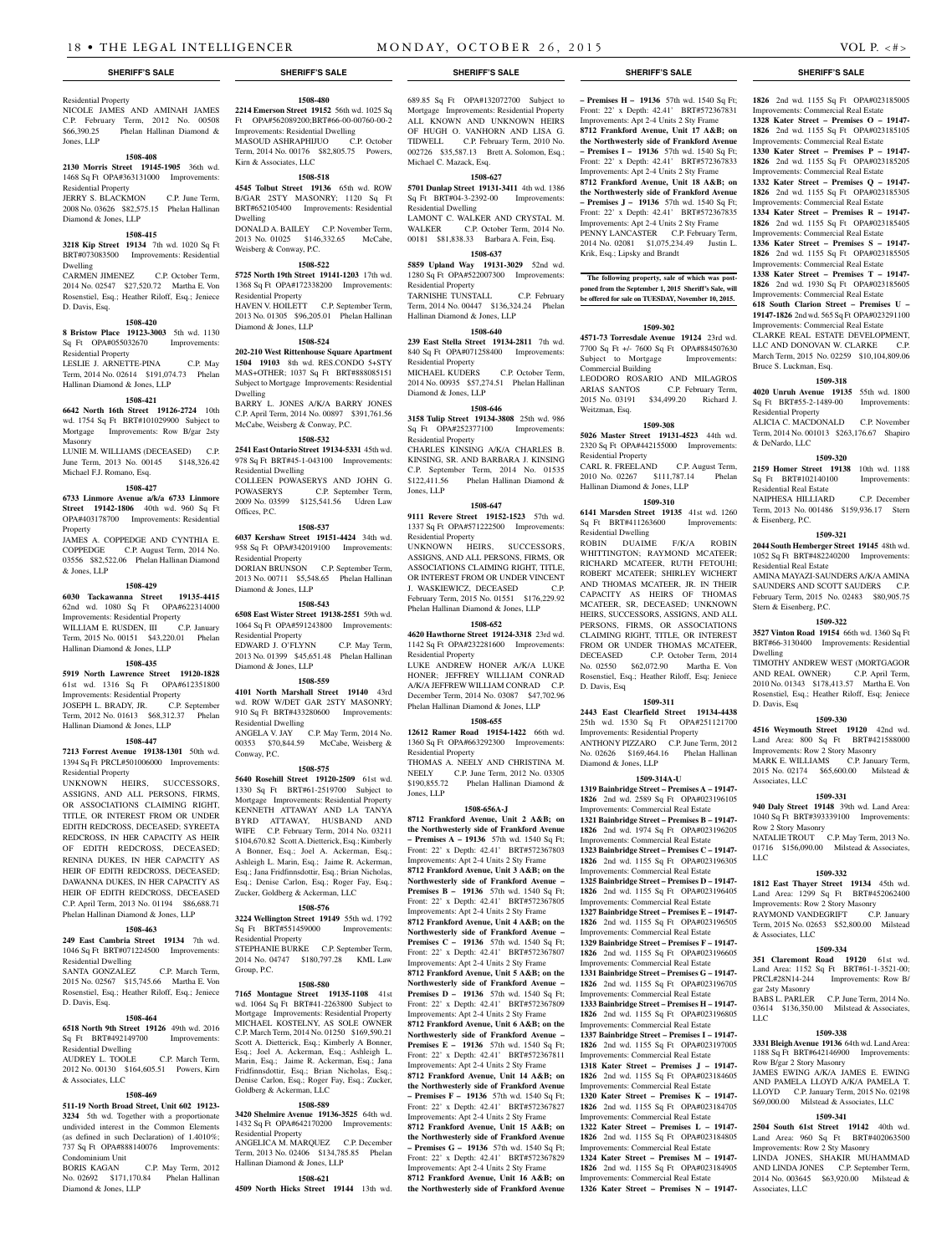## Residential Property

NICOLE JAMES AND AMINAH JAMES C.P. February Term, 2012 No. 00508 \$66,390.25 Phelan Hallinan Diamond & Jones, LLP

## **1508-408**

**2130 Morris Street 19145-1905** 36th wd. 1468 Sq Ft OPA#363131000 Improvements: Residential Property JERRY S. BLACKMON C.P. June Term,

## 2008 No. 03626 \$82,575.15 Phelan Hallinan

Diamond & Jones, LLP

## **1508-415**

**3218 Kip Street 19134** 7th wd. 1020 Sq Ft BRT#073083500 Improvements: Residential Dwelling<br>CARMEN JIMENEZ

C.P. October Term, 2014 No. 02547 \$27,520.72 Martha E. Von Rosenstiel, Esq.; Heather Riloff, Esq.; Jeniece D. Davis, Esq.

#### **1508-420**

**8 Bristow Place 19123-3003** 5th wd. 1130 Sq Ft OPA#055032670 Improvements: Residential Property

LESLIE J. ARNETTE-PINA C.P. May Term, 2014 No. 02614 \$191,074.73 Phelan Hallinan Diamond & Jones, LLP

## **1508-421**

**6642 North 16th Street 19126-2724** 10th wd. 1754 Sq Ft BRT#101029900 Subject to Mortgage Improvements: Row B/gar 2sty Masonry

LUNIE M. WILLIAMS (DECEASED) C.P. June Term, 2013 No. 00145 \$148,326.42 Michael F.J. Romano, Esq.

#### **1508-427**

**6733 Linmore Avenue a/k/a 6733 Linmore Street 19142-1806** 40th wd. 960 Sq Ft OPA#403178700 Improvements: Residential Property

JAMES A. COPPEDGE AND CYNTHIA E. COPPEDGE C.P. August Term, 2014 No. 03556 \$82,522.06 Phelan Hallinan Diamond & Jones, LLP

#### **1508-429**

**6030 Tackawanna Street 19135-4415**  62nd wd. 1080 Sq Ft OPA#622314000 Improvements: Residential Property<br>WILLIAM E. RUSDEN, III. C. P. January WILLIAM E. RUSDEN, III Term, 2015 No. 00151 \$43,220.01 Phelan Hallinan Diamond & Jones, LLP

## **1508-435**

**5919 North Lawrence Street 19120-1828**  61st wd. 1316 Sq Ft OPA#612351800 Improvements: Residential Property JOSEPH L. BRADY, JR. C.P. September Term, 2012 No. 01613 \$68,312.37 Phelan Hallinan Diamond & Jones, LLP

## **1508-447**

**7213 Forrest Avenue 19138-1301** 50th wd. 1394 Sq Ft PRCL#501006000 Improvements: Residential Property

UNKNOWN HEIRS, SUCCESSORS, ASSIGNS, AND ALL PERSONS, FIRMS, OR ASSOCIATIONS CLAIMING RIGHT, TITLE, OR INTEREST FROM OR UNDER EDITH REDCROSS, DECEASED; SYREETA REDCROSS, IN HER CAPACITY AS HEIR OF EDITH REDCROSS, DECEASED; RENINA DUKES, IN HER CAPACITY AS HEIR OF EDITH REDCROSS, DECEASED; DAWANNA DUKES, IN HER CAPACITY AS HEIR OF EDITH REDCROSS, DECEASED C.P. April Term, 2013 No. 01194 \$86,688.71 Phelan Hallinan Diamond & Jones, LLP

## **1508-463**

**249 East Cambria Street 19134** 7th wd. 1046 Sq Ft BRT#071224500 Improvements: Residential Dwelling

SANTA GONZALEZ C.P. March Term, 2015 No. 02567 \$15,745.66 Martha E. Von Rosenstiel, Esq.; Heather Riloff, Esq.; Jeniece D. Davis, Esq.

## **1508-464**

**6518 North 9th Street 19126** 49th wd. 2016 Sq Ft BRT#492149700 Improvements: Residential Dwelling AUDREY L. TOOLE C.P. March Term,

2012 No. 00130 \$164,605.51 Powers, Kirn & Associates, LLC

## **1508-469**

**511-19 North Broad Street, Unit 602 19123- 3234** 5th wd. Together with a proportionate undivided interest in the Common Elements (as defined in such Declaration) of 1.4010%; 737 Sq Ft OPA#888140076 Improvements:

Condominium Unit C.P. May Term, 2012 No. 02692 \$171,170.84 Phelan Hallinan Diamond & Jones, LLP

## **1508-480**

**2214 Emerson Street 19152** 56th wd. 1025 Sq Ft OPA#562089200;BRT#66-00-00760-00-2 Improvements: Residential Dwelling MASOUD ASHRAPHIJUO C.P. October Term, 2014 No. 00176 \$82,805.75 Powers, Kirn & Associates, LLC

## **1508-518**

**4545 Tolbut Street 19136** 65th wd. ROW B/GAR 2STY MASONRY; 1120 Sq Ft BRT#652105400 Improvements: Residential Dwelling DONALD A. BAILEY C.P. November Term, 2013 No. 01025 \$146,332.65 McCabe, Weisberg & Conway, P.C.

## **1508-522**

**5725 North 19th Street 19141-1203** 17th wd. 1368 Sq Ft OPA#172338200 Improvements: Residential Property HAVEN V. HOILETT C.P. September Term,

2013 No. 01305 \$96,205.01 Phelan Hallinan Diamond & Jones, LLP

## **1508-524**

**202-210 West Rittenhouse Square Apartment 1504 19103** 8th wd. RES.CONDO 5+STY MAS+OTHER; 1037 Sq Ft BRT#888085151 Subject to Mortgage Improvements: Residential Dwelling BARRY L. JONES A/K/A BARRY JONES C.P. April Term, 2014 No. 00897 \$391,761.56 McCabe, Weisberg & Conway, P.C.

## **1508-532**

**2541 East Ontario Street 19134-5331** 45th wd. 978 Sq Ft BRT#45-1-043100 Improvements: Residential Dwelling COLLEEN POWASERYS AND JOHN G.<br>POWASERYS C.P. September Term, C.P. September Term, 2009 No. 03599 \$125,541.56 Udren Law Offices, P.C.

## **1508-537**

**6037 Kershaw Street 19151-4424** 34th wd. 958 Sq Ft OPA#342019100 Improvements: Residential Property DORIAN BRUNSON C.P. September Term, 2013 No. 00711 \$5,548.65 Phelan Hallinan Diamond & Jones, LLP

## **1508-543**

**6508 East Wister Street 19138-2551** 59th wd. 1064 Sq Ft OPA#591243800 Improvements: Residential Property EDWARD J. O'FLYNN C.P. May Term, 2013 No. 01399 \$45,651.48 Phelan Hallinan Diamond & Jones, LLP

#### **1508-559**

**4101 North Marshall Street 19140** 43rd wd. ROW W/DET GAR 2STY MASONRY; 910 Sq Ft BRT#433280600 Improvements: Residential Dwelling ANGELA V. JAY C.P. May Term, 2014 No.

00353 \$70,844.59 McCabe, Weisberg & Conway, P.C. **1508-575**

**5640 Rosehill Street 19120-2509** 61st wd. 1330 Sq Ft BRT#61-2519700 Subject to Mortgage Improvements: Residential Property KENNETH ATTAWAY AND LA TANYA BYRD ATTAWAY, HUSBAND AND WIFE C.P. February Term, 2014 No. 03211 \$104,670.82 Scott A. Dietterick, Esq.; Kimberly A Bonner, Esq.; Joel A. Ackerman, Esq.; Ashleigh L. Marin, Esq.; Jaime R. Ackerman, Esq.; Jana Fridfinnsdottir, Esq.; Brian Nicholas, Esq.; Denise Carlon, Esq.; Roger Fay, Esq.; Zucker, Goldberg & Ackerman, LLC

### **1508-576**

**3224 Wellington Street 19149** 55th wd. 1792 Sq Ft BRT#551459000 Improvements: Residential Property STEPHANIE BURKE C.P. September Term 2014 No. 04747 \$180,797.28 KML Law

## Group, P.C.

**1508-580 7165 Montague Street 19135-1108** 41st wd. 1064 Sq Ft BRT#41-2263800 Subject to Mortgage Improvements: Residential Property MICHAEL KOSTELNY, AS SOLE OWNER C.P. March Term, 2014 No. 01250 \$169,590.21 Scott A. Dietterick, Esq.; Kimberly A Bonner Esq.; Joel A. Ackerman, Esq.; Ashleigh L. Marin, Esq.; Jaime R. Ackerman, Esq.; Jana Fridfinnsdottir, Esq.; Brian Nicholas, Esq.; Denise Carlon, Esq.; Roger Fay, Esq.; Zucker, Goldberg & Ackerman, LLC

## **1508-589**

**3420 Shelmire Avenue 19136-3525** 64th wd. 1432 Sq Ft OPA#642170200 Improvements: Residential Property ANGELICA M. MARQUEZ C.P. December

Term, 2013 No. 02406 \$134,785.85 Phelan Hallinan Diamond & Jones, LLP

## **1508-621**

**4509 North Hicks Street 19144** 13th wd.

689.85 Sq Ft OPA#132072700 Subject to Mortgage Improvements: Residential Property ALL KNOWN AND UNKNOWN HEIRS

OF HUGH O. VANHORN AND LISA G. TIDWELL C.P. February Term, 2010 No. 002726 \$35,587.13 Brett A. Solomon, Esq.; Michael C. Mazack, Esq. **1508-627 5701 Dunlap Street 19131-3411** 4th wd. 1386 Sq Ft BRT#04-3-2392-00 Improvements:

Residential Dwelling LAMONT C. WALKER AND CRYSTAL M. WALKER C.P. October Term, 2014 No. 00181 \$81,838.33 Barbara A. Fein, Esq.

## **1508-637**

**5859 Upland Way 19131-3029** 52nd wd. 1280 Sq Ft OPA#522007300 Improvements: Residential Property TARNISHE TUNSTALL C.P. February Term, 2014 No. 00447 \$136,324.24 Phelan

Hallinan Diamond & Jones, LLP **1508-640**

**239 East Stella Street 19134-2811** 7th wd. 840 Sq Ft OPA#071258400 Improvements: Residential Property MICHAEL KUDERS C.P. October Term, 2014 No. 00935 \$57,274.51 Phelan Hallinan Diamond & Jones, LLP

## **1508-646**

**3158 Tulip Street 19134-3808** 25th wd. 986 Sq Ft OPA#252377100 Improvements: Residential Property CHARLES KINSING A/K/A CHARLES B. KINSING, SR. AND BARBARA J. KINSING C.P. September Term, 2014 No. 01535 \$122,411.56 Phelan Hallinan Diamond & Jones, LLP

#### **1508-647**

**9111 Revere Street 19152-1523** 57th wd. 1337 Sq Ft OPA#571222500 Improvements: Residential Property

UNKNOWN HEIRS, SUCCESSORS, ASSIGNS, AND ALL PERSONS, FIRMS, OR ASSOCIATIONS CLAIMING RIGHT, TITLE, OR INTEREST FROM OR UNDER VINCENT J. WASKIEWICZ, DECEASED C.P. February Term, 2015 No. 01551 \$176,229.92 Phelan Hallinan Diamond & Jones, LLP

## **1508-652**

**4620 Hawthorne Street 19124-3318** 23rd wd. 1142 Sq Ft OPA#232281600 Improvements: Residential Property LUKE ANDREW HONER A/K/A LUKE HONER; JEFFREY WILLIAM CONRAD A/K/A JEFFREW WILLIAM CONRAD C.P. December Term, 2014 No. 03087 \$47,702.96 Phelan Hallinan Diamond & Jones, LLP

## **1508-655**

**12612 Ramer Road 19154-1422** 66th wd. 1360 Sq Ft OPA#663292300 Improvements: Residential Property THOMAS A. NEELY AND CHRISTINA M. NEELY C.P. June Term, 2012 No. 03305<br>\$190,855.72 Phelan Hallinan Diamond & Phelan Hallinan Diamond & Jones, LLP

## **1508-656A-J**

**8712 Frankford Avenue, Unit 2 A&B; on the Northwesterly side of Frankford Avenue – Premises A – 19136** 57th wd. 1540 Sq Ft; Front: 22' x Depth: 42.41' BRT#572367803 Improvements: Apt 2-4 Units 2 Sty Frame **8712 Frankford Avenue, Unit 3 A&B; on the Northwesterly side of Frankford Avenue – Premises B – 19136** 57th wd. 1540 Sq Ft; Front: 22' x Depth: 42.41' BRT#572367805 Improvements: Apt 2-4 Units 2 Sty Frame **8712 Frankford Avenue, Unit 4 A&B; on the Northwesterly side of Frankford Avenue – Premises C – 19136** 57th wd. 1540 Sq Ft; Front: 22' x Depth: 42.41' BRT#572367807 Improvements: Apt 2-4 Units 2 Sty Frame **8712 Frankford Avenue, Unit 5 A&B; on the Northwesterly side of Frankford Avenue – Premises D – 19136** 57th wd. 1540 Sq Ft; Front: 22' x Depth: 42.41' BRT#572367809 Improvements: Apt 2-4 Units 2 Sty Frame **8712 Frankford Avenue, Unit 6 A&B; on the Northwesterly side of Frankford Avenue – 19136** 57th wd. 1540 Sq Ft Front: 22' x Depth: 42.41' BRT#572367811 Improvements: Apt 2-4 Units 2 Sty Frame **8712 Frankford Avenue, Unit 14 A&B; on the Northwesterly side of Frankford Avenue – Premises F – 19136** 57th wd. 1540 Sq Ft; Front: 22' x Depth: 42.41' BRT#572367827 Improvements: Apt 2-4 Units 2 Sty Frame **8712 Frankford Avenue, Unit 15 A&B; on the Northwesterly side of Frankford Avenue – Premises G – 19136** 57th wd. 1540 Sq Ft; Front: 22' x Depth: 42.41' BRT#572367829 Improvements: Apt 2-4 Units 2 Sty Frame

**8712 Frankford Avenue, Unit 16 A&B; on the Northwesterly side of Frankford Avenue** 

## **SHERIFF'S SALE SHERIFF'S SALE SHERIFF'S SALE SHERIFF'S SALE SHERIFF'S SALE**

**1826** 2nd wd. 1155 Sq Ft OPA#023185005 Improvements: Commercial Real Estate **1328 Kater Street – Premises O – 19147- 1826** 2nd wd. 1155 Sq Ft OPA#023185105 Improvements: Commercial Real Estate **1330 Kater Street – Premises P – 19147- 1826** 2nd wd. 1155 Sq Ft OPA#023185205 Improvements: Commercial Real Estate **1332 Kater Street – Premises Q – 19147- 1826** 2nd wd. 1155 Sq Ft OPA#023185305 Improvements: Commercial Real Estate **1334 Kater Street – Premises R – 19147- 1826** 2nd wd. 1155 Sq Ft OPA#023185405 Improvements: Commercial Real Estate **1336 Kater Street – Premises S – 19147- 1826** 2nd wd. 1155 Sq Ft OPA#023185505 Improvements: Commercial Real Estate **1338 Kater Street – Premises T – 19147- 1826** 2nd wd. 1930 Sq Ft OPA#023185605 Improvements: Commercial Real Estate **618 South Clarion Street – Premises U – 19147-1826** 2nd wd. 565 Sq Ft OPA#023291100 Improvements: Commercial Real Estate CLARKE REAL ESTATE DEVELOPMENT, LLC AND DONOVAN W. CLARKE C.P. March Term, 2015 No. 02259 \$10,104,809.06

Bruce S. Luckman, Esq.

Residential Property

& DeNardo, LLC

& Eisenberg, P.C.

Residential Real Estate

Residential Real Estate

Stern & Eisenberg, P.C.

Dwelling

D. Davis, Esq

Associates, LLC

Row 2 Story Masonry

RAYMOND VANDEGRIFT

Row B/gar 2 Story Masonry

Improvements: Row 2 Sty Masonry LINDA JONES, SHAKIR MUHAMMAD AND LINDA JONES C.P. September Term, 2014 No. 003645 \$63,920.00 Milstead &

Associates, LLC

& Associates, LLC

gar 2sty Masonry

LLC

LLC

**1509-318 4020 Unruh Avenue 19135** 55th wd. 1800 Sq Ft BRT#55-2-1489-00 Improvements:

ALICIA C. MACDONALD C.P. November Term, 2014 No. 001013 \$263,176.67 Shapiro

**1509-320 2159 Homer Street 19138** 10th wd. 1188 Sq Ft BRT#102140100 Improvements:

NAIPHESA HILLIARD C.P. December Term, 2013 No. 001486 \$159,936.17 Stern

**1509-321 2044 South Hemberger Street 19145** 48th wd. 1052 Sq Ft BRT#482240200 Improvements:

AMINA MAYAZI-SAUNDERS A/K/A AMINA SAUNDERS AND SCOTT SAUDERS C.P. February Term, 2015 No. 02483 \$80,905.75

**1509-322 3527 Vinton Road 19154** 66th wd. 1360 Sq Ft BRT#66-3130400 Improvements: Residential

TIMOTHY ANDREW WEST (MORTGAGOR AND REAL OWNER) C.P. April Term, 2010 No. 01343 \$178,413.57 Martha E. Von Rosenstiel, Esq.; Heather Riloff, Esq; Jeniece

**1509-330 4516 Weymouth Street 19120** 42nd wd. Land Area: 800 Sq Ft BRT#421588000 Improvements: Row 2 Story Masonry MARK E. WILLIAMS C.P. January Term, 2015 No. 02174 \$65,600.00 Milstead &

**1509-331 940 Daly Street 19148** 39th wd. Land Area: 1040 Sq Ft BRT#393339100 Improvements:

NATALIE TROUT C.P. May Term, 2013 No. 01716 \$156,090.00 Milstead & Associates,

**1509-332 1812 East Thayer Street 19134** 45th wd. Land Area: 1299 Sq Ft BRT#452062400 Improvements: Row 2 Story Masonry<br>RAYMOND VANDEGRIET C P January

Term, 2015 No. 02653 \$52,800.00 Milstead

**1509-334 351 Claremont Road 19120** 61st wd. Land Area: 1152 Sq Ft BRT#61-1-3521-00;<br>PRCL#28N14-244 Improvements: Row B/

BABS L. PARLER C.P. June Term, 2014 No. 03614 \$136,350.00 Milstead & Associates,

**1509-338 3331 Bleigh Avenue 19136** 64th wd. Land Area: 1188 Sq Ft BRT#642146900 Improvements:

JAMES EWING A/K/A JAMES E. EWING AND PAMELA LLOYD A/K/A PAMELA T. LLOYD C.P. January Term, 2015 No. 02198 \$69,000.00 Milstead & Associates, LLC **1509-341 2504 South 61st Street 19142** 40th wd. Land Area: 960 Sq Ft BRT#402063500

Improvements: Row B/

**– Premises H – 19136** 57th wd. 1540 Sq Ft; Front: 22' x Depth: 42.41' BRT#572367831 Improvements: Apt 2-4 Units 2 Sty Frame **8712 Frankford Avenue, Unit 17 A&B; on the Northwesterly side of Frankford Avenue – Premises I – 19136** 57th wd. 1540 Sq Ft; Front: 22' x Depth: 42.41' BRT#572367833 Improvements: Apt 2-4 Units 2 Sty Frame **8712 Frankford Avenue, Unit 18 A&B; on the Northwesterly side of Frankford Avenue – Premises J – 19136** 57th wd. 1540 Sq Ft; Front: 22' x Depth: 42.41' BRT#572367835 Improvements: Apt 2-4 Units 2 Sty Frame PENNY LANCASTER C.P. February Term, 2014 No. 02081 \$1,075,234.49 Justin L. Krik, Esq.; Lipsky and Brandt

**The following property, sale of which was postponed from the September 1, 2015 Sheriff's Sale, will be offered for sale on TUESDAY, November 10, 2015.**

## **1509-302**

**4571-73 Torresdale Avenue 19124** 23rd wd. 7700 Sq Ft +/- 7600 Sq Ft OPA#884507630 Subject to Mortgage Improvements: Commercial Building LEODORO ROSARIO AND MILAGROS ARIAS SANTOS C.P. February Term, 2015 No. 03191 \$34,499.20 Richard J. Weitzman, Esq.

## **1509-308**

**5026 Master Street 19131-4523** 44th wd. 2320 Sq Ft OPA#442155000 Improvements: Residential Property CARL R. FREELAND C.P. August Term,

2010 No. 02267 \$111,787.14 Phelan Hallinan Diamond & Jones, LLP **1509-310**

**6141 Marsden Street 19135** 41st wd. 1260<br>Sq Ft BRT#411263600 Improvements: Sq Ft BRT#411263600 Residential Dwelling

ROBIN DUAIME F/K/A ROBIN WHITTINGTON; RAYMOND MCATEER; RICHARD MCATEER, RUTH FETOUHI; ROBERT MCATEER; SHIRLEY WICHERT AND THOMAS MCATEER, JR. IN THEIR CAPACITY AS HEIRS OF THOMAS MCATEER, SR, DECEASED; UNKNOWN HEIRS, SUCCESSORS, ASSIGNS, AND ALL PERSONS, FIRMS, OR ASSOCIATIONS CLAIMING RIGHT, TITLE, OR INTEREST FROM OR UNDER THOMAS MCATEER,<br>DECEASED C.P. October Term. 2014 C.P. October Term, 2014 No. 02550 \$62,072.90 Martha E. Von Rosenstiel, Esq.; Heather Riloff, Esq; Jeniece D. Davis, Esq

## **1509-311**

**2443 East Clearfield Street 19134-4438**  25th wd. 1530 Sq Ft OPA#251121700 Improvements: Residential Property ANTHONY PIZZARO C.P. June Term, 2012 No. 02626 \$169,464.16 Phelan Hallinan Diamond & Jones, LLP

#### **1509-314A-U 1319 Bainbridge Street – Premises A – 19147-**

**1826** 2nd wd. 2589 Sq Ft OPA#023196105 Improvements: Commercial Real Estate

**1321 Bainbridge Street – Premises B – 19147- 1826** 2nd wd. 1974 Sq Ft OPA#023196205 Improvements: Commercial Real Estate **1323 Bainbridge Street – Premises C – 19147- 1826** 2nd wd. 1155 Sq Ft OPA#023196305 Improvements: Commercial Real Estate **1325 Bainbridge Street – Premises D – 19147- 1826** 2nd wd. 1155 Sq Ft OPA#023196405 Improvements: Commercial Real Estate **1327 Bainbridge Street – Premises E – 19147- 1826** 2nd wd. 1155 Sq Ft OPA#023196505 Improvements: Commercial Real Estate **1329 Bainbridge Street – Premises F – 19147- 1826** 2nd wd. 1155 Sq Ft OPA#023196605 Improvements: Commercial Real Estate **1331 Bainbridge Street – Premises G – 19147- 1826** 2nd wd. 1155 Sq Ft OPA#023196705 Improvements: Commercial Real Estate **1333 Bainbridge Street – Premises H – 19147- 1826** 2nd wd. 1155 Sq Ft OPA#023196805

Improvements: Commercial Real Estate **1337 Bainbridge Street – Premises I – 19147- 1826** 2nd wd. 1155 Sq Ft OPA#02319 Improvements: Commercial Real Estate **1318 Kater Street – Premises J – 19147- 1826** 2nd wd. 1155 Sq Ft OPA#023184605 Improvements: Commercial Real Estate **1320 Kater Street – Premises K – 19147- 1826** 2nd wd. 1155 Sq Ft OPA#023184705 Improvements: Commercial Real Estate **1322 Kater Street – Premises L – 19147- 1826** 2nd wd. 1155 Sq Ft OPA#023184805 Improvements: Commercial Real Estate **1324 Kater Street – Premises M – 19147- 1826** 2nd wd. 1155 Sq Ft OPA#023184905 Improvements: Commercial Real Estate **1326 Kater Street – Premises N – 19147-**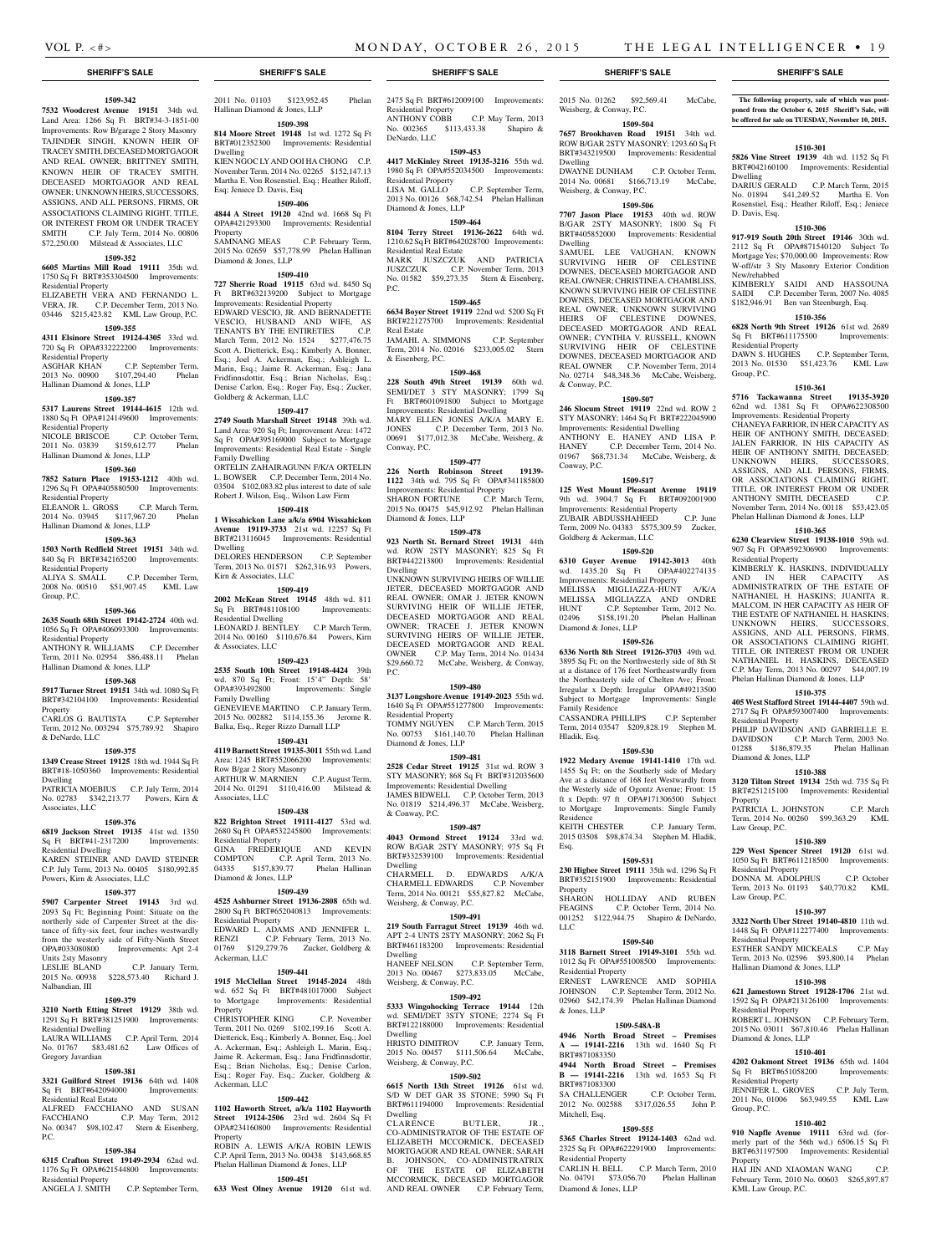Dwelling

Dwelling

& Conway, P.C.

Conway, P.C.

Goldberg & Ackerman, LLC

Diamond & Jones, LLP

Family Residence

Residence<br>KEITH CHESTER

Residential Property

& Jones, LLP

BRT#871083350

BRT#871083300

Mitchell, Esq.

Residential Property

Diamond & Jones, LLP

Esq.

Property

LLC

Hladik, Esq.

2015 No. 01262 \$92,569.41 McCabe,

**The following property, sale of which was postponed from the October 6, 2015 Sheriff's Sale, will be offered for sale on TUESDAY, November 10, 2015.**

**1510-301 5826 Vine Street 19139** 4th wd. 1152 Sq Ft BRT#042160100 Improvements: Residential

DARIUS GERALD C.P. March Term, 2015 No. 01894 \$41,249.52 Martha E. Von Rosenstiel, Esq.; Heather Riloff, Esq.; Jeniece

**1510-306 917-919 South 20th Street 19146** 30th wd. 2112 Sq Ft OPA#871540120 Subject To Mortgage Yes: \$70,000.00 Improvements: Row W-off/str 3 Sty Masonry Exterior Condition

KIMBERLY SAIDI AND HASSOUNA SAIDI C.P. December Term, 2007 No. 4085 \$182,946.91 Ben van Steenburgh, Esq. **1510-356 6828 North 9th Street 19126** 61st wd. 2689 Sq Ft BRT#611175500 Improvements:

DAWN S. HUGHES C.P. September Term, 2013 No. 01530 \$51,423.76 KML Law

**1510-361 5716 Tackawanna Street 19135-3920**  62nd wd. 1381 Sq Ft OPA#622308500 Improvements: Residential Property CHANEYA FARRIOR, IN HER CAPACITY AS HEIR OF ANTHONY SMITH, DECEASED; JALEN FARRIOR, IN HIS CAPACITY AS HEIR OF ANTHONY SMITH, DECEASED; UNKNOWN HEIRS, SUCCESSORS, ASSIGNS, AND ALL PERSONS, FIRMS, OR ASSOCIATIONS CLAIMING RIGHT, TITLE, OR INTEREST FROM OR UNDER ANTHONY SMITH, DECEASED C.P. November Term, 2014 No. 00118 \$53,423.05 Phelan Hallinan Diamond & Jones, LLP **1510-365 6230 Clearview Street 19138-1010** 59th wd. 907 Sq Ft OPA#592306900 Improvements:

KIMBERLY K. HASKINS, INDIVIDUALLY AND IN HER CAPACITY AS ADMINISTRATRIX OF THE ESTATE OF NATHANIEL H. HASKINS; JUANITA R. MALCOM, IN HER CAPACITY AS HEIR OF THE ESTATE OF NATHANIEL H. HASKINS; UNKNOWN HEIRS, SUCCESSORS, ASSIGNS, AND ALL PERSONS, FIRMS, OR ASSOCIATIONS CLAIMING RIGHT, TITLE, OR INTEREST FROM OR UNDER NATHANIEL H. HASKINS, DECEASED C.P. May Term, 2013 No. 00297 \$44,007.19 Phelan Hallinan Diamond & Jones, LLP **1510-375 405 West Stafford Street 19144-4407** 59th wd. 2717 Sq Ft OPA#593007400 Improvements:

PHILIP DAVIDSON AND GABRIELLE E. DAVIDSON C.P. March Term, 2003 No. 01288 \$186,879.35 Phelan Hallinan

**1510-388 3120 Tilton Street 19134** 25th wd. 735 Sq Ft BRT#251215100 Improvements: Residential

PATRICIA L. JOHNSTON C.P. March Term, 2014 No. 00260 \$99,363.29 KML

**1510-389 229 West Spencer Street 19120** 61st wd. 1050 Sq Ft BRT#611218500 Improvements: Residential Property DONNA M. ADOLPHUS C.P. October Term, 2013 No. 01193 \$40,770.82 KML

**1510-397 3322 North Uber Street 19140-4810** 11th wd. 1448 Sq Ft OPA#112277400 Improvements:

ESTHER SANDY MICKEALS C.P. May Term, 2013 No. 02596 \$93,800.14 Phelan

**1510-398 621 Jamestown Street 19128-1706** 21st wd. 1592 Sq Ft OPA#213126100 Improvements:

ROBERT L. JOHNSON C.P. February Term, 2015 No. 03011 \$67,810.46 Phelan Hallinan

**1510-401 4202 Oakmont Street 19136** 65th wd. 1404 Sq Ft BRT#651058200 Improvements:

JENNIFER L. GROVES C.P. July Term, 2011 No. 01006 \$63,949.55 KML Law

**1510-402 910 Napfle Avenue 19111** 63rd wd. (formerly part of the 56th wd.) 6506.15 Sq Ft BRT#631197500 Improvements: Residential

HAI JIN AND XIAOMAN WANG February Term, 2010 No. 00603 \$265,897.87

Dwelling

D. Davis, Esq.

New/rehabbed

Residential Property

Residential Property

Residential Property

Diamond & Jones, LLP

Property

Law Group, P.C.

Law Group, P.C.

Residential Property

Residential Property

Diamond & Jones, LLP

Residential Property

KML Law Group, P.C.

Group, P.C.

Property

Hallinan Diamond & Jones, LLP

Group, P.C.

**1509-504 7657 Brookhaven Road 19151** 34th wd. ROW B/GAR 2STY MASONRY; 1293.60 Sq Ft BRT#343219500 Improvements: Residential

DWAYNE DUNHAM C.P. October Term, 2014 No. 00681 \$166,713.19 McCabe,

**1509-506 7707 Jason Place 19153** 40th wd. ROW B/GAR 2STY MASONRY; 1800 Sq Ft BRT#405852000 Improvements: Residential

SAMUEL LEE VAUGHAN, KNOWN SURVIVING HEIR OF CELESTINE DOWNES, DECEASED MORTGAGOR AND REAL OWNER; CHRISTINE A. CHAMBLISS, KNOWN SURVIVING HEIR OF CELESTINE DOWNES, DECEASED MORTGAGOR AND REAL OWNER; UNKNOWN SURVIVING HEIRS OF CELESTINE DOWNES, DECEASED MORTGAGOR AND REAL OWNER; CYNTHIA V. RUSSELL, KNOWN SURVIVING HEIR OF CELESTINE DOWNES, DECEASED MORTGAGOR AND REAL OWNER C.P. November Term, 2014 No. 02714 \$48,348.36 McCabe, Weisberg,

**1509-507 246 Slocum Street 19119** 22nd wd. ROW 2 STY MASONRY; 1464 Sq Ft BRT#222045900 Improvements: Residential Dwelling ANTHONY E. HANEY AND LISA P. HANEY C.P. December Term, 2014 No. 01967 \$68,731.34 McCabe, Weisberg, &

**1509-517 125 West Mount Pleasant Avenue 19119**  9th wd. 3904.7 Sq Ft BRT#092001900 Improvements: Residential Property ZUBAIR ABDUSSHAHEED C.P. June Term, 2009 No. 04383 \$575,309.59 Zucker,

**1509-520 6310 Guyer Avenue 19142-3013** 40th wd. 1435.20 Sq Ft OPA#402274135 Improvements: Residential Property

MELISSA MIGLIAZZA-HUNT A/K/A MELISSA MIGLIAZZA AND ONDRE C.P. September Term, 2012 No. HUNT C.P. September Term, 2012 No.<br>02496 \$158,191.20 Phelan Hallinan

**1509-526 6336 North 8th Street 19126-3703** 49th wd. 3895 Sq Ft; on the Northwesterly side of 8th St at a distance of 176 feet Northeastwardly from the Northeasterly side of Chelten Ave; Front: Irregular x Depth: Irregular OPA#49213500 Subject to Mortgage Improvements: Single

CASSANDRA PHILLIPS C.P. September Term, 2014 03547 \$209,828.19 Stephen M.

**1509-530 1922 Medary Avenue 19141-1410** 17th wd. 1455 Sq Ft; on the Southerly side of Medary Ave at a distance of 168 feet Westwardly from the Westerly side of Ogontz Avenue; Front: 15 ft x Depth: 97 ft OPA#171306500 Subject to Mortgage Improvements: Single Family

2015 03508 \$98,874.34 Stephen M. Hladik,

**1509-531 230 Higbee Street 19111** 35th wd. 1296 Sq Ft BRT#352151900 Improvements: Residential

SHARON HOLLIDAY AND RUBEN<br>FEAGINS C.P. October Term, 2014 No.

FEAGINS C.F. OGODEL TOM, 2014 TO.<br>001252 \$122,944.75 Shapiro & DeNardo,

**1509-540 3118 Barnett Street 19149-3101** 55th wd. 1012 Sq Ft OPA#551008500 Improvements:

ERNEST LAWRENCE AMD SOPHIA JOHNSON C.P. September Term, 2012 No. 02960 \$42,174.39 Phelan Hallinan Diamond

**1509-548A-B 4946 North Broad Street – Premises A — 19141-2216** 13th wd. 1640 Sq Ft

**4944 North Broad Street – Premises B — 19141-2216** 13th wd. 1653 Sq Ft

SA CHALLENGER C.P. October Term, 2012 No. 002588 \$317,026.55 John P.

**1509-555 5365 Charles Street 19124-1403** 62nd wd. 2325 Sq Ft OPA#622291900 Improvements:

CARLIN H. BELL C.P. March Term, 2010 No. 04791 \$73,056.70 Phelan Hallinan

C.P. October Term, 2014 No.

C.P. January Term,

Weisberg, & Conway, P.C.

Weisberg, & Conway, P.C.

## **1509-342**

**7532 Woodcrest Avenue 19151** 34th wd. Land Area: 1266 Sq Ft BRT#34-3-1851-00 Improvements: Row B/garage 2 Story Masonry TAJINDER SINGH, KNOWN HEIR OF TRACEY SMITH, DECEASED MORTGAGOR AND REAL OWNER; BRITTNEY SMITH, KNOWN HEIR OF TRACEY SMITH, DECEASED MORTGAGOR AND REAL OWNER; UNKNOWN HEIRS, SUCCESSORS, ASSIGNS, AND ALL PERSONS, FIRMS, OR ASSOCIATIONS CLAIMING RIGHT, TITLE, OR INTEREST FROM OR UNDER TRACEY SMITH C.P. July Term, 2014 No. 00806 \$72,250.00 Milstead & Associates, LLC

## **1509-352**

## **6605 Martins Mill Road 19111** 35th wd. 1750 Sq Ft BRT#353304500 Improvements:

Residential Property ELIZABETH VERA AND FERNANDO L. VERA, JR. C.P. December Term, 2013 No. 03446 \$215,423.82 KML Law Group, P.C.

## **1509-355**

**4311 Elsinore Street 19124-4305** 33rd wd. 720 Sq Ft OPA#332222200 Improvements: Residential Property

ASGHAR KHAN C.P. September Term, 2013 No. 00900 \$107,294.40 Phelan Hallinan Diamond & Jones, LLP

#### **1509-357**

**5317 Laurens Street 19144-4615** 12th wd. 1880 Sq Ft OPA#124149600 Improvements: Residential Property NICOLE BRISCOE C.P. October Term,

## 2011 No. 03839 \$159,612.77 Phelan Hallinan Diamond & Jones, LLP **1509-360**

## **7852 Saturn Place 19153-1212** 40th wd.

1296 Sq Ft OPA#405880500 Improvements: Residential Property ELEANOR L. GROSS C.P. March Term, 2014 No. 03945 \$117,967.20 Phelan

## Hallinan Diamond & Jones, LLP

**1509-363 1503 North Redfield Street 19151** 34th wd.

Group, P.C.

840 Sq Ft BRT#342165200 Improvements: Residential Property ALIYA S. SMALL C.P. December Term, ALIYA S. SMALL C.P. December Term,<br>2008 No. 00510 \$51,907.45 KML Law

#### **1509-366**

**2635 South 68th Street 19142-2724** 40th wd. 1056 Sq Ft OPA#406093300 Improvements: Residential Property

## ANTHONY R. WILLIAMS C.P. December Term, 2011 No. 02954 \$86,488.11 Phelan

Hallinan Diamond & Jones, LLP **1509-368**

## **5917 Turner Street 19151** 34th wd. 1080 Sq Ft

& DeNardo, LLC

Associates, LLC

BRT#342104100 Improvements: Residential Property CARLOS G. BAUTISTA C.P. September Term, 2012 No. 003294 \$75,789.92 Shapiro

## **1509-375**

**1349 Crease Street 19125** 18th wd. 1944 Sq Ft BRT#18-1050360 Improvements: Residential Dwelling PATRICIA MOEBIUS C.P. July Term, 2014 No. 02783 \$342,213.77 Powers, Kirn &

**1509-376 6819 Jackson Street 19135** 41st wd. 1350 Sq Ft BRT#41-2317200 Improvements: Residential Dwelling KAREN STEINER AND DAVID STEINER

## C.P. July Term, 2013 No. 00405 \$180,992.85 Powers, Kirn & Associates, LLC **1509-377**

**5907 Carpenter Street 19143** 3rd wd. 2093 Sq Ft; Beginning Point: Situate on the northerly side of Carpenter Street at the distance of fifty-six feet, four inches westwardly from the westerly side of Fifty-Ninth Street OPA#033080800 Improvements: Apt 2-4 Units 2sty Masonry

LESLIE BLAND C.P. January Term, 2015 No. 00938 \$228,573.40 Richard J. Nalbandian, III

#### **1509-379**

**3210 North Etting Street 19129** 38th wd. 1291 Sq Ft BRT#381251900 Improvements: Residential Dwelling LIAMS C.P. April Term, 2014<br>\$83.481.62 Law Offices of No. 01767 \$83,481.62 Law Offices of

## **1509-381**

Gregory Javardian

**3321 Guilford Street 19136** 64th wd. 1408 Sq Ft BRT#642094000 Improvements: Residential Real Estate

ALFRED FACCHIANO AND SUSAN FACCHIANO C.P. May Term, 2012 No. 00347 \$98,102.47 Stern & Eisenberg, P.C.

## **1509-384**

**6315 Crafton Street 19149-2934** 62nd wd. 1176 Sq Ft OPA#621544800 Improvements: Residential Property

ANGELA J. SMITH C.P. September Term,

2011 No. 01103 \$123,952.45 Phelan Hallinan Diamond & Jones, LLP

**1509-398 814 Moore Street 19148** 1st wd. 1272 Sq Ft BRT#012352300 Improvements: Residential

Dwelling KIEN NGOC LY AND OOI HA CHONG C.P. November Term, 2014 No. 02265 \$152,147.13 Martha E. Von Rosenstiel, Esq.; Heather Riloff, Esq; Jeniece D. Davis, Esq

## **1509-406**

**4844 A Street 19120** 42nd wd. 1668 Sq Ft OPA#421293300 Improvements: Residential Property SAMNANG MEAS C.P. February Term, 2015 No. 02659 \$57,778.99 Phelan Hallinan Diamond & Jones, LLP

## **1509-410**

**727 Sherrie Road 19115** 63rd wd. 8450 Sq Ft BRT#632139200 Subject to Mortgage Improvements: Residential Property EDWARD VESCIO, JR. AND BERNADETTE VESCIO, HUSBAND AND WIFE, AS TENANTS BY THE ENTIRETIES March Term, 2012 No. 1524 \$277,476.75 Scott A. Dietterick, Esq.; Kimberly A. Bonner, Esq.; Joel A. Ackerman, Esq.; Ashleigh L. Marin, Esq.; Jaime R. Ackerman, Esq.; Jana Fridfinnsdottir, Esq.; Brian Nicholas, Esq.; Denise Carlon, Esq.; Roger Fay, Esq.; Zucker, Goldberg & Ackerman, LLC

## **1509-417**

**2749 South Marshall Street 19148** 39th wd. Land Area: 920 Sq Ft; Improvement Area: 1472 Sq Ft OPA#395169000 Subject to Mortgage Improvements: Residential Real Estate - Single Family Dwelling ORTELIN ZAHAIRAGUNN F/K/A ORTELIN L. BOWSER C.P. December Term, 2014 No.

03504 \$102,083.82 plus interest to date of sale Robert J. Wilson, Esq., Wilson Law Firm **1509-418**

## **1 Wissahickon Lane a/k/a 6904 Wissahickon**

**Avenue 19119-3733** 21st wd. 12257 Sq Ft BRT#213116045 Improvements: Residential Dwelling DELORES HENDERSON C.P. September Term, 2013 No. 01571 \$262,316.93 Powers, Kirn & Associates, LLC

**1509-419**

**2002 McKean Street 19145** 48th wd. 811 Sq Ft BRT#481108100 Improvements: Residential Dwelling LEONARD J. BENTLEY C.P. March Term, 2014 No. 00160 \$110,676.84 Powers, Kirn

## **1509-423**

& Associates, LLC

**2535 South 10th Street 19148-4424** 39th wd. 870 Sq Ft; Front: 15'4" Depth: 58' OPA#393492800 Improvements: Single Family Dwelling GENEVIEVE MARTINO C.P. January Term, 2015 No. 002882 \$114,155.36 Jerome R. Balka, Esq., Reger Rizzo Darnall LLP

**1509-431 4119 Barnett Street 19135-3011** 55th wd. Land Area: 1245 BRT#552066200 Improvements: Row B/gar 2 Story Masonry ARTHUR W. MARNIEN C.P. August Term, 2014 No. 01291 \$110,416.00 Milstead & Associates, LLC

## **1509-438**

**822 Brighton Street 19111-4127** 53rd wd. 2680 Sq Ft OPA#532245800 Improvements: Residential Property GINA FREDERIQUE AND KEVIN COMPTON C.P. April Term, 2013 No.

04335 \$157,839.77 Phelan Hallinan Diamond & Jones, LLP **1509-439**

**4525 Ashburner Street 19136-2808** 65th wd. 2800 Sq Ft BRT#652040813 Improvements: Residential Property EDWARD L. ADAMS AND JENNIFER L.

RENZI C.P. February Term, 2013 No. 01769 \$129,279.76 Zucker, Goldberg & Ackerman, LLC

## **1509-441**

**1915 McClellan Street 19145-2024** 48th wd. 652 Sq Ft BRT#481017000 Subject to Mortgage Improvements: Residential Property CHRISTOPHER KING C.P. November Term, 2011 No. 0269 \$102,199.16 Scott A. Dietterick, Esq.; Kimberly A. Bonner, Esq.; Joel A. Ackerman, Esq.; Ashleigh L. Marin, Esq.; Jaime R. Ackerman, Esq.; Jana Fridfinnsdottir, Esq.; Brian Nicholas, Esq.; Denise Carlon, Esq.; Roger Fay, Esq.; Zucker, Goldberg &

## **1509-442**

Ackerman, LLC

**1102 Haworth Street, a/k/a 1102 Hayworth Street 19124-2506** 23rd wd. 2604 Sq Ft OPA#234160800 Improvements: Residential Property ROBIN A. LEWIS A/K/A ROBIN LEWIS

#### C.P. April Term, 2013 No. 00438 \$143,668.85 Phelan Hallinan Diamond & Jones, LLP

**1509-451**

**633 West Olney Avenue 19120** 61st wd.

**SHERIFF'S SALE SHERIFF'S SALE SHERIFF'S SALE SHERIFF'S SALE SHERIFF'S SALE**

2475 Sq Ft BRT#612009100 Improvements: Residential Property<br>ANTHONY COBB C.P. May Term, 2013 No. 002365 \$113,433.38 Shapiro & DeNardo, LLC

#### **1509-453**

**4417 McKinley Street 19135-3216** 55th wd. 1980 Sq Ft OPA#552034500 Improvements: Residential Property LISA M. GALLO C.P. September Term, 2013 No. 00126 \$68,742.54 Phelan Hallinan Diamond & Jones, LLP

## **1509-464**

**8104 Terry Street 19136-2622** 64th wd. 1210.62 Sq Ft BRT#642028700 Improvements: Residential Real Estate MARK JUSZCZUK AND PATRICIA<br>JUSZCZUK C.P. November Term, 2013 JUSZCZUK C.P. November Term, 2013 No. 01582 \$59,273.35 Stern & Eisenberg, P.C.

## **1509-465**

**6634 Boyer Street 19119** 22nd wd. 5200 Sq Ft BRT#221275700 Improvements: Residential Real Estate

JAMAHL A. SIMMONS C.P. September Term, 2014 No. 02016 \$233,005.02 Stern & Eisenberg, P.C.

## **1509-468**

**228 South 49th Street 19139** 60th wd. SEMI/DET 3 STY MASONRY; 1799 Sq Ft BRT#601091800 Subject to Mortgage Improvements: Residential Dwelling MARY ELLEN JONES A/K/A MARY E. JONES C.P. December Term, 2013 No. 00691 \$177,012.38 McCabe, Weisberg, & Conway, P.C.

#### **1509-477**

**226 North Robinson Street 19139- 1122** 34th wd. 795 Sq Ft OPA#341185800 Improvements: Residential Property SHARON FORTUNE C.P. March Term, 2015 No. 00475 \$45,912.92 Phelan Hallinan Diamond & Jones, LLP

## **1509-478**

**923 North St. Bernard Street 19131** 44th wd. ROW 2STY MASONRY; 825 Sq Ft BRT#442213800 Improvements: Residential Dwelling

UNKNOWN SURVIVING HEIRS OF WILLIE JETER, DECEASED MORTGAGOR AND REAL OWNER; OMAR J. JETER KNOWN SURVIVING HEIR OF WILLIE JETER, DECEASED MORTGAGOR AND REAL OWNER; TRACEE J. JETER KNOWN SURVIVING HEIRS OF WILLIE JETER, DECEASED MORTGAGOR AND REAL OWNER C.P. May Term, 2014 No. 01434 \$29,660.72 McCabe, Weisberg, & Conway, P.C.

## **1509-480**

**3137 Longshore Avenue 19149-2023** 55th wd. 1640 Sq Ft OPA#551277800 Improvements: Residential Property TOMMY NGUYEN C.P. March Term, 2015 No. 00753 \$161,140.70 Phelan Hallinan Diamond & Jones, LLP

#### **1509-481**

**2528 Cedar Street 19125** 31st wd. ROW 3 STY MASONRY; 868 Sq Ft BRT#312035600 Improvements: Residential Dwelling JAMES BIDWELL C.P. October Term, 2013 No. 01819 \$214,496.37 McCabe, Weisberg, & Conway, P.C.

#### **1509-487**

**4043 Ormond Street 19124** 33rd wd. ROW B/GAR 2STY MASONRY; 975 Sq Ft BRT#332539100 Improvements: Residential Dwelling

CHARMELL D. EDWARDS A/K/A CHARMELL EDWARDS C.P. November Term, 2014 No. 00121 \$55,827.82 McCabe,

## Weisberg, & Conway, P.C. **1509-491**

**219 South Farragut Street 19139** 46th wd. APT 2-4 UNTS 2STY MASONRY: 2062 Sq Ft BRT#461183200 Improvements: Residential Dwelling HANEEF NELSON C.P. September Term,

2013 No. 00467 \$273,833.05 McCabe, Weisberg, & Conway, P.C.

## **1509-492**

Weisberg, & Conway, P.C.

Dwelling<br>CLARENCE

**5333 Wingohocking Terrace 19144** 12th wd. SEMI/DET 3STY STONE; 2274 Sq Ft BRT#122188000 Improvements: Residential Dwelling HRISTO DIMITROV C.P. January Term,

2015 No. 00457 \$111,506.64 McCabe,

CLARENCE BUTLER, JR., CO-ADMINISTRATOR OF THE ESTATE OF ELIZABETH MCCORMICK, DECEASED MORTGAGOR AND REAL OWNER; SARAH B. JOHNSON, CO-ADMINISTRATRIX OF THE ESTATE OF ELIZABETH MCCORMICK, DECEASED MORTGAGOR AND REAL OWNER C.P. February Term,

**1509-502 6615 North 13th Street 19126** 61st wd. S/D W DET GAR 3S STONE; 5990 Sq Ft BRT#611194000 Improvements: Residential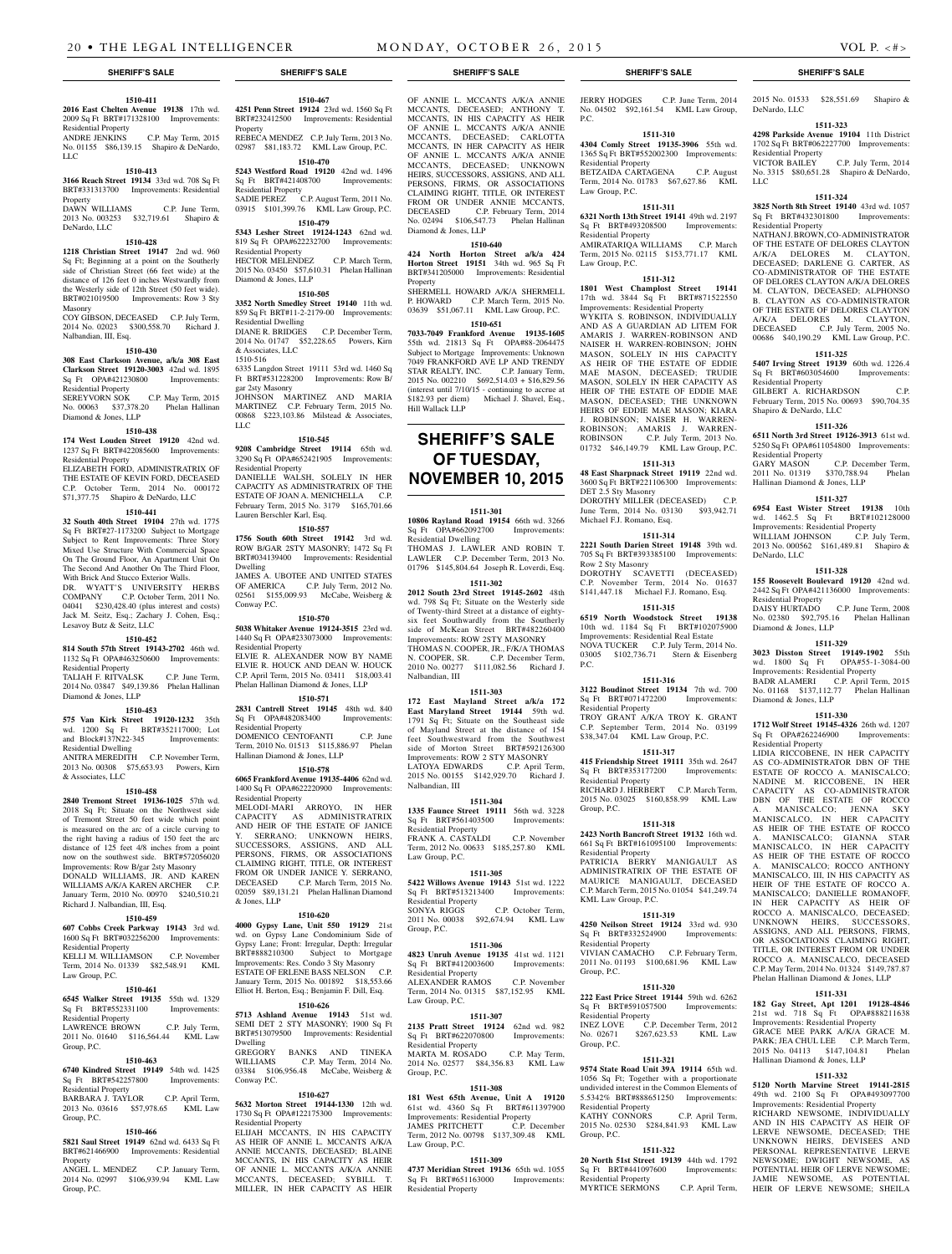## **1510-411**

**2016 East Chelten Avenue 19138** 17th wd. 2009 Sq Ft BRT#171328100 Improvements: Residential Property<br>ANDRE JENKINS C.P. May Term, 2015 No. 01155 \$86,139.15 Shapiro & DeNardo, LLC

## **1510-413**

**3166 Reach Street 19134** 33rd wd. 708 Sq Ft BRT#331313700 Improvements: Residential Property DAWN WILLIAMS C.P. June Term, 2013 No. 003253 \$32,719.61 Shapiro & DeNardo, LLC

## **1510-428**

**1218 Christian Street 19147** 2nd wd. 960 Sq Ft; Beginning at a point on the Southerly side of Christian Street (66 feet wide) at the distance of 126 feet 0 inches Westwardly from the Westerly side of 12th Street (50 feet wide). BRT#021019500 Improvements: Row 3 Sty Masonry COY GIBSON, DECEASED C.P. July Term,

2014 No. 02023 \$300,558.70 Richard J. Nalbandian, III, Esq.

#### **1510-430**

**308 East Clarkson Avenue, a/k/a 308 East Clarkson Street 19120-3003** 42nd wd. 1895 Sq Ft OPA#421230800 Improvements: Residential Property<br>SEREYVORN SOK C.P. May Term, 2015 No. 00063 \$37,378.20 Phelan Hallinan

Diamond & Jones, LLP

## **1510-438**

**174 West Louden Street 19120** 42nd wd. 1237 Sq Ft BRT#422085600 Improvements: Residential Property

ELIZABETH FORD, ADMINISTRATRIX OF THE ESTATE OF KEVIN FORD, DECEASED C.P. October Term, 2014 No. 000172 \$71,377.75 Shapiro & DeNardo, LLC

## **1510-441**

**32 South 40th Street 19104** 27th wd. 1775 Sq Ft BRT#27-1173200 Subject to Mortgage Subject to Rent Improvements: Three Story Mixed Use Structure With Commercial Space On The Ground Floor, An Apartment Unit On The Second And Another On The Third Floor, With Brick And Stucco Exterior Walls. DR. WYATT'S UNIVERSITY HERBS COMPANY C.P. October Term, 2011 No.<br>04041 \$230.428.40 (plus interest and costs)  $$230,428.40$  (plus interest and costs) Jack M. Seitz, Esq.; Zachary J. Cohen, Esq.; Lesavoy Butz & Seitz, LLC

## **1510-452**

**814 South 57th Street 19143-2702** 46th wd. 1132 Sq Ft OPA#463250600 Improvements: Residential Property

TALIAH F. RITVALSK C.P. June Term, 2014 No. 03847 \$49,139.86 Phelan Hallinan Diamond & Jones, LLP

## **1510-453**

**575 Van Kirk Street 19120-1232** 35th wd. 1200 Sq Ft BRT#352117000; Lot and Block#137N22-345 Improvements: Residential Dwelling ANITRA MEREDITH C.P. November Term,

2013 No. 00308 \$75,653.93 Powers, Kirn & Associates, LLC

## **1510-458**

**2840 Tremont Street 19136-1025** 57th wd. 2018 Sq Ft; Situate on the Northwest side of Tremont Street 50 feet wide which point is measured on the arc of a circle curving to the right having a radius of 150 feet the arc distance of 125 feet 4/8 inches from a point now on the southwest side. BRT#572056020 Improvements: Row B/gar 2sty Masonry DONALD WILLIAMS, JR. AND KAREN WILLIAMS A/K/A KAREN ARCHER C.P. January Term, 2010 No. 00970 \$240,510.21 Richard J. Nalbandian, III, Esq.

## **1510-459**

**607 Cobbs Creek Parkway 19143** 3rd wd. 1600 Sq Ft BRT#032256200 Improvements: Residential Property

KELLI M. WILLIAMSON C.P. November Term, 2014 No. 01339 \$82,548.91 KML Law Group, P.C.

## **1510-461**

**6545 Walker Street 19135** 55th wd. 1329 Sq Ft BRT#552331100 Improvements: Residential Property LAWRENCE BROWN C.P. July Term, 2011 No. 01640 \$116,564.44 KML Law

## Group, P.C. **1510-463**

**6740 Kindred Street 19149** 54th wd. 1425<br> **Sq** Ft BRT#542257800 Improvements: Sq Ft BRT#542257800 Residential Property BARBARA J. TAYLOR C.P. April Term,

2013 No. 03616 \$57,978.65 KML Law Group, P.C.

## **1510-466**

**5821 Saul Street 19149** 62nd wd. 6433 Sq Ft BRT#621466900 Improvements: Residential Property

ANGEL L. MENDEZ C.P. January Term, 2014 No. 02997 \$106,939.94 KML Law Group, P.C.

**1510-467 4251 Penn Street 19124** 23rd wd. 1560 Sq Ft BRT#232412500 Improvements: Residential Property REBECA MENDEZ C.P. July Term, 2013 No. 02987 \$81,183.72 KML Law Group, P.C.

**1510-470 5243 Westford Road 19120** 42nd wd. 1496 Sq Ft BRT#421408700 Improvements: Residential Property SADIE PEREZ C.P. August Term, 2011 No. 03915 \$101,399.76 KML Law Group, P.C.

**1510-479 5343 Lesher Street 19124-1243** 62nd wd. 819 Sq Ft OPA#622232700 Improvements: Residential Property

HECTOR MELENDEZ C.P. March Term, 2015 No. 03450 \$57,610.31 Phelan Hallinan Diamond & Jones, LLP

## **1510-505**

**3352 North Smedley Street 19140** 11th wd. 859 Sq Ft BRT#11-2-2179-00 Improvements: Residential Dwelling<br>DIANE R. BRIDGES C.P. December Term, 2014 No. 01747 \$52,228.65 Powers, Kirn & Associates, LLC

1510-516

6335 Langdon Street 19111 53rd wd. 1460 Sq Ft BRT#531228200 Improvements: Row B/ gar 2sty Masonry JOHNSON MARTINEZ AND MARIA MARTINEZ C.P. February Term, 2015 No. 00868 \$223,103.86 Milstead & Associates, LLC

#### **1510-545**

**9208 Cambridge Street 19114** 65th wd. 3290 Sq Ft OPA#652421905 Improvements: Residential Property DANIELLE WALSH, SOLELY IN HER CAPACITY AS ADMINISTRATRIX OF THE ESTATE OF JOAN A. MENICHELLA C.P.

## February Term, 2015 No. 3179 \$165,701.66

Lauren Berschler Karl, Esq. **1510-557 1756 South 60th Street 19142** 3rd wd. ROW B/GAR 2STY MASONRY; 1472 Sq Ft BRT#034139400 Improvements: Residential Dwelling

JAMES A. UBOTEE AND UNITED STATES OF AMERICA C.P. July Term, 2012 No. 02561 \$155,009.93 McCabe, Weisberg & Conway P.C.

**1510-570**

**5038 Whitaker Avenue 19124-3515** 23rd wd. 1440 Sq Ft OPA#233073000 Improvements: Residential Property ELVIE R. ALEXANDER NOW BY NAME ELVIE R. HOUCK AND DEAN W. HOUCK C.P. April Term, 2015 No. 03411 \$18,003.41 Phelan Hallinan Diamond & Jones, LLP

#### **1510-571**

**2831 Cantrell Street 19145** 48th wd. 840 Sq Ft OPA#482083400 Residential Property DOMENICO CENTOFANTI C.P. June Term, 2010 No. 01513 \$115,886.97 Phelan Hallinan Diamond & Jones, LLP

## **1510-578**

**6065 Frankford Avenue 19135-4406** 62nd wd. 1400 Sq Ft OPA#622220900 Improvements: Residential Property MELODI-MARI ARROYO, IN HER CAPACITY AS ADMINISTRATRIX AND HEIR OF THE ESTATE OF JANICE SERRANO; UNKNOWN HEIRS, SUCCESSORS, ASSIGNS, AND ALL PERSONS, FIRMS, OR ASSOCIATIONS CLAIMING RIGHT, TITLE, OR INTEREST FROM OR UNDER JANICE Y. SERRANO, DECEASED C.P. March Term, 2015 No. 02059 \$89,131.21 Phelan Hallinan Diamond

## **1510-620**

& Jones, LLP

**4000 Gypsy Lane, Unit 550 19129** 21st wd. on Gypsy Lane Condominium Side of Gypsy Lane; Front: Irregular, Depth: Irregular BRT#888210300 Subject to Mortgage Improvements: Res. Condo 3 Sty Masonry ESTATE OF ERLENE BASS NELSON January Term, 2015 No. 001892 \$18,553.66 Elliot H. Berton, Esq.; Benjamin F. Dill, Esq.

## **1510-626**

**5713 Ashland Avenue 19143** 51st wd. SEMI DET 2 STY MASONRY; 1900 Sq Ft BRT#513079500 Improvements: Residential Dwelling GREGORY BANKS AND TINEKA WILLIAMS C.P. May Term, 2014 No. WILLIAMS C.P. May Term, 2014 No.<br>03384 \$106,956.48 McCabe, Weisberg & Conway P.C.

## **1510-627**

**5632 Morton Street 19144-1330** 12th wd. 1730 Sq Ft OPA#122175300 Improvements: Residential Property

ELIJAH MCCANTS, IN HIS CAPACITY AS HEIR OF ANNIE L. MCCANTS A/K/A ANNIE MCCANTS, DECEASED; BLAINE MCCANTS, IN HIS CAPACITY AS HEIR OF ANNIE L. MCCANTS A/K/A ANNIE MCCANTS, DECEASED; SYBILL T. MILLER, IN HER CAPACITY AS HEIR OF ANNIE L. MCCANTS A/K/A ANNIE MCCANTS, DECEASED; ANTHONY T. MCCANTS, IN HIS CAPACITY AS HEIR OF ANNIE L. MCCANTS A/K/A ANNIE MCCANTS, DECEASED; CARLOTTA MCCANTS, IN HER CAPACITY AS HEIR OF ANNIE L. MCCANTS A/K/A ANNIE MCCANTS, DECEASED; UNKNOWN HEIRS, SUCCESSORS, ASSIGNS, AND ALL PERSONS, FIRMS, OR ASSOCIATIONS CLAIMING RIGHT, TITLE, OR INTEREST FROM OR UNDER ANNIE MCCANTS, DECEASED C.P. February Term, 2014 No. 02494 \$106,547.73 Phelan Hallinan Diamond & Jones, LLP

## **1510-640**

**424 North Horton Street a/k/a 424 Horton Street 19151** 34th wd. 965 Sq Ft BRT#341205000 Improvements: Residential Property SHERMELL HOWARD A/K/A SHERMELL

P. HOWARD C.P. March Term, 2015 No. 03639 \$51,067.11 KML Law Group, P.C. **1510-651**

**7033-7049 Frankford Avenue 19135-1605**  55th wd. 21813 Sq Ft OPA#88-2064475 Subject to Mortgage Improvements: Unknown 7049 FRANKFORD AVE LP AND TRENDY STAR REALTY, INC. C.P. January Term, 2015 No. 002210 \$692,514.03 + \$16,829.56 (interest until 7/10/15 - continuing to accrue at \$182.93 per diem) Michael J. Shavel, Esq., Hill Wallack LLP

## **SHERIFF'S SALE OF TUESDAY, November 10, 2015**

## **1511-301**

**10806 Rayland Road 19154** 66th wd. 3266<br>Sq Ft OPA#662092700 Improvements: Sq Ft OPA#662092700 Residential Dwelling THOMAS J. LAWLER AND ROBIN T. LAWLER C.P. December Term, 2013 No. 01796 \$145,804.64 Joseph R. Loverdi, Esq.

## **1511-302**

**2012 South 23rd Street 19145-2602** 48th wd. 798 Sq Ft; Situate on the Westerly side of Twenty-third Street at a distance of eightysix feet Southwardly from the Southerly side of McKean Street BRT#482260400 Improvements: ROW 2STY MASONRY THOMAS N. COOPER, JR., F/K/A THOMAS N. COOPER, SR. C.P. December Term, 2010 No. 00277 \$111,082.56 Richard J. Nalbandian, III

## **1511-303**

**172 East Mayland Street a/k/a 172 East Maryland Street 19144** 59th wd. 1791 Sq Ft; Situate on the Southeast side of Mayland Street at the distance of 154 feet Southwestward from the Southwest side of Morton Street BRT#592126300 Improvements: ROW 2 STY MASONRY<br>LATOYA EDWARDS C.P. April Term, LATOYA EDWARDS 2015 No. 00155 \$142,929.70 Richard J. Nalbandian, III

#### **1511-304**

**1335 Faunce Street 19111** 56th wd. 3228 Sq Ft BRT#561403500 Improvements: Residential Property FRANK A. CASTALDI C.P. November Term, 2012 No. 00633 \$185,257.80 KML Law Group, P.C.

## **1511-305**

**5422 Willows Avenue 19143** 51st wd. 1222 Sq Ft BRT#513213400 Improvements: Residential Property SONYA RIGGS C.P. October Term, 2011 No. 00038 \$92,674.94 KML Law Group, P.C.

## **1511-306**

**4823 Unruh Avenue 19135** 41st wd. 1121 Sq Ft BRT#412003600 Improvements: Residential Property ALEXANDER RAMOS C.P. November Term, 2014 No. 01315 \$87,152.95 KML Law Group, P.C.

## **1511-307**

**2135 Pratt Street 19124** 62nd wd. 982 Sq Ft BRT#622070800 Improvements: dential Property MARTA M. ROSADO C.P. May Term, 2014 No. 02577 \$84,356.83 KML Law Group, P.C.

## **1511-308**

**181 West 65th Avenue, Unit A 19120**  61st wd. 4360 Sq Ft BRT#611397900 Improvements: Residential Property<br>JAMES PRITCHETT C.P. December JAMES PRITCHETT C.P. December Term, 2012 No. 00798 \$137,309.48 KML Law Group, P.C.

## **1511-309**

**4737 Meridian Street 19136** 65th wd. 1055<br>Sq. Ft. BRT#651163000 Improvements: Sq Ft BRT#651163000 Residential Property

## **SHERIFF'S SALE SHERIFF'S SALE SHERIFF'S SALE SHERIFF'S SALE SHERIFF'S SALE**

JERRY HODGES C.P. June Term, 2014 No. 04502 \$92,161.54 KML Law Group, P.C.

2015 No. 01533 \$28,551.69 Shapiro &

**1511-323 4298 Parkside Avenue 19104** 11th District 1702 Sq Ft BRT#062227700 Improvements:

No. 3315 \$80,651.28 Shapiro & DeNardo,

**1511-324 3825 North 8th Street 19140** 43rd wd. 1057 Sq Ft BRT#432301800 Improvements:

NATHAN J. BROWN, CO-ADMINISTRATOR OF THE ESTATE OF DELORES CLAYTON A/K/A DELORES M. CLAYTON, DECEASED; DARLENE G. CARTER, AS CO-ADMINISTRATOR OF THE ESTATE OF DELORES CLAYTON A/K/A DELORES M. CLAYTON, DECEASED; ALPHONSO B. CLAYTON AS CO-ADMINISTRATOR OF THE ESTATE OF DELORES CLAYTON A/K/A DELORES M. CLAYTON, DECEASED C.P. July Term, 2005 No. 00686 \$40,190.29 KML Law Group, P.C. **1511-325 5407 Irving Street 19139** 60th wd. 1226.4 Sq Ft BRT#603054600 Improvements:

GILBERT A. RICHARDSON C.P. February Term, 2015 No. 00693 \$90,704.35

**1511-326 6511 North 3rd Street 19126-3913** 61st wd. 5250 Sq Ft OPA#611054800 Improvements:

GARY MASON C.P. December Term, 2011 No. 01319 \$370,788.94 Phelan

**1511-327 6954 East Wister Street 19138** 10th wd. 1462.5 Sq Ft BRT#102128000 Improvements: Residential Property WILLIAM JOHNSON C.P. July Term, 2013 No. 000562 \$161,489.81 Shapiro &

**1511-328 155 Roosevelt Boulevard 19120** 42nd wd. 2442 Sq Ft OPA#421136000 Improvements:

DAISY HURTADO C.P. June Term, 2008 No. 02380 \$92,795.16 Phelan Hallinan

**1511-329 3023 Disston Street 19149-1902** 55th wd. 1800 Sq Ft OPA#55-1-3084-00 Improvements: Residential Property BADR ALAMERI C.P. April Term, 2015 No. 01168 \$137,112.77 Phelan Hallinan

**1511-330 1712 Wolf Street 19145-4326** 26th wd. 1207 Sq Ft OPA#262246900 Improvements:

LIDIA RICCOBENE, IN HER CAPACITY AS CO-ADMINISTRATOR DBN OF THE ESTATE OF ROCCO A. MANISCALCO; NADINE M. RICCOBENE, IN HER CAPACITY AS CO-ADMINISTRATOR DBN OF THE ESTATE OF ROCCO A. MANISCALCO; JENNA SKY MANISCALCO, IN HER CAPACITY AS HEIR OF THE ESTATE OF ROCCO A. MANISCALCO; GIANNA STAR MANISCALCO, IN HER CAPACITY AS HEIR OF THE ESTATE OF ROCCO A. MANISCALCO; ROCCO ANTHONY MANISCALCO, III, IN HIS CAPACITY AS HEIR OF THE ESTATE OF ROCCO A. MANISCALCO; DANIELLE ROMANOFF, IN HER CAPACITY AS HEIR OF ROCCO A. MANISCALCO, DECEASED; UNKNOWN HEIRS, SUCCESSORS, ASSIGNS, AND ALL PERSONS, FIRMS, OR ASSOCIATIONS CLAIMING RIGHT, TITLE, OR INTEREST FROM OR UNDER ROCCO A. MANISCALCO, DECEASED C.P. May Term, 2014 No. 01324 \$149,787.87 Phelan Hallinan Diamond & Jones, LLP **1511-331 182 Gay Street, Apt 1201 19128-4846**  21st wd. 718 Sq Ft OPA#888211638 Improvements: Residential Property GRACE MEE PARK A/K/A GRACE M. PARK; JEA CHUL LEE C.P. March Term, 2015 No. 04113 \$147,104.81 Phelan

C.P. July Term, 2014

DeNardo, LLC

LLC

Residential Property<br>VICTOR BAILEY

Residential Property

Residential Property

Residential Property

DeNardo, LLC

Residential Property

Diamond & Jones, LLP

Diamond & Jones, LLP

Residential Property

Hallinan Diamond & Jones, LLP

**1511-332 5120 North Marvine Street 19141-2815**  49th wd. 2100 Sq Ft OPA#493097700 Improvements: Residential Property RICHARD NEWSOME, INDIVIDUALLY AND IN HIS CAPACITY AS HEIR OF LERVE NEWSOME, DECEASED; THE UNKNOWN HEIRS, DEVISEES AND PERSONAL REPRESENTATIVE LERVE NEWSOME; DWIGHT NEWSOME, AS POTENTIAL HEIR OF LERVE NEWSOME; JAMIE NEWSOME, AS POTENTIAL HEIR OF LERVE NEWSOME; SHEILA

Shapiro & DeNardo, LLC

Hallinan Diamond & Jones, LLP

## **1511-310**

**4304 Comly Street 19135-3906** 55th wd. 1365 Sq Ft BRT#552002300 Improvements: Residential Property BETZAIDA CARTAGENA C.P. August

Term, 2014 No. 01783 \$67,627.86 KML Law Group, P.C.

#### **1511-311 6321 North 13th Street 19141** 49th wd. 2197

Sq Ft BRT#493208500 Improvements: Residential Property AMIRATARIQA WILLIAMS C.P. March Term, 2015 No. 02115 \$153,771.17 KML

Law Group, P.C. **1511-312**

**1801 West Champlost Street 19141**  17th wd. 3844 Sq Ft BRT#871522550 Improvements: Residential Property WYKITA S. ROBINSON, INDIVIDUALLY AND AS A GUARDIAN AD LITEM FOR AMARIS J. WARREN-ROBINSON AND NAISER H. WARREN-ROBINSON; JOHN MASON, SOLELY IN HIS CAPACITY AS HEIR OF THE ESTATE OF EDDIE MAE MASON, DECEASED; TRUDIE MASON, SOLELY IN HER CAPACITY AS HEIR OF THE ESTATE OF EDDIE MAE MASON, DECEASED; THE UNKNOWN HEIRS OF EDDIE MAE MASON; KIARA J. ROBINSON; NAISER H. WARREN-ROBINSON; AMARIS J. WARREN-<br>PORINSON C.P. July Tarm 2013 No. ROBINSON C.P. July Term, 2013 No. 01732 \$46,149.79 KML Law Group, P.C.

## **1511-313**

**48 East Sharpnack Street 19119** 22nd wd. 3600 Sq Ft BRT#221106300 Improvements: DET 2.5 Sty Masonry

DOROTHY MILLER (DECEASED) June Term, 2014 No. 03130 \$93,942.71 Michael F.J. Romano, Esq.

705 Sq Ft BRT#393385100 Improvements:

DOROTHY SCAVETTI (DECEASED) C.P. November Term, 2014 No. 01637 \$141,447.18 Michael F.J. Romano, Esq. **1511-315 6519 North Woodstock Street 19138**  10th wd. 1184 Sq Ft BRT#102075900 Improvements: Residential Real Estate NOVA TUCKER C.P. July Term, 2014 No. 03005 \$102,736.71 Stern & Eisenberg

**1511-316 3122 Boudinot Street 19134** 7th wd. 700 Sq Ft BRT#071472200 Improvements:

TROY GRANT A/K/A TROY K. GRANT C.P. September Term, 2014 No. 03199 \$38,347.04 KML Law Group, P.C. **1511-317 415 Friendship Street 19111** 35th wd. 2647 Sq Ft BRT#353177200 Improvements:

RICHARD J. HERBERT C.P. March Term, 2015 No. 03025 \$160,858.99 KML Law

**1511-318 2423 North Bancroft Street 19132** 16th wd. 661 Sq Ft BRT#161095100 Improvements:

PATRICIA BERRY MANIGAULT AS ADMINISTRATRIX OF THE ESTATE OF MAURICE MANIGAULT, DECEASED C.P. March Term, 2015 No. 01054 \$41,249.74

**1511-319 4250 Neilson Street 19124** 33rd wd. 930

VIVIAN CAMACHO C.P. February Term, 2011 No. 01193 \$100,681.96 KML Law

**1511-320 222 East Price Street 19144** 59th wd. 6262 Sq Ft BRT#591057500 Improvements:

INEZ LOVE C.P. December Term, 2012 No. 02671 \$267,623.53 KML Law

**1511-321 9574 State Road Unit 39A 19114** 65th wd. 1056 Sq Ft; Together with a proportionate undivided interest in the Common Elements of 5.5342% BRT#888651250 Improvements:

KATHY CONNORS C.P. April Term, 2015 No. 02530 \$284,841.93 KML Law

**1511-322 20 North 51st Street 19139** 44th wd. 1792

MYRTICE SERMONS C.P. April Term,

#### **1511-314 2221 South Darien Street 19148** 39th wd.

Row 2 Sty Masonry

Residential Property

Residential Property

Residential Property

KML Law Group, P.C.

Group, P.C.

Group, P.C.

Group, P.C.

Residential Property

Residential Property

Sq Ft BRT#441097600 Residential Property

Sq Ft BRT#332524900 Residential Property

Group, P.C.

 $PC$ .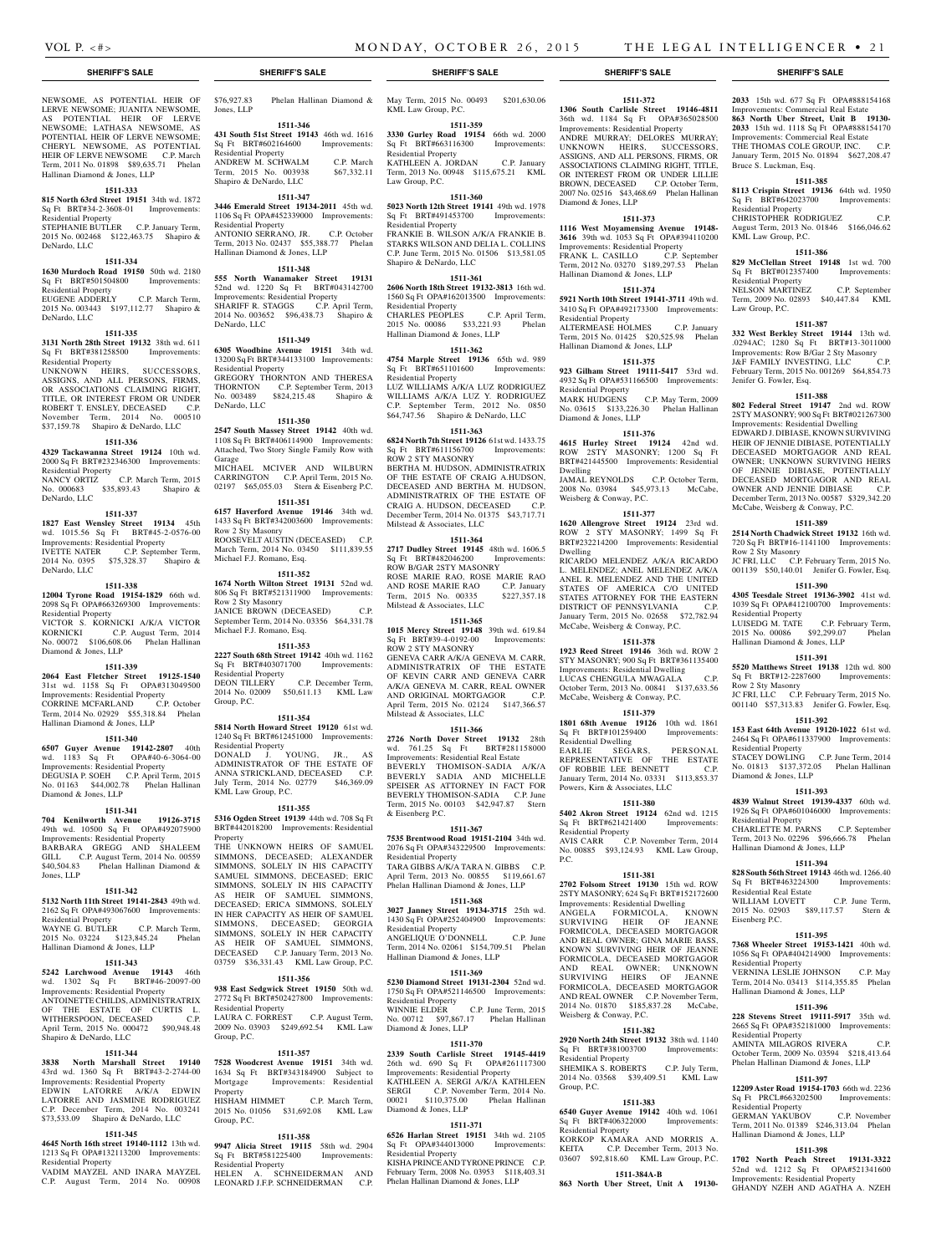NEWSOME, AS POTENTIAL HEIR OF LERVE NEWSOME; JUANITA NEWSOME, AS POTENTIAL HEIR OF LERVE NEWSOME; LATHASA NEWSOME, AS POTENTIAL HEIR OF LERVE NEWSOME; CHERYL NEWSOME, AS POTENTIAL HEIR OF LERVE NEWSOME C.P. March Term, 2011 No. 01898 \$89,635.71 Phelan Hallinan Diamond & Jones, LLP

## **1511-333**

**815 North 63rd Street 19151** 34th wd. 1872 Sq Ft BRT#34-2-3608-01 Improvements: Residential Property STEPHANIE BUTLER C.P. January Term,

2015 No. 002468 \$122,463.75 Shapiro & DeNardo, LLC **1511-334**

## **1630 Murdoch Road 19150** 50th wd. 2180

Sq Ft BRT#501504800 Improvements: Residential Property EUGENE ADDERLY C.P. March Term,

2015 No. 003443 \$197,112.77 Shapiro & DeNardo, LLC

## **1511-335**

**3131 North 28th Street 19132** 38th wd. 611 Sq Ft BRT#381258500 Improvements: Residential Property UNKNOWN HEIRS, SUCCESSORS,

ASSIGNS, AND ALL PERSONS, FIRMS, OR ASSOCIATIONS CLAIMING RIGHT, TITLE, OR INTEREST FROM OR UNDER ROBERT T. ENSLEY, DECEASED C.P. November Term, 2014 No. 000510 \$37,159.78 Shapiro & DeNardo, LLC

## **1511-336**

**4329 Tackawanna Street 19124** 10th wd. 2000 Sq Ft BRT#232346300 Improvements: Residential Property NANCY ORTIZ C.P. March Term, 2015

No. 000683 \$35,893.43 Shapiro & DeNardo, LLC

## **1511-337**

**1827 East Wensley Street 19134** 45th wd. 1015.56 Sq Ft BRT#45-2-0576-00 Improvements: Residential Property IVETTE NATER C.P. September Term, 2014 No. 0395 \$75,328.37 Shapiro & DeNardo, LLC

## **1511-338**

**12004 Tyrone Road 19154-1829** 66th wd. 2098 Sq Ft OPA#663269300 Improvements: Residential Property VICTOR S. KORNICKI A/K/A VICTOR KORNICKI C.P. August Term, 2014 No. 00072 \$106,608.06 Phelan Hallinan

## Diamond & Jones, LLP **1511-339**

**2064 East Fletcher Street 19125-1540** 

31st wd. 1158 Sq Ft OPA#313049500 Improvements: Residential Property CORRINE MCFARLAND C.P. October Term, 2014 No. 02929 \$55,318.84 Phelan Hallinan Diamond & Jones, LLP

## **1511-340**

**6507 Guyer Avenue 19142-2807** 40th wd. 1183 Sq Ft OPA#40-6-3064-00 Improvements: Residential Property DEGUSIA P. SOEH C.P. April Term, 2015 No. 01163 \$44,002.78 Phelan Hallinan Diamond & Jones, LLP

## **1511-341**

**704 Kenilworth Avenue 19126-3715**  49th wd. 10500 Sq Ft OPA#492075900 Improvements: Residential Property BARBARA GREGG AND SHALEEM GILL C.P. August Term, 2014 No. 00559 \$40,504.83 Phelan Hallinan Diamond & Jones, LLP

### **1511-342**

**5132 North 11th Street 19141-2843** 49th wd. 2162 Sq Ft OPA#493067600 Improvements: Residential Property

WAYNE G. BUTLER C.P. March Term, 2015 No. 03224 \$123,845.24 Phelan Hallinan Diamond & Jones, LLP

## **1511-343**

**5242 Larchwood Avenue 19143** 46th wd. 1302 Sq Ft BRT#46-20097-00 Improvements: Residential Property ANTOINETTE CHILDS, ADMINISTRATRIX OF THE ESTATE OF CURTIS L. WITHERSPOON, DECEASED C.P. April Term, 2015 No. 000472 \$90,948.48 Shapiro & DeNardo, LLC

## **1511-344**

**3838 North Marshall Street 19140**  43rd wd. 1360 Sq Ft BRT#43-2-2744-00 Improvements: Residential Property<br>EDWIN LATORRE A/K/A EDWIN EDWIN LATORRE A/K/A LATORRE AND JASMINE RODRIGUEZ C.P. December Term, 2014 No. 003241 \$73,533.09 Shapiro & DeNardo, LLC

## **1511-345**

**4645 North 16th street 19140-1112** 13th wd. 1213 Sq Ft OPA#132113200 Improvements: Residential Property

VADIM MAYZEL AND INARA MAYZEL C.P. August Term, 2014 No. 00908 \$76,927.83 Phelan Hallinan Diamond &

## **1511-346**

Jones, LLP

**431 South 51st Street 19143** 46th wd. 1616 Sq Ft BRT#602164600 Improvements: Residential Property ANDREW M. SCHWALM C.P. March Term, 2015 No. 003938 \$67,332.11 Shapiro & DeNardo, LLC

## **1511-347**

**3446 Emerald Street 19134-2011** 45th wd. 1106 Sq Ft OPA#452339000 Improvements: Residential Property ANTONIO SERRANO, JR. C.P. October Term, 2013 No. 02437 \$55,388.77 Phelan Hallinan Diamond & Jones, LLP

## **1511-348**

**555 North Wanamaker Street 19131**  52nd wd. 1220 Sq Ft BRT#043142700 Improvements: Residential Property SHARIFF R. STAGGS C.P. April Term, 2014 No. 003652 \$96,438.73 Shapiro & DeNardo, LLC

### **1511-349**

**6305 Woodbine Avenue 19151** 34th wd. 13200 Sq Ft BRT#344133100 Improvements: Residential Property GREGORY THORNTON AND THERESA THORNTON C.P. September Term, 2013 No. 003489 \$824,215.48 Shapiro & DeNardo, LLC

### **1511-350**

**2547 South Massey Street 19142** 40th wd. 1108 Sq Ft BRT#406114900 Improvements: Attached, Two Story Single Family Row with Garage MICHAEL MCIVER AND WILBURN CARRINGTON C.P. April Term, 2015 No. 02197 \$65,055.03 Stern & Eisenberg P.C.

### **1511-351**

**6157 Haverford Avenue 19146** 34th wd. 1433 Sq Ft BRT#342003600 Improvements: Row 2 Sty Masonry ROOSEVELT AUSTIN (DECEASED) C.P. March Term, 2014 No. 03450 \$111,839.55 Michael F.J. Romano, Esq.

## **1511-352**

**1674 North Wilton Street 19131** 52nd wd. 806 Sq Ft BRT#521311900 Improvements: Row 2 Sty Masonry JANICE BROWN (DECEASED) C.P. September Term, 2014 No. 03356 \$64,331.78 Michael F.J. Romano, Esq.

## **1511-353**

**2227 South 68th Street 19142** 40th wd. 1162 Sq Ft BRT#403071700 Improvements: Residential Property DEON TILLERY C.P. December Term, 2014 No. 02009 \$50,611.13 KML Law THERY C.P. December Term,<br>2014 No. 02009 \$50,611.13 KML Law<br>Group, P.C.

## **1511-354**

**5814 North Howard Street 19120** 61st wd. 1240 Sq Ft BRT#612451000 Improvements: Residential Property DONALD J. YOUNG, JR., AS ADMINISTRATOR OF THE ESTATE OF ANNA STRICKLAND, DECEASED C.P. July Term, 2014 No. 02779 \$46,369.09 KML Law Group, P.C.

## **1511-355**

**5316 Ogden Street 19139** 44th wd. 708 Sq Ft BRT#442018200 Improvements: Residential Property

THE UNKNOWN HEIRS OF SAMUEL SIMMONS, DECEASED; ALEXANDER SIMMONS, SOLELY IN HIS CAPACITY SAMUEL SIMMONS, DECEASED; ERIC SIMMONS, SOLELY IN HIS CAPACITY AS HEIR OF SAMUEL SIMMONS, DECEASED; ERICA SIMMONS, SOLELY IN HER CAPACITY AS HEIR OF SAMUEL SIMMONS, DECEASED; GEORGIA SIMMONS, SOLELY IN HER CAPACITY AS HEIR OF SAMUEL SIMMONS, DECEASED C.P. January Term, 2013 No. 03759 \$36,331.43 KML Law Group, P.C.

## **1511-356**

**938 East Sedgwick Street 19150** 50th wd. 2772 Sq Ft BRT#502427800 Improvements: Residential Property

LAURA C. FORREST C.P. August Term, 2009 No. 03903 \$249,692.54 KML Law Group, P.C.

## **1511-357**

**7528 Woodcrest Avenue 19151** 34th wd. 1634 Sq Ft BRT#343184900 Subject to Mortgage Improvements: Residential Property HISHAM HIMMET C.P. March Term, 2015 No. 01056 \$31,692.08 KML Law Group, P.C.

### **1511-358**

**9947 Alicia Street 19115** 58th wd. 2904 Sq Ft BRT#581225400 Improvements: Residential Property

HELEN A. SCHNEIDERMAN AND LEONARD J.F.P. SCHNEIDERMAN C.P.

May Term, 2015 No. 00493 \$201,630.06 KML Law Group, P.C.

## **1511-359 3330 Gurley Road 19154** 66th wd. 2000

Sq Ft BRT#663116300 Improvements: Residential Property KATHLEEN A. JORDAN C.P. January Term, 2013 No. 00948 \$115,675.21 KML Law Group, P.C.

#### **1511-360**

**5023 North 12th Street 19141** 49th wd. 1978 Sq Ft BRT#491453700 Residential Property FRANKIE B. WILSON A/K/A FRANKIE B. STARKS WILSON AND DELIA L. COLLINS C.P. June Term, 2015 No. 01506 \$13,581.05 Shapiro & DeNardo, LLC

## **1511-361**

**2606 North 18th Street 19132-3813** 16th wd. 1560 Sq Ft OPA#162013500 Improvements: Residential Property CHARLES PEOPLES C.P. April Term, 2015 No. 00086 \$33,221.93 Phelan

## Hallinan Diamond & Jones, LLP

**1511-362 4754 Marple Street 19136** 65th wd. 989 Sq Ft BRT#651101600 Improvements: Residential Property LUZ WILLIAMS A/K/A LUZ RODRIGUEZ WILLIAMS A/K/A LUZ Y. RODRIGUEZ C.P. September Term, 2012 No. 0850 \$64,747.56 Shapiro & DeNardo, LLC

### **1511-363**

**6824 North 7th Street 19126** 61st wd. 1433.75 Sq Ft BRT#611156700 Improvements: ROW 2 STY MASONRY BERTHA M. HUDSON, ADMINISTRATRIX OF THE ESTATE OF CRAIG A.HUDSON, DECEASED AND BERTHA M. HUDSON, ADMINISTRATRIX OF THE ESTATE OF CRAIG A. HUDSON, DECEASED C.P. December Term, 2014 No. 01375 \$43,717.71 Milstead & Associates, LLC

#### **1511-364**

**2717 Dudley Street 19145** 48th wd. 1606.5 Sq Ft BRT#482046200 Improvements: ROW B/GAR 2STY MASONRY ROSE MARIE RAO, ROSE MARIE RAO AND ROSE MARIE RAO C.P. January Term, 2015 No. 00335 \$227,357.18 Milstead & Associates, LLC

## **1511-365**

**1015 Mercy Street 19148** 39th wd. 619.84 Sq Ft BRT#39-4-0192-00 Improvements: ROW 2 STY MASONRY GENEVA CARR A/K/A GENEVA M. CARR, ADMINISTRATRIX OF THE ESTATE OF KEVIN CARR AND GENEVA CARR A/K/A GENEVA M. CARR, REAL OWNER AND ORIGINAL MORTGAGOR C.P. April Term, 2015 No. 02124 \$147,366.57 Milstead & Associates, LLC

## **1511-366**

**2726 North Dover Street 19132** 28th wd. 761.25 Sq Ft BRT#281158000 Improvements: Residential Real Estate BEVERLY THOMISON-SADIA A/K/A BEVERLY SADIA AND MICHELLE SPEISER AS ATTORNEY IN FACT FOR BEVERLY THOMISON-SADIA C.P. June Term, 2015 No. 00103 \$42,947.87 Stern & Eisenberg P.C.

## **1511-367**

**7535 Brentwood Road 19151-2104** 34th wd. 2076 Sq Ft OPA#343229500 Improvements: Residential Property

TARA GIBBS A/K/A TARA N. GIBBS C.P. April Term, 2013 No. 00855 \$119,661.67 Phelan Hallinan Diamond & Jones, LLP

### **1511-368**

**3027 Janney Street 19134-3715** 25th wd. 1430 Sq Ft OPA#252404900 Improvements: Residential Property ANGELIQUE O'DONNELL C.P. June

Term, 2014 No. 02061 \$154,709.51 Phelan Hallinan Diamond & Jones, LLP

## **1511-369**

**5230 Diamond Street 19131-2304** 52nd wd. 1750 Sq Ft OPA#521146500 Improvements: Residential Property WINNIE ELDER C.P. June Term, 2015 WINNIE ELDER<br>No. 00712 \$97,867.17 Phelan Hallinan Diamond & Jones, LLP

### **1511-370**

**2339 South Carlisle Street 19145-4419**  26th wd. 690 Sq Ft OPA#261117300 Improvements: Residential Property KATHLEEN A. SERGI A/K/A KATHLEEN SERGI C.P. November Term, 2014 No. 00021 \$110,375.00 Phelan Hallinan Diamond & Jones, LLP

## **1511-371**

**6526 Harlan Street 19151** 34th wd. 2105 Sq Ft OPA#344013000 Improvements: Residential Property KISHA PRINCE AND TYRONE PRINCE C.P. February Term, 2008 No. 03953 \$118,403.31 Phelan Hallinan Diamond & Jones, LLP

## **SHERIFF'S SALE SHERIFF'S SALE SHERIFF'S SALE SHERIFF'S SALE SHERIFF'S SALE**

**2033** 15th wd. 677 Sq Ft OPA#888154168 Improvements: Commercial Real Estate **863 North Uber Street, Unit B 19130- 2033** 15th wd. 1118 Sq Ft OPA#888154170 Improvements: Commercial Real Estate THE THOMAS COLE GROUP, INC. C.P. January Term, 2015 No. 01894 \$627,208.47

**1511-385 8113 Crispin Street 19136** 64th wd. 1950 Sq Ft BRT#642023700 Improvements:

CHRISTOPHER RODRIGUEZ C.P. August Term, 2013 No. 01846 \$166,046.62

**1511-386 829 McClellan Street 19148** 1st wd. 700<br>Sq Ft BRT#012357400 Improvements:

NELSON MARTINEZ C.P. September Term, 2009 No. 02893 \$40,447.84 KML

**1511-387 332 West Berkley Street 19144** 13th wd. .0294AC; 1280 Sq Ft BRT#13-3011000 Improvements: Row B/Gar 2 Sty Masonry J&F FAMILY INVESTING, LLC C.P. February Term, 2015 No. 001269 \$64,854.73

**1511-388 802 Federal Street 19147** 2nd wd. ROW 2STY MASONRY; 900 Sq Ft BRT#021267300 Improvements: Residential Dwelling EDWARD J. DIBIASE, KNOWN SURVIVING HEIR OF JENNIE DIBIASE, POTENTIALLY DECEASED MORTGAGOR AND REAL OWNER; UNKNOWN SURVIVING HEIRS OF JENNIE DIBIASE, POTENTIALLY DECEASED MORTGAGOR AND REAL OWNER AND JENNIE DIBIASE C.P. December Term, 2013 No. 00587 \$329,342.20 McCabe, Weisberg & Conway, P.C. **1511-389 2514 North Chadwick Street 19132** 16th wd. 720 Sq Ft BRT#16-1141100 Improvements:

JC FRI, LLC C.P. February Term, 2015 No. 001139 \$50,140.01 Jenifer G. Fowler, Esq. **1511-390 4305 Teesdale Street 19136-3902** 41st wd. 1039 Sq Ft OPA#412100700 Improvements:

LUISEDG M. TATE C.P. February Term, 2015 No. 00086 \$92,299.07 Phelan

**1511-391 5520 Matthews Street 19138** 12th wd. 800 Sq Ft BRT#12-2287600 Improvements:

JC FRI, LLC C.P. February Term, 2015 No. 001140 \$57,313.83 Jenifer G. Fowler, Esq. **1511-392 153 East 64th Avenue 19120-1022** 61st wd. 2464 Sq Ft OPA#611337900 Improvements:

STACEY DOWLING C.P. June Term, 2014 No. 01813 \$137,372.05 Phelan Hallinan

**1511-393 4839 Walnut Street 19139-4337** 60th wd. 1926 Sq Ft OPA#601046000 Improvements:

CHARLETTE M. PARNS C.P. September Term, 2013 No. 02296 \$96,666.78 Phelan

**1511-394 828 South 56th Street 19143** 46th wd. 1266.40 Sq Ft BRT#463224300 Improvements:

WILLIAM LOVETT C.P. June Term, 2015 No. 02903 \$89,117.57 Stern &

**1511-395 7368 Wheeler Street 19153-1421** 40th wd. 1056 Sq Ft OPA#404214900 Improvements:

VERNINA LESLIE JOHNSON C.P. May Term, 2014 No. 03413 \$114,355.85 Phelan

GERMAN YAKUBOV C.P. November Term, 2011 No. 01389 \$246,313.04 Phelan

**1511-398 1702 North Peach Street 19131-3322**  52nd wd. 1212 Sq Ft OPA#521341600 Improvements: Residential Property GHANDY NZEH AND AGATHA A. NZEH

Hallinan Diamond & Jones, LLP **1511-396 228 Stevens Street 19111-5917** 35th wd. 2665 Sq Ft OPA#352181000 Improvements:

AMINTA MILAGROS RIVERA October Term, 2009 No. 03594 \$218,413.64 Phelan Hallinan Diamond & Jones, LLP **1511-397 12209 Aster Road 19154-1703** 66th wd. 2236 Sq Ft PRCL#663202500 Improvements:

Hallinan Diamond & Jones, LLP

Bruce S. Luckman, Esq.

Residential Property

KML Law Group, P.C.

Sq Ft BRT#012357400 Residential Property

Law Group, P.C.

Jenifer G. Fowler, Esq.

Row 2 Sty Masonry

Residential Property

Row 2 Sty Masonry

Residential Property

Diamond & Jones, LLP

Residential Property

Residential Real Estate

Eisenberg P.C.

Residential Property

Residential Property

Residential Property

Hallinan Diamond & Jones, LLP

Hallinan Diamond & Jones, LLP

**1511-372 1306 South Carlisle Street 19146-4811**  36th wd. 1184 Sq Ft OPA#365028500 Improvements: Residential Property ANDRE MURRAY; DELORES MURRAY; UNKNOWN HEIRS, SUCCESSORS, ASSIGNS, AND ALL PERSONS, FIRMS, OR ASSOCIATIONS CLAIMING RIGHT, TITLE, OR INTEREST FROM OR UNDER LILLIE BROWN, DECEASED C.P. October Term, 2007 No. 02516 \$43,468.69 Phelan Hallinan Diamond & Jones, LLP

### **1511-373**

**1116 West Moyamensing Avenue 19148- 3616** 39th wd. 1053 Sq Ft OPA#394110200 Improvements: Residential Property FRANK L. CASILLO C.P. September Term, 2012 No. 03270 \$189,297.53 Phelan Hallinan Diamond & Jones, LLP

**1511-374 5921 North 10th Street 19141-3711** 49th wd. 3410 Sq Ft OPA#492173300 Improvements:

ALTERMEASE HOLMES C.P. January Term, 2015 No. 01425 \$20,525.98 Phelan

**1511-375 923 Gilham Street 19111-5417** 53rd wd. 4932 Sq Ft OPA#531166500 Improvements:

MARK HUDGENS C.P. May Term, 2009 No. 03615 \$133,226.30 Phelan Hallinan

**1511-376 4615 Hurley Street 19124** 42nd wd. ROW 2STY MASONRY; 1200 Sq Ft BRT#421445500 Improvements: Residential

JAMAL REYNOLDS C.P. October Term, 2008 No. 03984 \$45,973.13 McCabe,

**1511-377 1620 Allengrove Street 19124** 23rd wd. ROW 2 STY MASONRY; 1499 Sq Ft BRT#232214200 Improvements: Residential

RICARDO MELENDEZ A/K/A RICARDO L. MELENDEZ; ANEL MELENDEZ A/K/A ANEL R. MELENDEZ AND THE UNITED STATES OF AMERICA C/O UNITED STATES ATTORNEY FOR THE EASTERN DISTRICT OF PENNSYLVANIA C.P. January Term, 2015 No. 02658 \$72,782.94 McCabe, Weisberg & Conway, P.C. **1511-378 1923 Reed Street 19146** 36th wd. ROW 2 STY MASONRY; 900 Sq Ft BRT#361135400 Improvements: Residential Dwelling LUCAS CHENGULA MWAGALA C.P. October Term, 2013 No. 00841 \$137,633.56 McCabe, Weisberg & Conway, P.C. **1511-379 1801 68th Avenue 19126** 10th wd. 1861 Sq Ft BRT#101259400 Improvements:

EARLIE SEGARS, PERSONAL REPRESENTATIVE OF THE ESTATE OF ROBBIE LEE BENNETT C.P. January Term, 2014 No. 03331 \$113,853.37

**1511-380 5402 Akron Street 19124** 62nd wd. 1215 Sq Ft BRT#621421400 Improvements:

AVIS CARR C.P. November Term, 2014 No. 00885 \$93,124.93 KML Law Group,

**1511-381 2702 Folsom Street 19130** 15th wd. ROW 2STY MASONRY; 624 Sq Ft BRT#152172600 Improvements: Residential Dwelling<br>ANGELA FORMICOLA, KNOWN ANGELA FORMICOLA, KNOWN SURVIVING HEIR OF JEANNE FORMICOLA, DECEASED MORTGAGOR AND REAL OWNER; GINA MARIE BASS, KNOWN SURVIVING HEIR OF JEANNE FORMICOLA, DECEASED MORTGAGOR AND REAL OWNER; UNKNOWN SURVIVING HEIRS OF JEANNE FORMICOLA, DECEASED MORTGAGOR AND REAL OWNER C.P. November Term, 2014 No. 01870 \$185,837.28 McCabe,

**1511-382 2920 North 24th Street 19132** 38th wd. 1140 Sq Ft BRT#381003700 Improvements:

SHEMIKA S. ROBERTS C.P. July Term, 2014 No. 03568 \$39,409.51 KML Law

**1511-383 6540 Guyer Avenue 19142** 40th wd. 1061 Sq Ft BRT#406322000 Improvements:

KORKOP KAMARA AND MORRIS A. KEITA C.P. December Term, 2013 No. 03607 \$92,818.60 KML Law Group, P.C. **1511-384A-B 863 North Uber Street, Unit A 19130-**

Hallinan Diamond & Jones, LLP

Residential Property

Residential Property

Diamond & Jones, LLP

Weisberg & Conway, P.C.

Residential Dwelling

Residential Property

Weisberg & Conway, P.C.

Residential Property

Residential Property

Group, P.C.

P.C.

Powers, Kirn & Associates, LLC

Dwelling

Dwelling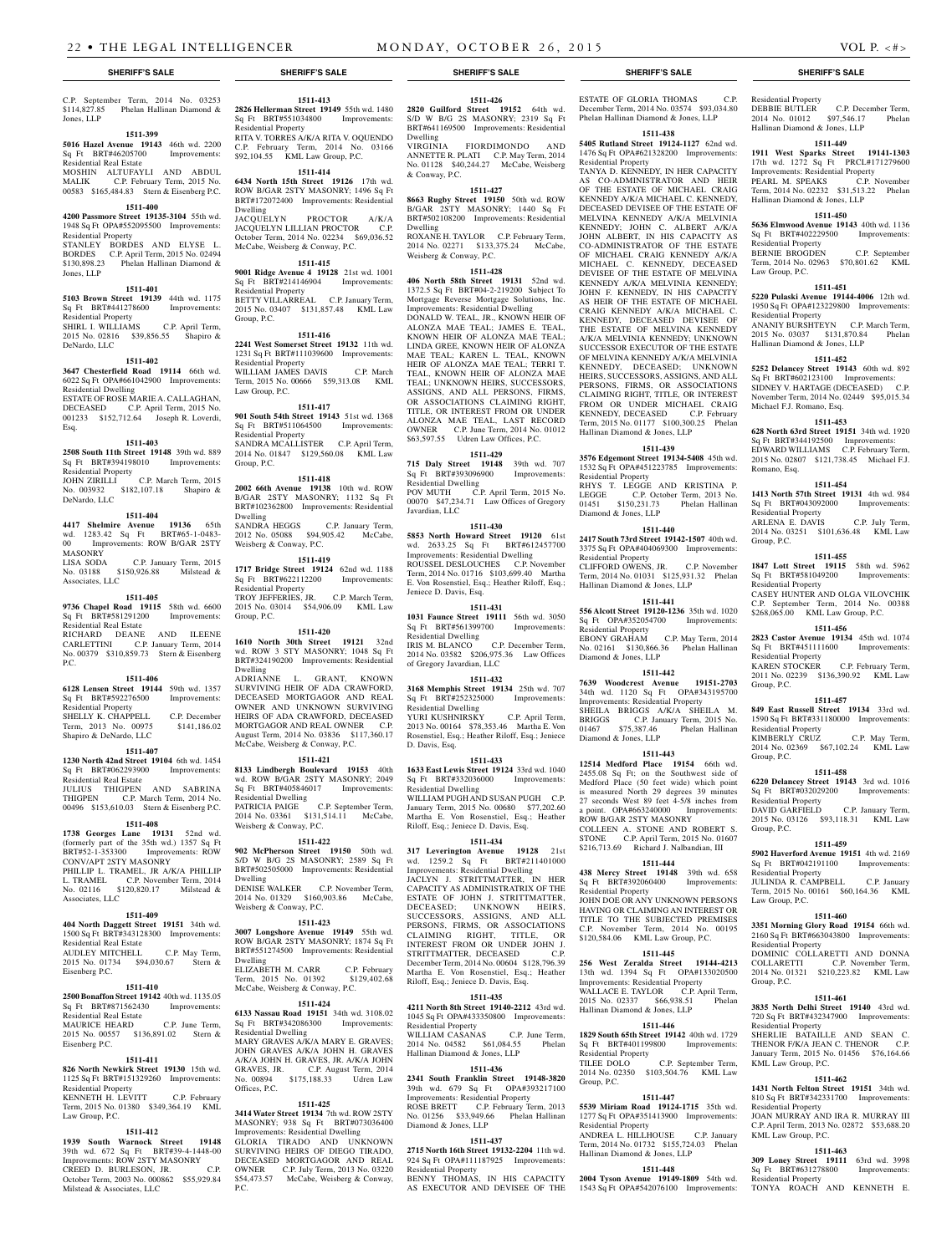C.P. September Term, 2014 No. 03253 \$114,827.85 Phelan Hallinan Diamond & Jones, LLP

## **1511-399**

**5016 Hazel Avenue 19143** 46th wd. 2200 Sq Ft BRT#46205700 Improvements:

Residential Real Estate MOSHIN ALTUFAYLI AND ABDUL

MALIK C.P. February Term, 2015 No. 00583 \$165,484.83 Stern & Eisenberg P.C.

## **1511-400**

**4200 Passmore Street 19135-3104** 55th wd. 1948 Sq Ft OPA#552095500 Improvements: Residential Property STANLEY BORDES AND ELYSE L. BORDES C.P. April Term, 2015 No. 02494

\$130,898.23 Phelan Hallinan Diamond & Jones, LLP **1511-401**

**5103 Brown Street 19139** 44th wd. 1175 Sq Ft BRT#441278600 Improvements: Residential Property SHIRL I. WILLIAMS C.P. April Term, 2015 No. 02816 \$39,856.55 Shapiro & DeNardo, LLC

#### **1511-402**

**3647 Chesterfield Road 19114** 66th wd. 6022 Sq Ft OPA#661042900 Improvements: Residential Dwelling ESTATE OF ROSE MARIE A. CALLAGHAN, DECEASED C.P. April Term, 2015 No. 001233 \$152,712.64 Joseph R. Loverdi, Esq.

## **1511-403**

**2508 South 11th Street 19148** 39th wd. 889 Sq Ft BRT#394198010 Improvements: Residential Property JOHN ZIRILLI C.P. March Term, 2015 No. 003932 \$182,107.18 Shapiro &

DeNardo, LLC

## **1511-404**

**4417 Shelmire Avenue 19136** 65th wd. 1283.42 Sq Ft BRT#65-1-0483- 00 Improvements: ROW B/GAR 2STY<br>MASONRY MASONRY LISA SODA C.P. January Term, 2015

No. 03188 \$150,926.88 Milstead & Associates, LLC

#### **1511-405**

**9736 Chapel Road 19115** 58th wd. 6600 Sq Ft BRT#581291200 Improvements: Residential Real Estate RICHARD DEANE AND ILEENE CARLETTINI C.P. January Term, 2014 No. 00379 \$310,859.73 Stern & Eisenberg P.C.

## **1511-406**

**6128 Lensen Street 19144** 59th wd. 1357 Sq Ft BRT#592276500 Improvements: Residential Property SHELLY K. CHAPPELL C.P. December Term, 2013 No. 00975 \$141,186.02

## Shapiro & DeNardo, LLC

**1511-407**

**1230 North 42nd Street 19104** 6th wd. 1454 Sq Ft BRT#062293900 Improvements: Residential Real Estate JULIUS THIGPEN AND SABRINA

THIGPEN C.P. March Term, 2014 No. 00496 \$153,610.03 Stern & Eisenberg P.C.

## **1511-408**

**1738 Georges Lane 19131** 52nd wd. (formerly part of the 35th wd.) 1357 Sq Ft BRT#52-1-353300 Improvements: ROW CONV/APT 2STY MASONRY PHILLIP L. TRAMEL, JR A/K/A PHILLIP L. TRAMEL C.P. November Term, 2014 No. 02116 \$120,820.17 Milstead & Associates, LLC

## **1511-409**

**404 North Daggett Street 19151** 34th wd. 1500 Sq Ft BRT#343128300 Improvements: Residential Real Estate AUDLEY MITCHELL C.P. May Term, 2015 No. 01734 \$94,030.67 Stern & Eisenberg P.C.

## **1511-410**

**2500 Bonaffon Street 19142** 40th wd. 1135.05 Sq Ft BRT#871562430 Improvements:

Residential Real Estate<br>MAURICE HEARD C.P. June Term, 2015 No. 00557 \$136,891.02 Stern &

## **1511-411**

Eisenberg P.C.

**826 North Newkirk Street 19130** 15th wd. 1125 Sq Ft BRT#151329260 Improvements: Residential Property KENNETH H. LEVITT C.P. February Term, 2015 No. 01380 \$349,364.19 KML Law Group, P.C.

## **1511-412**

**1939 South Warnock Street 19148**  39th wd. 672 Sq Ft BRT#39-4-1448-00 Improvements: ROW 2STY MASONRY CREED D. BURLESON, JR. C.P. October Term, 2003 No. 000862 \$55,929.84 Milstead & Associates, LLC

## **1511-413 2826 Hellerman Street 19149** 55th wd. 1480

Sq Ft BRT#551034800 Improvements: Residential Property RITA V. TORRES A/K/A RITA V. OQUENDO C.P. February Term, 2014 No. 03166 \$92,104.55 KML Law Group, P.C. **1511-414**

**6434 North 15th Street 19126** 17th wd. ROW B/GAR 2STY MASONRY; 1496 Sq Ft BRT#172072400 Improvements: Residential Dwelling JACQUELYN PROCTOR A/K/A JACQUELYN LILLIAN PROCTOR C.P.

October Term, 2014 No. 02234 \$69,036.52 McCabe, Weisberg & Conway, P.C. **1511-415**

**9001 Ridge Avenue 4 19128** 21st wd. 1001 Sq Ft BRT#214146904 Improvements: Residential Property BETTY VILLARREAL C.P. January Term, 2015 No. 03407 \$131,857.48 KML Law Group, P.C.

## **1511-416**

**2241 West Somerset Street 19132** 11th wd. 1231 Sq Ft BRT#111039600 Improvements: Residential Property WILLIAM JAMES DAVIS C.P. March Term, 2015 No. 00666 \$59,313.08 KML Law Group, P.C.

## **1511-417**

**901 South 54th Street 19143** 51st wd. 1368 Sq Ft BRT#511064500 Improvements: Residential Property SANDRA MCALLISTER C.P. April Term, 2014 No. 01847 \$129,560.08 KML Law Group, P.C.

### **1511-418**

**2002 66th Avenue 19138** 10th wd. ROW B/GAR 2STY MASONRY; 1132 Sq Ft BRT#102362800 Improvements: Residential Dwelling<br>SANDRA HEGGS C.P. January Term, 2012 No. 05088 \$94,905.42 McCabe, Weisberg & Conway, P.C.

**1511-419**

**1717 Bridge Street 19124** 62nd wd. 1188 Sq Ft BRT#622112200 Improvements: Residential Property TROY JEFFERIES, JR. C.P. March Term,

2015 No. 03014 \$54,906.09 KML Law Group, P.C.

## **1511-420**

**1610 North 30th Street 19121** 32nd wd. ROW 3 STY MASONRY; 1048 Sq Ft BRT#324190200 Improvements: Residential Dwelling ADRIANNE L. GRANT, KNOWN SURVIVING HEIR OF ADA CRAWFORD, DECEASED MORTGAGOR AND REAL OWNER AND UNKNOWN SURVIVING HEIRS OF ADA CRAWFORD, DECEASED MORTGAGOR AND REAL OWNER C.P. August Term, 2014 No. 03836 \$117,360.17 McCabe, Weisberg & Conway, P.C.

#### **1511-421**

**8133 Lindbergh Boulevard 19153** 40th wd. ROW B/GAR 2STY MASONRY; 2049 Sq Ft BRT#405846017 Improvements: Residential Dwelling PATRICIA PAIGE C.P. September Term, 2014 No. 03361 \$131,514.11 McCabe, Weisberg & Conway, P.C.

### **1511-422**

**902 McPherson Street 19150** 50th wd. S/D W B/G 2S MASONRY; 2589 Sq Ft BRT#502505000 Improvements: Residential Dwelling DENISE WALKER C.P. November Term, 2014 No. 01329 \$160,903.86 McCabe, Weisberg & Conway, P.C.

## **1511-423**

**3007 Longshore Avenue 19149** 55th wd. ROW B/GAR 2STY MASONRY; 1874 Sq Ft BRT#551274500 Improvements: Residential Dwelling ELIZABETH M. CARR C.P. February Term, 2015 No. 01392 \$129,402.68 McCabe, Weisberg & Conway, P.C.

## **1511-424**

**6133 Nassau Road 19151** 34th wd. 3108.02 Sq Ft BRT#342086300 Improvements: Residential Dwelling MARY GRAVES A/K/A MARY E. GRAVES; JOHN GRAVES A/K/A JOHN H. GRAVES A/K/A JOHN H. GRAVES, JR. A/K/A JOHN GRAVES, JR. C.P. August Term, 2014 C.P. August Term, 2014<br>
5,188.33 Udren Law No. 00894 \$175,188.33 Offices, P.C.

### **1511-425**

**3414 Water Street 19134** 7th wd. ROW 2STY MASONRY; 938 Sq Ft BRT#073036400 Improvements: Residential Dwelling GLORIA TIRADO AND UNKNOWN SURVIVING HEIRS OF DIEGO TIRADO, DECEASED MORTGAGOR AND REAL OWNER C.P. July Term, 2013 No. 03220 \$54,473.57 McCabe, Weisberg & Conway, P.C.

## **1511-426**

**2820 Guilford Street 19152** 64th wd. S/D W B/G 2S MASONRY; 2319 Sq Ft BRT#641169500 Improvements: Residential Dwelling

VIRGINIA FIORDIMONDO AND ANNETTE R. PLATI C.P. May Term, 2014 No. 01128 \$40,244.27 McCabe, Weisberg & Conway, P.C.

## **1511-427**

**8663 Rugby Street 19150** 50th wd. ROW B/GAR 2STY MASONRY; 1440 Sq Ft BRT#502108200 Improvements: Residential Dwelling

ROXANE H. TAYLOR C.P. February Term, 2014 No. 02271 \$133,375.24 McCabe, Weisberg & Conway, P.C.

## **1511-428**

**406 North 58th Street 19131** 52nd wd. 1372.5 Sq Ft BRT#04-2-219200 Subject To Mortgage Reverse Mortgage Solutions, Inc. Improvements: Residential Dwelling DONALD W. TEAL, JR., KNOWN HEIR OF ALONZA MAE TEAL; JAMES E. TEAL, KNOWN HEIR OF ALONZA MAE TEAL; LINDA GREE, KNOWN HEIR OF ALONZA MAE TEAL; KAREN L. TEAL, KNOWN HEIR OF ALONZA MAE TEAL; TERRI T. TEAL, KNOWN HEIR OF ALONZA MAE TEAL; UNKNOWN HEIRS, SUCCESSORS,

ASSIGNS, AND ALL PERSONS, FIRMS, OR ASSOCIATIONS CLAIMING RIGHT, TITLE, OR INTEREST FROM OR UNDER ALONZA MAE TEAL, LAST RECORD OWNER C.P. June Term, 2014 No. 01012 \$63,597.55 Udren Law Offices, P.C.

## **1511-429**

**715 Daly Street 19148** 39th wd. 707 Sq Ft BRT#393096900 Improvements: Residential Dwelling POV MUTH C.P. April Term, 2015 No. 00070 \$47,234.71 Law Offices of Gregory Javardian, LLC

#### **1511-430**

**5853 North Howard Street 19120** 61st wd. 2633.25 Sq Ft BRT#612457700 Improvements: Residential Dwelling ROUSSEL DESLOUCHES C.P. November Term, 2014 No. 01716 \$103,699.40 Martha E. Von Rosenstiel, Esq.; Heather Riloff, Esq.; Jeniece D. Davis, Esq.

#### **1511-431**

**1031 Faunce Street 19111** 56th wd. 3050<br>
Sq Ft BRT#561399700 Improvements: Sq Ft BRT#561399700 Improvements: Residential Dwelling IRIS M. BLANCO C.P. December Term, 2014 No. 03582 \$206,975.36 Law Offices of Gregory Javardian, LLC

## **1511-432**

**3168 Memphis Street 19134** 25th wd. 707 Sq Ft BRT#252325000 Improvements: Residential Dwelling YURI KUSHNIRSKY C.P. April Term,

## 2013 No. 00164 \$78,353.46 Martha E. Von Rosenstiel, Esq.; Heather Riloff, Esq.; Jeniece

D. Davis, Esq.

**1511-433 1633 East Lewis Street 19124** 33rd wd. 1040 Sq Ft BRT#332036000 Improvements: Residential Dwelling WILLIAM PUGH AND SUSAN PUGH C.P. January Term, 2015 No. 00680 \$77,202.60 Martha E. Von Rosenstiel, Esq.; Heather Riloff, Esq.; Jeniece D. Davis, Esq.

## **1511-434**

**317 Leverington Avenue 19128** 21st wd. 1259.2 Sq Ft BRT#211401000 Improvements: Residential Dwelling JACLYN J. STRITTMATTER, IN HER CAPACITY AS ADMINISTRATRIX OF THE

ESTATE OF JOHN J. STRITTMATTER, DECEASED; UNKNOWN HEIRS, SUCCESSORS, ASSIGNS, AND ALL PERSONS, FIRMS, OR ASSOCIATIONS CLAIMING RIGHT, TITLE, OR INTEREST FROM OR UNDER JOHN J. STRITTMATTER, DECEASED C.P. December Term, 2014 No. 00604 \$128,796.39 Martha E. Von Rosenstiel, Esq.; Heather Riloff, Esq.; Jeniece D. Davis, Esq.

### **1511-435**

**4211 North 8th Street 19140-2212** 43rd wd. 1045 Sq Ft OPA#433350800 Improvements: Residential Property WILLIAM CASANAS **1829 South 65th Street 19142** 40th wd. 1729

 $0.04582 861,084$ Hallinan Diamond & Jones, LLP

## **1511-436 2341 South Franklin Street 19148-3820**

39th wd. 679 Sq Ft OPA#393217100 Improvements: Residential Property ROSE BRETT C.P. February Term, 2013 No. 01256 \$33,949.66 Phelan Hallinan Diamond & Jones, LLP

### **1511-437**

**2715 North 16th Street 19132-2204** 11th wd. 924 Sq Ft OPA#111187925 Improvements Residential Property

BENNY THOMAS, IN HIS CAPACITY AS EXECUTOR AND DEVISEE OF THE

## **SHERIFF'S SALE SHERIFF'S SALE SHERIFF'S SALE SHERIFF'S SALE SHERIFF'S SALE**

ESTATE OF GLORIA THOMAS C.P. December Term, 2014 No. 03574 \$93,034.80 Phelan Hallinan Diamond & Jones, LLP

Residential Property

DEBBIE BUTLER C.P. December Term, 2014 No. 01012 \$97,546.17 Phelan

**1511-449 1911 West Sparks Street 19141-1303**  17th wd. 1272 Sq Ft PRCL#171279600 Improvements: Residential Property PEARL M. SPEAKS C.P. November Term, 2014 No. 02232 \$31,513.22 Phelan

**1511-450 5636 Elmwood Avenue 19143** 40th wd. 1136 Sq Ft BRT#402229500 Improvements:

BERNIE BROGDEN C.P. September Term, 2014 No. 02963 \$70,801.62 KML

**1511-451 5220 Pulaski Avenue 19144-4006** 12th wd. 1950 Sq Ft OPA#123229800 Improvements:

ANANIY BURSHTEYN C.P. March Term, 2015 No. 03037 \$131,870.84 Phelan

**1511-452 5252 Delancey Street 19143** 60th wd. 892 Sq Ft BRT#602123100 Improvements: SIDNEY V. HARTAGE (DECEASED) C.P. November Term, 2014 No. 02449 \$95,015.34

**1511-453 628 North 63rd Street 19151** 34th wd. 1920 Sq Ft BRT#344192500 Improvements: EDWARD WILLIAMS C.P. February Term, 2015 No. 02807 \$121,738.45 Michael F.J.

**1511-454 1413 North 57th Street 19131** 4th wd. 984 Sq Ft BRT#043092000 Improvements:

ARLENA E. DAVIS C.P. July Term, 2014 No. 03251 \$101,636.48 KML Law

**1511-455 1847 Lott Street 19115** 58th wd. 5962 Sq Ft BRT#581049200 Improvements:

CASEY HUNTER AND OLGA VILOVCHIK C.P. September Term, 2014 No. 00388 \$268,065.00 KML Law Group, P.C. **1511-456 2823 Castor Avenue 19134** 45th wd. 1074 Sq Ft BRT#451111600 Improvements:

KAREN STOCKER C.P. February Term, 2011 No. 02239 \$136,390.92 KML Law

**1511-457 849 East Russell Street 19134** 33rd wd. 1590 Sq Ft BRT#331180000 Improvements:

KIMBERLY CRUZ C.P. May Term, 2014 No. 02369 \$67,102.24 KML Law

**1511-458 6220 Delancey Street 19143** 3rd wd. 1016 Sq Ft BRT#032029200 Improvements:

DAVID GARFIELD C.P. January Term, 2015 No. 03126 \$93,118.31 KML Law

**1511-459 5902 Haverford Avenue 19151** 4th wd. 2169 Sq Ft BRT#042191100 Improvements:

JULINDA R. CAMPBELL C.P. January Term, 2015 No. 00161 \$60,164.36 KML

**1511-460 3351 Morning Glory Road 19154** 66th wd. 2160 Sq Ft BRT#663043800 Improvements:

DOMINIC COLLARETTI AND DONNA COLLARETTI C.P. November Term, 2014 No. 01321 \$210,223.82 KML Law

**1511-461 3835 North Delhi Street 19140** 43rd wd. 720 Sq Ft BRT#432347900 Improvements:

SHERLIE BATAILLE AND SEAN C.

January Term, 2015 No. 01456 \$76,164.66

**1511-462 1431 North Felton Street 19151** 34th wd. 810 Sq Ft BRT#342331700 Improvements:

JOAN MURRAY AND IRA R. MURRAY III C.P. April Term, 2013 No. 02872 \$53,688.20

**1511-463 309 Loney Street 19111** 63rd wd. 3998

TONYA ROACH AND KENNETH E.

Hallinan Diamond & Jones, LLP

Hallinan Diamond & Jones, LLP

Residential Property

Law Group, P.C.

Residential Property

Hallinan Diamond & Jones, LLP

Michael F.J. Romano, Esq.

Romano, Esq.

Residential Property

Residential Property

Residential Property

Residential Property

Residential Property

Residential Property

Residential Property

Residential Property

THENOR F/K/A JEAN O

KML Law Group, P.C.

Residential Property

KML Law Group, P.C.

Sq Ft BRT#631278800 Residential Property

Law Group, P.C.

Group, P.C.

Group, P.C.

Group, P.C.

Group, P.C.

Group, P.C.

## **1511-438**

Hallinan Diamond & Jones, LLP

Residential Property

Diamond & Jones, LLP

Residential Property

**1511-439 3576 Edgemont Street 19134-5408** 45th wd. 1532 Sq Ft OPA#451223785 Improvements:

RHYS T. LEGGE AND KRISTINA P. LEGGE C.P. October Term, 2013 No. 01451 \$150,231.73 Phelan Hallinan

**1511-440 2417 South 73rd Street 19142-1507** 40th wd. 3375 Sq Ft OPA#404069300 Improvements:

CLIFFORD OWENS, JR. C.P. November Term, 2014 No. 01031 \$125,931.32 Phelan

EBONY GRAHAM C.P. May Term, 2014 No. 02161 \$130,866.36 Phelan Hallinan

**1511-442 7639 Woodcrest Avenue 19151-2703**  34th wd. 1120 Sq Ft OPA#343195700 Improvements: Residential Property SHEILA BRIGGS A/K/A SHEILA M. BRIGGS C.P. January Term, 2015 No. 01467 \$75,387.46 Phelan Hallinan

**1511-443 12514 Medford Place 19154** 66th wd. 2455.08 Sq Ft; on the Southwest side of Medford Place (50 feet wide) which point is measured North 29 degrees 39 minutes 27 seconds West 89 feet 4-5/8 inches from a point. OPA#663240000 Improvements:

COLLEEN A. STONE AND ROBERT S. STONE C.P. April Term, 2015 No. 01607 \$216,713.69 Richard J. Nalbandian, III **1511-444 438 Mercy Street 19148** 39th wd. 658 Sq Ft BRT#392060400 Improvements:

JOHN DOE OR ANY UNKNOWN PERSONS HAVING OR CLAIMING AN INTEREST OR TITLE TO THE SUBJECTED PREMISES C.P. November Term, 2014 No. 00195 \$120,584.06 KML Law Group, P.C. **1511-445 256 West Zeralda Street 19144-4213**  13th wd. 1394 Sq Ft OPA#133020500 Improvements: Residential Property WALLACE E. TAYLOR C.P. April Term, 2015 No. 02337 \$66,938.51 Phelan

**1511-446**

Sq Ft BRT#401199800 Improvements:

TILEE DOLO C.P. September Term, 2014 No. 02350 \$103,504.76 KML Law

**1511-447 5539 Miriam Road 19124-1715** 35th wd. 1277 Sq Ft OPA#351413900 Improvements:

ANDREA L. HILLHOUSE C.P. January Term, 2014 No. 01732 \$155,724.03 Phelan

**1511-448 2004 Tyson Avenue 19149-1809** 54th wd. 1543 Sq Ft OPA#542076100 Improvements:

Hallinan Diamond & Jones, LLP **1511-441 556 Alcott Street 19120-1236** 35th wd. 1020

 $SQ$  Ft OPA#352054700 Residential Property

Diamond & Jones, LLP

Diamond & Jones, LLP

ROW B/GAR 2STY MASONRY

Hallinan Diamond & Jones, LLP

Residential Property

Residential Property

Hallinan Diamond & Jones, LLP

Group, P.C.

Residential Property

**5405 Rutland Street 19124-1127** 62nd wd. 1476 Sq Ft OPA#621328200 Improvements: Residential Property TANYA D. KENNEDY, IN HER CAPACITY

AS CO-ADMINISTRATOR AND HEIR OF THE ESTATE OF MICHAEL CRAIG KENNEDY A/K/A MICHAEL C. KENNEDY, DECEASED DEVISEE OF THE ESTATE OF MELVINA KENNEDY A/K/A MELVINIA KENNEDY; JOHN C. ALBERT A/K/A JOHN ALBERT, IN HIS CAPACITY AS CO-ADMINISTRATOR OF THE ESTATE OF MICHAEL CRAIG KENNEDY A/K/A MICHAEL C. KENNEDY, DECEASED DEVISEE OF THE ESTATE OF MELVINA KENNEDY A/K/A MELVINIA KENNEDY; JOHN F. KENNEDY, IN HIS CAPACITY AS HEIR OF THE ESTATE OF MICHAEL CRAIG KENNEDY A/K/A MICHAEL C. KENNEDY, DECEASED DEVISEE OF THE ESTATE OF MELVINA KENNEDY A/K/A MELVINIA KENNEDY; UNKNOWN SUCCESSOR EXECUTOR OF THE ESTATE OF MELVINA KENNEDY A/K/A MELVINIA KENNEDY, DECEASED; UNKNOWN HEIRS, SUCCESSORS, ASSIGNS, AND ALL PERSONS, FIRMS, OR ASSOCIATIONS CLAIMING RIGHT, TITLE, OR INTEREST FROM OR UNDER MICHAEL CRAIG KENNEDY, DECEASED C.P. February Term, 2015 No. 01177 \$100,300.25 Phelan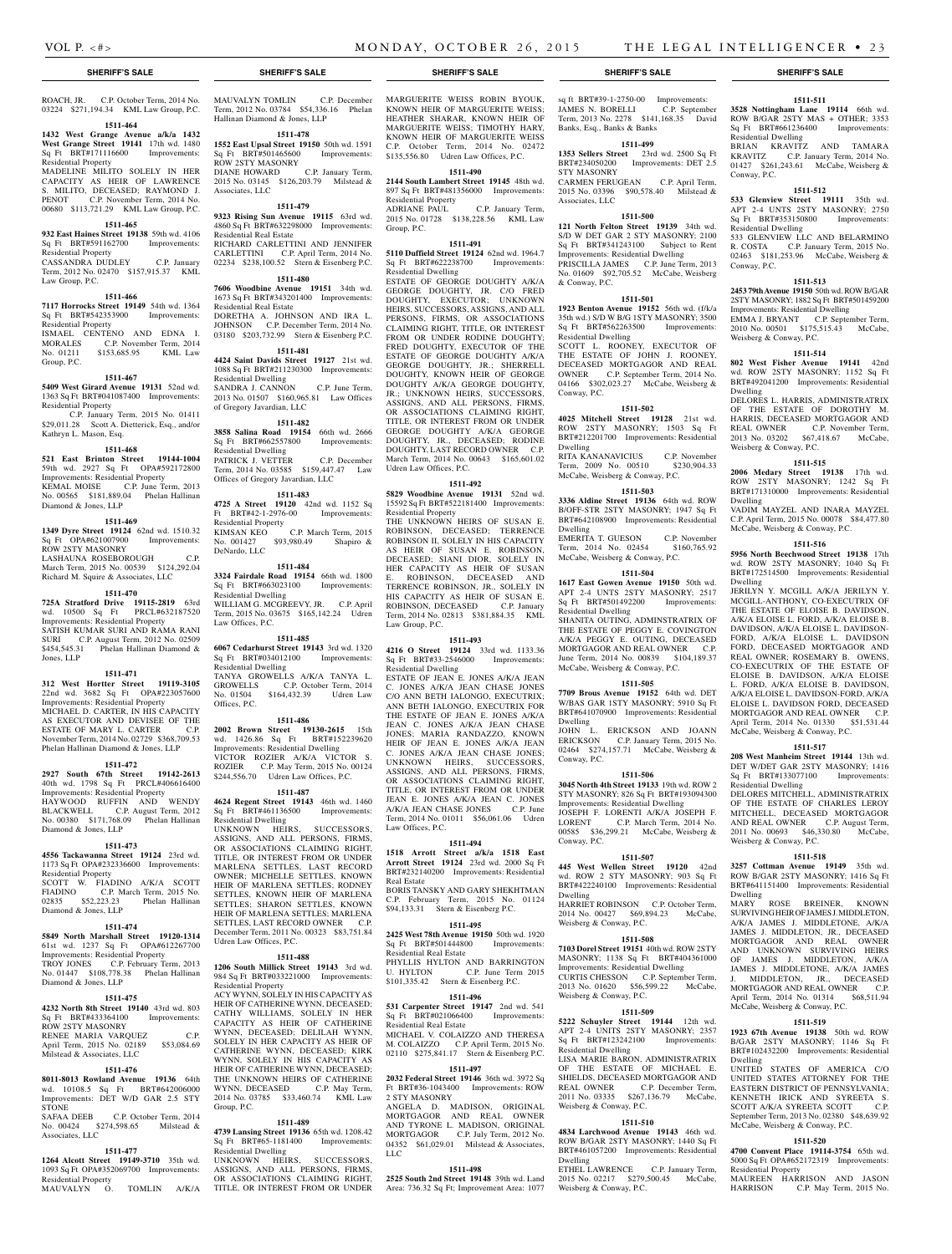### **SHERIFF'S SALE SHERIFF'S SALE SHERIFF'S SALE SHERIFF'S SALE SHERIFF'S SALE**

ROACH, JR. C.P. October Term, 2014 No. 03224 \$271,194.34 KML Law Group, P.C.

## **1511-464**

**1432 West Grange Avenue a/k/a 1432 West Grange Street 19141** 17th wd. 1480<br>Sq Ft BRT#171116600 Improvements:  $Sq$  Ft BRT#171116600 Residential Property

MADELINE MILITO SOLELY IN HER CAPACITY AS HEIR OF LAWRENCE S. MILITO, DECEASED; RAYMOND J. PENOT C.P. November Term, 2014 No. 00680 \$113,721.29 KML Law Group, P.C.

#### **1511-465**

**932 East Haines Street 19138** 59th wd. 4106 Sq Ft BRT#591162700 Improvements: Residential Property

CASSANDRA DUDLEY C.P. January Term, 2012 No. 02470 \$157,915.37 KML Law Group, P.C.

## **1511-466**

**7117 Horrocks Street 19149** 54th wd. 1364 Sq Ft BRT#542353900 Residential Property

ISMAEL CENTENO AND EDNA I. MORALES C.P. November Term, 2014 No. 01211 \$153,685.95 KML Law Group, P.C.

#### **1511-467**

**5409 West Girard Avenue 19131** 52nd wd. 1363 Sq Ft BRT#041087400 Improvements: Residential Property C.P. January Term, 2015 No. 01411

\$29,011.28 Scott A. Dietterick, Esq., and/or Kathryn L. Mason, Esq.

## **1511-468**

**521 East Brinton Street 19144-1004**  59th wd. 2927 Sq Ft OPA#592172800 Improvements: Residential Property KEMAL MOISE C.P. June Term, 2013 NEWAL MODE CALCULUS COMMENT POINT Diamond & Jones, LLP

## **1511-469**

**1349 Dyre Street 19124** 62nd wd. 1510.32 Sq Ft OPA#621007900 Improvements: ROW 2STY MASONRY LASHAUNA ROSEBOROUGH C.P. March Term, 2015 No. 00539 \$124,292.04

Richard M. Squire & Associates, LLC

## **1511-470**

**725A Stratford Drive 19115-2819** 63rd wd. 10500 Sq Ft PRCL#632187520 Improvements: Residential Property SATISH KUMAR SURI AND RAMA RANI SURI C.P. August Term, 2012 No. 02509 \$454,545.31 Phelan Hallinan Diamond & Jones, LLP

#### **1511-471**

**312 West Hortter Street 19119-3105**  22nd wd. 3682 Sq Ft OPA#223057600 Improvements: Residential Property MICHAEL D. CARTER, IN HIS CAPACITY AS EXECUTOR AND DEVISEE OF THE ESTATE OF MARY L. CARTER C.P. November Term, 2014 No. 02729 \$368,709.53 Phelan Hallinan Diamond & Jones, LLP

#### **1511-472**

**2927 South 67th Street 19142-2613**  40th wd. 1798 Sq Ft PRCL#406616400 Improvements: Residential Property HAYWOOD RUFFIN AND WENDY BLACKWELL C.P. August Term, 2012 No. 00380 \$171,768.09 Phelan Hallinan Diamond & Jones, LLP

#### **1511-473**

**4556 Tackawanna Street 19124** 23rd wd. 1173 Sq Ft OPA#232336600 Improvements: Residential Property

#### SCOTT W. FIADINO A/K/A SCOTT FIADINO C.P. March Term, 2015 No. 02835 \$52,223.23 Phelan Hallinan Diamond & Jones, LLP

**1511-474**

**5849 North Marshall Street 19120-1314**  61st wd. 1237 Sq Ft OPA#612267700 Improvements: Residential Property TROY JONES C.P. February Term, 2013 No. 01447 \$108,778.38 Phelan Hallinan Diamond & Jones, LLP

## **1511-475**

**4232 North 8th Street 19140** 43rd wd. 803 Sq Ft BRT#433364100 Improvements: ROW 2STY MASONRY RENEE MARIA VARQUEZ C.P. 2015 No. 02189 \$53,084.69 Milstead & Associates, LLC

## **1511-476**

**8011-8013 Rowland Avenue 19136** 64th wd. 10108.5 Sq Ft BRT#642006000 Improvements: DET W/D GAR 2.5 STY **STONE** 

SAFAA DEEB C.P. October Term, 2014 No. 00424 \$274,598.65 Milstead & Associates, LLC

## **1511-477**

**1264 Alcott Street 19149-3710** 35th wd. 1093 Sq Ft OPA#352069700 Improvements: Residential Property

MAUVALYN O. TOMLIN A/K/A

MAUVALYN TOMLIN C.P. December Term, 2012 No. 03784 \$54,336.16 Phelan Hallinan Diamond & Jones, LLP

## **1511-478**

**1552 East Upsal Street 19150** 50th wd. 1591 Sq Ft BRT#501465600 Improvements: ROW 2STY MASONRY DIANE HOWARD C.P. January Term, 2015 No. 03145 \$126,203.79 Milstead & Associates, LLC

## **1511-479**

**9323 Rising Sun Avenue 19115** 63rd wd. 4860 Sq Ft BRT#632298000 Improvements: Residential Real Estate RICHARD CARLETTINI AND JENNIFER CARLETTINI C.P. April Term, 2014 No. 02234 \$238,100.52 Stern & Eisenberg P.C.

## **1511-480**

**7606 Woodbine Avenue 19151** 34th wd. 1673 Sq Ft BRT#343201400 Improvements: Residential Real Estate

DORETHA A. JOHNSON AND IRA L. JOHNSON C.P. December Term, 2014 No. 03180 \$203,732.99 Stern & Eisenberg P.C.

#### **1511-481 4424 Saint Davids Street 19127** 21st wd.

1088 Sq Ft BRT#211230300 Improvements: Residential Dwelling SANDRA J. CANNON C.P. June Term, 2013 No. 01507 \$160,965.81 Law Offices of Gregory Javardian, LLC

## **1511-482**

**3858 Salina Road 19154** 66th wd. 2666 Sq Ft BRT#662557800 Improvements: Residential Dwelling

PATRICK J. VETTER C.P. December Term, 2014 No. 03585 \$159,447.47 Law Offices of Gregory Javardian, LLC

## **1511-483**

**4725 A Street 19120** 42nd wd. 1152 Sq<br>Ft BRT#42-1-2976-00 Improvements: Ft BRT#42-1-2976-00 Improvements: Residential Property KIMSAN KEO C.P. March Term, 2015 No. 001427 \$93,980.49 Shapiro & DeNardo, LLC

## **1511-484**

**3324 Fairdale Road 19154** 66th wd. 1800 Sq Ft BRT#663023100 Improvements: Residential Dwelling WILLIAM G. MCGREEVY, JR. C.P. April Term, 2015 No. 03675 \$165,142.24 Udren Law Offices, P.C.

## **1511-485**

**6067 Cedarhurst Street 19143** 3rd wd. 1320 Sq Ft BRT#034012100 Improvements: Residential Dwelling

TANYA GROWELLS A/K/A TANYA L. GROWELLS C.P. October Term, 2014 No. 01504 \$164,432.39 Udren Law Offices, P.C.

#### **1511-486**

**2002 Brown Street 19130-2615** 15th wd. 1426.86 Sq Ft BRT#152239620 Improvements: Residential Dwelling VICTOR ROZIER A/K/A VICTOR S. ROZIER C.P. May Term, 2015 No. 00124 \$244,556.70 Udren Law Offices, P.C.

#### **1511-487**

**4624 Regent Street 19143** 46th wd. 1460 Sq Ft BRT#461136500 Improvements: Residential Dwelling UNKNOWN HEIRS, SUCCESSORS, ASSIGNS, AND ALL PERSONS, FIRMS, OR ASSOCIATIONS CLAIMING RIGHT, TITLE, OR INTEREST FROM OR UNDER MARLENA SETTLES, LAST RECORD OWNER; MICHELLE SETTLES, KNOWN HEIR OF MARLENA SETTLES; RODNEY SETTLES, KNOWN HEIR OF MARLENA SETTLES; SHARON SETTLES, KNOWN HEIR OF MARLENA SETTLES; MARLENA SETTLES, LAST RECORD OWNER C.P. December Term, 2011 No. 00323 \$83,751.84 Udren Law Offices, P.C.

#### **1511-488**

**1206 South Millick Street 19143** 3rd wd. 984 Sq Ft BRT#033221000 Improvements: Residential Property

ACY WYNN, SOLELY IN HIS CAPACITY AS HEIR OF CATHERINE WYNN, DECEASED; CATHY WILLIAMS, SOLELY IN HER CAPACITY AS HEIR OF CATHERINE WYNN, DECEASED; DELILAH WYNN, SOLELY IN HER CAPACITY AS HEIR OF CATHERINE WYNN, DECEASED; KIRK WYNN, SOLELY IN HIS CAPACITY AS HEIR OF CATHERINE WYNN, DECEASED; THE UNKNOWN HEIRS OF CATHERINE WYNN, DECEASED C.P. May Term, 2014 No. 03785 \$33,460.74 KML Law Group, P.C.

### **1511-489**

**4739 Lansing Street 19136** 65th wd. 1208.42 Sq Ft BRT#65-1181400 Improvements: Residential Dwelling

UNKNOWN HEIRS, SUCCESSORS, ASSIGNS, AND ALL PERSONS, FIRMS, OR ASSOCIATIONS CLAIMING RIGHT, TITLE, OR INTEREST FROM OR UNDER MARGUERITE WEISS ROBIN BYOUK, KNOWN HEIR OF MARGUERITE WEISS; HEATHER SHARAR, KNOWN HEIR OF MARGUERITE WEISS; TIMOTHY HARY, KNOWN HEIR OF MARGUERITE WEISS C.P. October Term, 2014 No. 02472 \$135,556.80 Udren Law Offices, P.C.

#### **1511-490**

**2144 South Lambert Street 19145** 48th wd. 897 Sq Ft BRT#481356000 Improvements: Residential Property

ADRIANE PAUL C.P. January Term, 2015 No. 01728 \$138,228.56 KML Law Group, P.C.

## **1511-491**

**5110 Duffield Street 19124** 62nd wd. 1964.7 Sq Ft BRT#622238700 Improvements: Residential Dwelling

ESTATE OF GEORGE DOUGHTY A/K/A GEORGE DOUGHTY, JR. C/O FRED DOUGHTY, EXECUTOR; UNKNOWN HEIRS, SUCCESSORS, ASSIGNS, AND ALL PERSONS, FIRMS, OR ASSOCIATIONS CLAIMING RIGHT, TITLE, OR INTEREST FROM OR UNDER RODINE DOUGHTY; FRED DOUGHTY, EXECUTOR OF THE ESTATE OF GEORGE DOUGHTY A/K/A GEORGE DOUGHTY, JR.; SHERRELL DOUGHTY, KNOWN HEIR OF GEORGE DOUGHTY A/K/A GEORGE DOUGHTY, JR.; UNKNOWN HEIRS, SUCCESSORS, ASSIGNS, AND ALL PERSONS, FIRMS, OR ASSOCIATIONS CLAIMING RIGHT, TITLE, OR INTEREST FROM OR UNDER GEORGE DOUGHTY A/K/A GEORGE DOUGHTY, JR., DECEASED; RODINE DOUGHTY, LAST RECORD OWNER C.P. March Term, 2014 No. 00643 \$165,601.02 Udren Law Offices, P.C.

## **1511-492**

**5829 Woodbine Avenue 19131** 52nd wd. 15592 Sq Ft BRT#522181400 Improvements: Residential Property

THE UNKNOWN HEIRS OF SUSAN E. ROBINSON, DECEASED; TERRENCE ROBINSON II, SOLELY IN HIS CAPACITY AS HEIR OF SUSAN E. ROBINSON, DECEASED; SIANI DIOR, SOLELY IN HER CAPACITY AS HEIR OF SUSAN E. ROBINSON, DECEASED AND TERRENCE ROBINSON, JR., SOLELY IN HIS CAPACITY AS HEIR OF SUSAN E. ROBINSON, DECEASED C.P. January Term, 2014 No. 02813 \$381,884.35 KML Law Group, P.C.

## **1511-493**

**4216 O Street 19124** 33rd wd. 1133.36 Sq Ft BRT#33-2546000 Improvements: Residential Dwelling ESTATE OF JEAN E. JONES A/K/A JEAN C. JONES A/K/A JEAN CHASE JONES C/O ANN BETH IALONGO, EXECUTRIX; ANN BETH IALONGO, EXECUTRIX FOR THE ESTATE OF JEAN E. JONES A/K/A JEAN C. JONES A/K/A JEAN CHASE JONES; MARIA RANDAZZO, KNOWN HEIR OF JEAN E. JONES A/K/A JEAN C. JONES A/K/A JEAN CHASE JONES; UNKNOWN HEIRS, SUCCESSORS, ASSIGNS, AND ALL PERSONS, FIRMS, OR ASSOCIATIONS CLAIMING RIGHT, TITLE, OR INTEREST FROM OR UNDER JEAN E. JONES A/K/A JEAN C. JONES A/K/A JEAN CHASE JONES Term, 2014 No. 01011 \$56,061.06 Udren Law Offices, P.C.

## **1511-494**

**1518 Arrott Street a/k/a 1518 East Arrott Street 19124** 23rd wd. 2000 Sq Ft BRT#232140200 Improvements: Residential Real Estate

BORIS TANSKY AND GARY SHEKHTMAN C.P. February Term, 2015 No. 01124 \$94,133.31 Stern & Eisenberg P.C.

#### **1511-495**

**2425 West 78th Avenue 19150** 50th wd. 1920 Sq Ft BRT#501444800 Improvements: Residential Real Estate PHYLLIS HYLTON AND BARRINGTON<br>U. HYLTON C.P. June Term 2015 C.P. June Term 2015 \$101,335.42 Stern & Eisenberg P.C.

### **1511-496**

**531 Carpenter Street 19147** 2nd wd. 541 Sq Ft BRT#021066400 Improvements: Residential Real Estate MICHAEL V. COLAIZZO AND THERESA M. COLAIZZO C.P. April Term, 2015 N

02110 \$275,841.17 Stern & Eisenberg P.C.

## **1511-497**

**2032 Federal Street 19146** 36th wd. 3972 Sq Ft BRT#36-1043400 Improvements: ROW 2 STY MASONRY ANGELA D. MADISON, ORIGINAL MORTGAGOR AND REAL OWNER AND TYRONE L. MADISON, ORIGINAL MORTGAGOR C.P. July Term, 2012 No. 04352 \$61,029.01 Milstead & Associates, LLC

#### **1511-498**

**2525 South 2nd Street 19148** 39th wd. Land Area: 736.32 Sq Ft; Improvement Area: 1077

**1511-511 3528 Nottingham Lane 19114** 66th wd. ROW B/GAR 2STY MAS + OTHER; 3353 Sq Ft BRT#661236400 Improvements:

BRIAN KRAVITZ AND TAMARA KRAVITZ C.P. January Term, 2014 No. 01427 \$261,243.61 McCabe, Weisberg &

**1511-512 533 Glenview Street 19111** 35th wd. APT 2-4 UNTS 2STY MASONRY; 2750 Sq Ft BRT#353150800 Improvements:

533 GLENVIEW LLC AND BELARMINO R. COSTA C.P. January Term, 2015 No. 02463 \$181,253.96 McCabe, Weisberg &

**1511-513 2453 79th Avenue 19150** 50th wd. ROW B/GAR 2STY MASONRY; 1882 Sq Ft BRT#501459200 Improvements: Residential Dwelling EMMA J. BRYANT C.P. September Term, 2010 No. 00501 \$175,515.43 McCabe,

**1511-514 802 West Fisher Avenue 19141** 42nd wd. ROW 2STY MASONRY; 1152 Sq Ft BRT#492041200 Improvements: Residential

DELORES L. HARRIS, ADMINISTRATRIX OF THE ESTATE OF DOROTHY M. HARRIS, DECEASED MORTGAGOR AND REAL OWNER C.P. November Term, 2013 No. 03202 \$67,418.67 McCabe,

**1511-515 2006 Medary Street 19138** 17th wd. ROW 2STY MASONRY; 1242 Sq Ft BRT#171310000 Improvements: Residential

VADIM MAYZEL AND INARA MAYZEL C.P. April Term, 2015 No. 00078 \$84,477.80 McCabe, Weisberg & Conway, P.C. **1511-516 5956 North Beechwood Street 19138** 17th wd. ROW 2STY MASONRY; 1040 Sq Ft BRT#172514500 Improvements: Residential

JERILYN Y. MCGILL A/K/A JERILYN Y. MCGILL-ANTHONY, CO-EXECUTRIX OF THE ESTATE OF ELOISE B. DAVIDSON, A/K/A ELOISE L. FORD, A/K/A ELOISE B. DAVIDSON, A/K/A ELOISE L. DAVIDSON-FORD, A/K/A ELOISE L. DAVIDSON FORD, DECEASED MORTGAGOR AND REAL OWNER; ROSEMARY B. OWENS, CO-EXECUTRIX OF THE ESTATE OF ELOISE B. DAVIDSON, A/K/A ELOISE L. FORD, A/K/A ELOISE B. DAVIDSON, A/K/A ELOISE L. DAVIDSON-FORD, A/K/A ELOISE L. DAVIDSON FORD, DECEASED MORTGAGOR AND REAL OWNER C.P. April Term, 2014 No. 01330 \$51,531.44 McCabe, Weisberg & Conway, P.C. **1511-517 208 West Manheim Street 19144** 13th wd. DET W/DET GAR 2STY MASONRY; 1416 Sq Ft BRT#133077100 Improvements:

DELORES MITCHELL, ADMINISTRATRIX OF THE ESTATE OF CHARLES LEROY MITCHELL, DECEASED MORTGAGOR AND REAL OWNER C.P. August Term, 2011 No. 00693 \$46,330.80 McCabe,

**1511-518 3257 Cottman Avenue 19149** 35th wd. ROW B/GAR 2STY MASONRY; 1416 Sq Ft BRT#641151400 Improvements: Residential

MARY ROSE BREINER, KNOWN SURVIVING HEIR OF JAMES J. MIDDLETON, A/K/A JAMES J. MIDDLETONE, A/K/A JAMES J. MIDDLETON, JR., DECEASED MORTGAGOR AND REAL OWNER AND UNKNOWN SURVIVING HEIRS OF JAMES J. MIDDLETON, A/K/A JAMES J. MIDDLETONE, A/K/A JAMES J. MIDDLETON, JR., DECEASED MORTGAGOR AND REAL OWNER C.P. April Term, 2014 No. 01314 \$68,511.94

UNITED STATES OF AMERICA C/O UNITED STATES ATTORNEY FOR THE EASTERN DISTRICT OF PENNSYLVANIA; KENNETH IRICK AND SYREETA S.<br>SCOTT A/K/A SYREETA SCOTT C P SCOTT A/K/A SYREETA SCOTT September Term, 2013 No. 02380 \$48,639.92 McCabe, Weisberg & Conway, P.C. **1511-520 4700 Convent Place 19114-3754** 65th wd. 5000 Sq Ft OPA#652172319 Improvements:

MAUREEN HARRISON AND JASON<br>HARRISON C.P. May Term. 2015 No.

C.P. May Term, 2015 No.

McCabe, Weisberg & Conway, P.C. **1511-519 1923 67th Avenue 19138** 50th wd. ROW B/GAR 2STY MASONRY; 1146 Sq Ft BRT#102432200 Improvements: Residential

Residential Dwelling

Residential Dwelling

Weisberg & Conway, P.C.

Weisberg & Conway, P.C.

Conway, P.C.

Conway, P.C.

Dwelling

Dwelling

Dwelling

Residential Dwelling

Weisberg & Conway, P.C.

Dwelling

Dwelling

Residential Property

sq ft BRT#39-1-2750-00 Improvements: JAMES N. BORELLI C.P. September Term, 2013 No. 2278 \$141,168.35 David Banks, Esq., Banks & Banks

## **1511-499**

**1353 Sellers Street** 23rd wd. 2500 Sq Ft BRT#234050200 Improvements: DET 2.5 STY MASONRY CARMEN FERUGEAN C.P. April Term, 2015 No. 03396 \$90,578.40 Milstead & Associates, LLC

#### **1511-500**

**121 North Felton Street 19139** 34th wd. S/D W DET GAR 2 STY MASONRY; 2100 Sq Ft BRT#341243100 Subject to Rent Improvements: Residential Dwelling PRISCILLA JAMES C.P. June Term, 2013 No. 01609 \$92,705.52 McCabe, Weisberg & Conway, P.C.

**1511-501 1923 Benton Avenue 19152** 56th wd. (f/k/a 35th wd.) S/D W B/G 1STY MASONRY; 3500<br>Sq Ft BRT#562263500 Improvements:

SCOTT L. ROONEY, EXECUTOR OF THE ESTATE OF JOHN J. ROONEY, DECEASED MORTGAGOR AND REAL OWNER C.P. September Term, 2014 No. 04166 \$302,023.27 McCabe, Weisberg &

**1511-502 4025 Mitchell Street 19128** 21st wd. ROW 2STY MASONRY; 1503 Sq Ft BRT#212201700 Improvements: Residential

RITA KANANAVICIUS C.P. November Term, 2009 No. 00510 \$230,904.33 McCabe, Weisberg & Conway, P.C. **1511-503 3336 Aldine Street 19136** 64th wd. ROW B/OFF-STR 2STY MASONRY; 1947 Sq Ft BRT#642108900 Improvements: Residential

EMERITA T. GUESON C.P. November Term, 2014 No. 02454 \$160,765.92 McCabe, Weisberg & Conway, P.C. **1511-504 1617 East Gowen Avenue 19150** 50th wd. APT 2-4 UNTS 2STY MASONRY; 2517 Sq Ft BRT#501492200 Improvements:

SHANITA OUTING, ADMINSTRATRIX OF THE ESTATE OF PEGGY E. COVINGTON A/K/A PEGGY E. OUTING, DECEASED MORTGAGOR AND REAL OWNER C.P. June Term, 2014 No. 00839 \$104,189.37 McCabe, Weisberg & Conway, P.C. **1511-505 7709 Brous Avenue 19152** 64th wd. DET W/BAS GAR 1STY MASONRY; 5910 Sq Ft BRT#641070900 Improvements: Residential

JOHN L. ERICKSON AND JOANN ERICKSON C.P. January Term, 2015 No. 02464 \$274,157.71 McCabe, Weisberg &

**1511-506 3045 North 4th Street 19133** 19th wd. ROW 2 STY MASONRY; 826 Sq Ft BRT#193094300 Improvements: Residential Dwelling JOSEPH F. LORENTI A/K/A JOSEPH F. LORENT C.P. March Term, 2014 No. 00585 \$36,299.21 McCabe, Weisberg &

**1511-507 445 West Wellen Street 19120** 42nd wd. ROW 2 STY MASONRY; 903 Sq Ft BRT#422240100 Improvements: Residential

HARRIET ROBINSON C.P. October Term, 2014 No. 00427 \$69,894.23 McCabe,

**1511-508 7103 Dorel Street 19151** 40th wd. ROW 2STY MASONRY; 1138 Sq Ft BRT#404361000 Improvements: Residential Dwelling CURTIS CHESSON C.P. September Term, 2013 No. 01620 \$56,599.22 McCabe,

**1511-509 5222 Schuyler Street 19144** 12th wd. APT 2-4 UNITS 2STY MASONRY; 2357 Sq Ft BRT#123242100 Improvements:

LISA MARIE BARON, ADMINISTRATRIX OF THE ESTATE OF MICHAEL E. SHIELDS, DECEASED MORTGAGOR AND REAL OWNER C.P. December Term, 2011 No. 03335 \$267,136.79 McCabe,

**1511-510 4834 Larchwood Avenue 19143** 46th wd. ROW B/GAR 2STY MASONRY; 1440 Sq Ft BRT#461057200 Improvements: Residential

ETHEL LAWRENCE C.P. January Term. 2015 No. 02217 \$279,500.45 McCabe,

Sq Ft BRT#562263500 Residential Dwelling

Conway, P.C.

Dwelling

Dwelling

Dwelling

Conway, P.C.

Conway, P.C.

Dwelling

Weisberg & Conway, P.C.

Weisberg & Conway, P.C.

Residential Dwelling

Weisberg & Conway, P.C.

Weisberg & Conway, P.C.

Dwelling

Residential Dwelling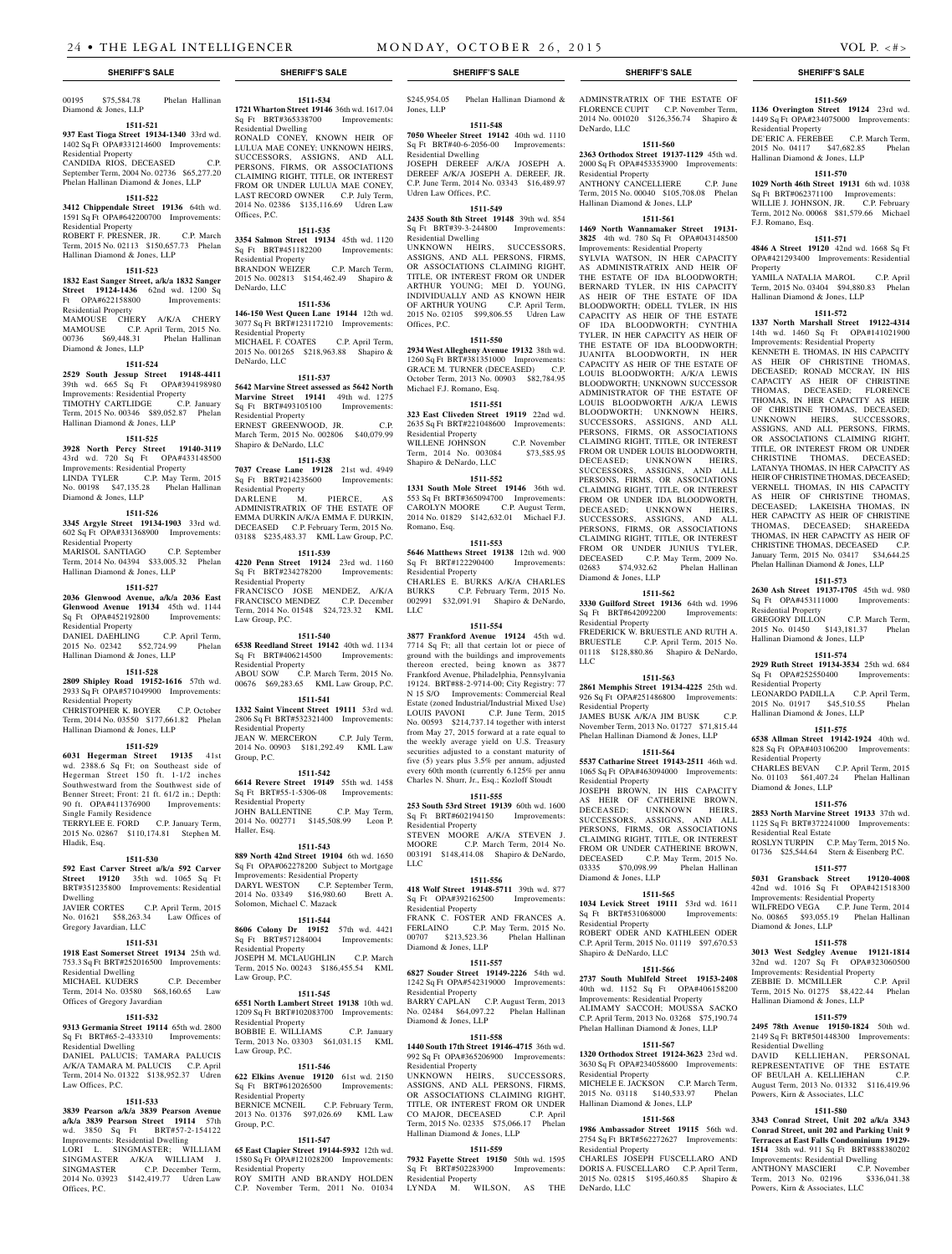Residential Dwelling

Offices, P.C.

Residential Property

Residential Property

Residential Property

Residential Property

Residential Property

Residential Property

Residential Property

Residential Property

Group, P.C.

Haller, Esq.

Law Group, P.C.

Shapiro & DeNardo, LLC

DeNardo, LLC

DeNardo, LLC

**1511-534 1721 Wharton Street 19146** 36th wd. 1617.04 Sq Ft BRT#365338700 Improvements:

RONALD CONEY, KNOWN HEIR OF LULUA MAE CONEY; UNKNOWN HEIRS, SUCCESSORS, ASSIGNS, AND ALL PERSONS, FIRMS, OR ASSOCIATIONS CLAIMING RIGHT, TITLE, OR INTEREST FROM OR UNDER LULUA MAE CONEY, LAST RECORD OWNER C.P. July Term, 2014 No. 02386 \$135,116.69 Udren Law

**1511-535 3354 Salmon Street 19134** 45th wd. 1120 Sq Ft BRT#451182200 Improvements:

BRANDON WEIZER C.P. March Term, 2015 No. 002813 \$154,462.49 Shapiro &

**1511-536 146-150 West Queen Lane 19144** 12th wd. 3077 Sq Ft BRT#123117210 Improvements:

MICHAEL F. COATES C.P. April Term, 2015 No. 001265 \$218,963.88 Shapiro &

**1511-537 5642 Marvine Street assessed as 5642 North Marvine Street 19141** 49th wd. 1275 Sq Ft BRT#493105100 Improvements:

ERNEST GREENWOOD, JR. C.P. March Term, 2015 No. 002806 \$40,079.99

**1511-538 7037 Crease Lane 19128** 21st wd. 4949 Sq Ft BRT#214235600 Improvements:

FRANCISCO JOSE MENDEZ, A/K/A FRANCISCO MENDEZ C.P. December Term, 2014 No. 01548 \$24,723.32 KML

**1511-540 6538 Reedland Street 19142** 40th wd. 1134 Sq Ft BRT#406214500 Improvements:

ABOU SOW C.P. March Term, 2015 No. 00676 \$69,283.65 KML Law Group, P.C. **1511-541 1332 Saint Vincent Street 19111** 53rd wd. 2806 Sq Ft BRT#532321400 Improvements:

JEAN W. MERCERON C.P. July Term, 2014 No. 00903 \$181,292.49 KML Law

**1511-542 6614 Revere Street 19149** 55th wd. 1458 Sq Ft BRT#55-1-5306-08 Improvements:

JOHN BALLENTINE C.P. May Term, 2014 No. 002771 \$145,508.99 Leon P.

**1511-543 889 North 42nd Street 19104** 6th wd. 1650 Sq Ft OPA#062278200 Subject to Mortgage Improvements: Residential Property DARYL WESTON C.P. September Term, 2014 No. 03349 \$16,980.60 Brett A.

**1511-544 8606 Colony Dr 19152** 57th wd. 4421 Sq Ft BRT#571284004 Improvements:

JOSEPH M. MCLAUGHLIN C.P. March Term, 2015 No. 00243 \$186,455.54 KML

**1511-545**

DARLENE M. PIERCE, ADMINISTRATRIX OF THE ESTATE OF EMMA DURKIN A/K/A EMMA F. DURKIN, DECEASED C.P. February Term, 2015 No. 03188 \$235,483.37 KML Law Group, P.C. **1511-539 4220 Penn Street 19124** 23rd wd. 1160 Sq Ft BRT#234278200 Improvements:

00195 \$75,584.78 Phelan Hallinan Diamond & Jones, LLP

#### **1511-521 937 East Tioga Street 19134-1340** 33rd wd. 1402 Sq Ft OPA#331214600 Improvements:

Residential Property CANDIDA RIOS, DECEASED September Term, 2004 No. 02736 \$65,277.20 Phelan Hallinan Diamond & Jones, LLP

## **1511-522**

**3412 Chippendale Street 19136** 64th wd. 1591 Sq Ft OPA#642200700 Improvements: Residential Property ROBERT F. PRESNER, JR. C.P. March Term, 2015 No. 02113 \$150,657.73 Phelan Hallinan Diamond & Jones, LLP

#### **1511-523**

**1832 East Sanger Street, a/k/a 1832 Sanger Street 19124-1436** 62nd wd. 1200 Sq Ft OPA#622158800 Improvements: Residential Property MAMOUSE CHERY A/K/A CHERY MAMOUSE C.P. April Term, 2015 No. 00736 \$69,448.31 Diamond & Jones, LLP

## **1511-524**

**2529 South Jessup Street 19148-4411**  39th wd. 665 Sq Ft OPA#394198980 Improvements: Residential Property TIMOTHY CARTLIDGE C.P. January Term, 2015 No. 00346 \$89,052.87 Phelan Hallinan Diamond & Jones, LLP

## **1511-525**

**3928 North Percy Street 19140-3119**  43rd wd. 720 Sq Ft OPA#433148500 Improvements: Residential Property LINDA TYLER C.P. May Term, 2015 No. 00198 \$47,135.28 Phelan Hallinan Diamond & Jones, LLP

### **1511-526**

**3345 Argyle Street 19134-1903** 33rd wd. 602 Sq Ft OPA#331368900 Improvements: Residential Property MARISOL SANTIAGO C.P. September Term, 2014 No. 04394 \$33,005.32 Phelan

Hallinan Diamond & Jones, LLP

## **1511-527**

**2036 Glenwood Avenue, a/k/a 2036 East Glenwood Avenue 19134** 45th wd. 1144 Sq Ft OPA#452192800 Improvements: Residential Property DANIEL DAEHLING C.P. April Term,<br>2015 No. 02342 \$52,724.99 Phelan 2015 No. 02342 \$52,724.99

## Hallinan Diamond & Jones, LLP

**1511-528 2809 Shipley Road 19152-1616** 57th wd.

### 2933 Sq Ft OPA#571049900 Improvements: Residential Property CHRISTOPHER K. BOYER C.P. October Term, 2014 No. 03550 \$177,661.82 Phelan

Hallinan Diamond & Jones, LLP **1511-529**

**6031 Hegerman Street 19135** 41st wd. 2388.6 Sq Ft; on Southeast side of Hegerman Street 150 ft. 1-1/2 inches Southwestward from the Southwest side of Benner Street; Front: 21 ft. 61/2 in.; Depth: 90 ft. OPA#411376900 Improvements: Single Family Residence TERRYLEE E. FORD C.P. January Term, 2015 No. 02867 \$110,174.81 Stephen M. Hladik, Esq.

#### **1511-530**

**592 East Carver Street a/k/a 592 Carver Street 19120** 35th wd. 1065 Sq Ft BRT#351235800 Improvements: Residential

Dwelling JAVIER CORTES C.P. April Term, 2015 No. 01621 \$58,263.34 Law Offices of Gregory Javardian, LLC

### **1511-531**

**1918 East Somerset Street 19134** 25th wd. 753.3 Sq Ft BRT#252016500 Improvements: Residential Dwelling MICHAEL KUDERS C.P. December

**1511-532**

A/K/A TAMARA M. PALUCIS C.P. April Term, 2014 No. 01322 \$138,952.37 Udren

**1511-533 3839 Pearson a/k/a 3839 Pearson Avenue a/k/a 3839 Pearson Street 19114** 57th wd. 3850 Sq Ft BRT#57-2-154122 Improvements: Residential Dwelling LORI L. SINGMASTER; WILLIAM SINGMASTER A/K/A WILLIAM J. SINGMASTER C.P. December Term, 2014 No. 03923 \$142,419.77 Udren Law

Residential Dwelling

Law Offices, P.C.

Offices, P.C.

## Term, 2014 No. 03580 \$68,160.65 Law Offices of Gregory Javardian Law Group, P.C.

**9313 Germania Street 19114** 65th wd. 2800 Sq Ft BRT#65-2-433310 Improvements: DANIEL PALUCIS; TAMARA PALUCIS **6551 North Lambert Street 19138** 10th wd. 1209 Sq Ft BRT#102083700 Improvements: Residential Property BOBBIE E. WILLIAMS C.P. January Term, 2013 No. 03303 \$61,031.15 KML Law Group, P.C.

Solomon, Michael C. Mazack

Residential Property

### **1511-546**

**622 Elkins Avenue 19120** 61st wd. 2150 Sq Ft BRT#612026500 Improvements: Residential Property BERNICE MCNEIL C.P. February Term, 2013 No. 01376 \$97,026.69 KML Law Group, P.C.

## **1511-547**

**65 East Clapier Street 19144-5932** 12th wd. 1580 Sq Ft OPA#121028200 Improvements: Residential Property

ROY SMITH AND BRANDY HOLDEN C.P. November Term, 2011 No. 01034

\$245,954.05 Phelan Hallinan Diamond & Jones, LLP

## **1511-548 7050 Wheeler Street 19142** 40th wd. 1110 Sq Ft BRT#40-6-2056-00 Improvements:

Residential Dwelling JOSEPH DEREEF A/K/A JOSEPH A. DEREEF A/K/A JOSEPH A. DEREEF, JR. C.P. June Term, 2014 No. 03343 \$16,489.97 Udren Law Offices, P.C.

## **1511-549**

**2435 South 8th Street 19148** 39th wd. 854 Sq Ft BRT#39-3-244800 Improvements: Residential Dwelling UNKNOWN HEIRS, SUCCESSORS,

ASSIGNS, AND ALL PERSONS, FIRMS, OR ASSOCIATIONS CLAIMING RIGHT, TITLE, OR INTEREST FROM OR UNDER ARTHUR YOUNG; MEI D. YOUNG, INDIVIDUALLY AND AS KNOWN HEIR OF ARTHUR YOUNG C.P. April Term, 2015 No. 02105 \$99,806.55 Udren Law Offices, P.C.

#### **1511-550**

**2934 West Allegheny Avenue 19132** 38th wd. 1260 Sq Ft BRT#381351000 Improvements: GRACE M. TURNER (DECEASED) C.P. October Term, 2013 No. 00903 \$82,784.95 Michael F.J. Romano, Esq.

### **1511-551**

**323 East Cliveden Street 19119** 22nd wd. 2635 Sq Ft BRT#221048600 Improvements: Residential Property WILLENE JOHNSON C.P. November<br>Term. 2014 No. 003084 \$73.585.95 Term, 2014 No. 003084 Shapiro & DeNardo, LLC

## **1511-552**

**1331 South Mole Street 19146** 36th wd. 553 Sq Ft BRT#365094700 Improvements: CAROLYN MOORE C.P. August Term, 2014 No. 01829 \$142,632.01 Michael F.J. Romano, Esq.

## **1511-553**

**5646 Matthews Street 19138** 12th wd. 900 Sq Ft BRT#122290400 Improvements: Residential Property

CHARLES E. BURKS A/K/A CHARLES BURKS C.P. February Term, 2015 No. 002991 \$32,091.91 Shapiro & DeNardo, LLC

## **1511-554**

**3877 Frankford Avenue 19124** 45th wd. 7714 Sq Ft; all that certain lot or piece of ground with the buildings and improvements thereon erected, being known as 3877 Frankford Avenue, Philadelphia, Pennsylvania 19124. BRT#88-2-9714-00; City Registry: 77 N 15 S/O Improvements: Commercial Real Estate (zoned Industrial/Industrial Mixed Use) LOUIS PAVONI C.P. June Term, 2015 No. 00593 \$214,737.14 together with interst from May 27, 2015 forward at a rate equal to the weekly average yield on U.S. Treasury securities adjusted to a constant maturity of five (5) years plus 3.5% per annum, adjusted every 60th month (currently 6.125% per annu Charles N. Shurr, Jr., Esq.; Kozloff Stoudt

#### **1511-555**

**253 South 53rd Street 19139** 60th wd. 1600 Sq Ft BRT#602194150 Improvements: Residential Property STEVEN MOORE A/K/A STEVEN J.

MOORE C.P. March Term, 2014 No. 003191 \$148,414.08 Shapiro & DeNardo, LLC

## **1511-556**

**418 Wolf Street 19148-5711** 39th wd. 877 Sq Ft OPA#392162500 Improvements: Residential Property FRANK C. FOSTER AND FRANCES A. FERLAINO C.P. May Term, 2015 No. 00707 \$213,523.36 Phelan Hallinan Diamond & Jones, LLP

## **1511-557**

**6827 Souder Street 19149-2226** 54th wd. 1242 Sq Ft OPA#542319000 Improvements: Residential Property BARRY CAPLAN C.P. August Term, 2013 No. 02484 \$64,097.22 Phelan Hallinan Diamond & Jones, LLP

## **1511-558**

**1440 South 17th Street 19146-4715** 36th wd. 992 Sq Ft OPA#365206900 Improvements: Residential Property

UNKNOWN HEIRS, SUCCESSORS, ASSIGNS, AND ALL PERSONS, FIRMS, OR ASSOCIATIONS CLAIMING RIGHT. TITLE, OR INTEREST FROM OR UNDER CO MAJOR, DECEASED C.P. April Term, 2015 No. 02335 \$75,066.17 Phelan Hallinan Diamond & Jones, LLP

## **1511-559**

**7932 Fayette Street 19150** 50th wd. 1595 Sq Ft BRT#502283900 Improvements: Residential Property

## LYNDA M. WILSON, AS THE

ADMINSTRATRIX OF THE ESTATE OF FLORENCE CUPIT C.P. November Term, 2014 No. 001020 \$126,356.74 Shapiro & DeNardo, LLC

## **1511-560**

**2363 Orthodox Street 19137-1129** 45th wd. 2000 Sq Ft OPA#453353900 Improvements: Residential Property

ANTHONY CANCELLIERE C.P. June Term, 2015 No. 00040 \$105,708.08 Phelan Hallinan Diamond & Jones, LLP

## **1511-561**

**1469 North Wannamaker Street 19131- 3825** 4th wd. 780 Sq Ft OPA#043148500 Improvements: Residential Property SYLVIA WATSON, IN HER CAPACITY

AS ADMINISTRATRIX AND HEIR OF THE ESTATE OF IDA BLOODWORTH; BERNARD TYLER, IN HIS CAPACITY AS HEIR OF THE ESTATE OF IDA BLOODWORTH; ODELL TYLER, IN HIS CAPACITY AS HEIR OF THE ESTATE OF IDA BLOODWORTH; CYNTHIA TYLER, IN HER CAPACITY AS HEIR OF THE ESTATE OF IDA BLOODWORTH; JUANITA BLOODWORTH, IN HER CAPACITY AS HEIR OF THE ESTATE OF LOUIS BLOODWORTH; A/K/A LEWIS BLOODWORTH; UNKNOWN SUCCESSOR ADMINISTRATOR OF THE ESTATE OF LOUIS BLOODWORTH A/K/A LEWIS BLOODWORTH; UNKNOWN HEIRS, SUCCESSORS, ASSIGNS, AND ALL PERSONS, FIRMS, OR ASSOCIATIONS CLAIMING RIGHT, TITLE, OR INTEREST FROM OR UNDER LOUIS BLOODWORTH. DECEASED; UNKNOWN HEIRS, SUCCESSORS, ASSIGNS, AND ALL PERSONS, FIRMS, OR ASSOCIATIONS CLAIMING RIGHT, TITLE, OR INTEREST FROM OR UNDER IDA BLOODWORTH, DECEASED; UNKNOWN HEIRS, SUCCESSORS, ASSIGNS, AND ALL PERSONS, FIRMS, OR ASSOCIATIONS CLAIMING RIGHT, TITLE, OR INTEREST FROM OR UNDER JUNIUS TYLER,<br>DECEASED C.P. May Term, 2009 No. C.P. May Term, 2009 No.<br>
932.62 Phelan Hallinan 02683 \$74,932.62 Diamond & Jones, LLP

### **1511-562**

**3330 Guilford Street 19136** 64th wd. 1996 Sq Ft BRT#642092200 Improvements: Residential Property FREDERICK W. BRUESTLE AND RUTH A. BRUESTLE C.P. April Term, 2015 No. 01118 \$128,880.86 Shapiro & DeNardo,

## **1511-563**

LLC

**2861 Memphis Street 19134-4225** 25th wd. 926 Sq Ft OPA#251486800 Improvements: Residential Property JAMES BUSK A/K/A JIM BUSK C.P. November Term, 2013 No. 01727 \$71,815.44 Phelan Hallinan Diamond & Jones, LLP

## **1511-564**

**5537 Catharine Street 19143-2511** 46th wd. 1065 Sq Ft OPA#463094000 Improvements: Residential Property JOSEPH BROWN, IN HIS CAPACITY AS HEIR OF CATHERINE BROWN, DECEASED; UNKNOWN HEIRS, SUCCESSORS, ASSIGNS, AND ALL PERSONS, FIRMS, OR ASSOCIATIONS CLAIMING RIGHT, TITLE, OR INTEREST FROM OR UNDER CATHERINE BROWN, DECEASED C.P. May Term, 2015 No. 03335 \$70,098.99 Phelan Hallinan Diamond & Jones, LLP

#### **1511-565**

**1034 Levick Street 19111** 53rd wd. 1611 Sq Ft BRT#531068000 Improvements: Residential Property ROBERT ODER AND KATHLEEN ODER C.P. April Term, 2015 No. 01119 \$97,670.53 Shapiro & DeNardo, LLC

### **1511-566**

**2737 South Muhlfeld Street 19153-2408**  40th wd. 1152 Sq Ft OPA#406158200 Improvements: Residential Property ALIMAMY SACCOH; MOUSSA SACKO C.P. April Term, 2013 No. 03268 \$75,190.74 Phelan Hallinan Diamond & Jones, LLP

#### **1511-567 1320 Orthodox Street 19124-3623** 23rd wd.

3630 Sq Ft OPA#234058600 Improvements: Residential Property MICHELE E. JACKSON C.P. March Term, 2015 No. 03118 \$140,533.97 Phelan

## Hallinan Diamond & Jones, LLP

**1511-568 1986 Ambassador Street 19115** 56th wd. 2754 Sq Ft BRT#562272627 Improvements: Residential Property CHARLES JOSEPH FUSCELLARO AND DORIS A. FUSCELLARO C.P. April Term, 2015 No. 02815 \$195,460.85 Shapiro & DeNardo, LLC

## **SHERIFF'S SALE SHERIFF'S SALE SHERIFF'S SALE SHERIFF'S SALE SHERIFF'S SALE**

#### **1511-569 1136 Overington Street 19124** 23rd wd.

1449 Sq Ft OPA#234075000 Improvements: Residential Property DE'ERIC A. FEREBEE C.P. March Term, 2015 No. 04117 \$47,682.85 Phelan Hallinan Diamond & Jones, LLP

## **1511-570**

**1029 North 46th Street 19131** 6th wd. 1038 Sq Ft BRT#062371100 Improvements: WILLIE J. JOHNSON, JR. C.P. February Term, 2012 No. 00068 \$81,579.66 Michael F.J. Romano, Esq.

### **1511-571**

**4846 A Street 19120** 42nd wd. 1668 Sq Ft OPA#421293400 Improvements: Residential Property

YAMILA NATALIA MAROL C.P. April Term, 2015 No. 03404 \$94,880.83 Phelan Hallinan Diamond & Jones, LLP

## **1511-572**

**1337 North Marshall Street 19122-4314**  14th wd. 1460 Sq Ft OPA#141021900 Improvements: Residential Property

KENNETH E. THOMAS, IN HIS CAPACITY AS HEIR OF CHRISTINE THOMAS, DECEASED; RONAD MCCRAY, IN HIS CAPACITY AS HEIR OF CHRISTINE THOMAS, DECEASED; FLORENCE THOMAS, IN HER CAPACITY AS HEIR OF CHRISTINE THOMAS, DECEASED; UNKNOWN HEIRS, SUCCESSORS, ASSIGNS, AND ALL PERSONS, FIRMS, OR ASSOCIATIONS CLAIMING RIGHT, TITLE, OR INTEREST FROM OR UNDER CHRISTINE THOMAS, DECEASED; LATANYA THOMAS, IN HER CAPACITY AS HEIR OF CHRISTINE THOMAS, DECEASED; VERNELL THOMAS, IN HIS CAPACITY AS HEIR OF CHRISTINE THOMAS, DECEASED; LAKEISHA THOMAS, IN HER CAPACITY AS HEIR OF CHRISTINE THOMAS, DECEASED; SHAREEDA THOMAS, IN HER CAPACITY AS HEIR OF CHRISTINE THOMAS, DECEASED C.P. January Term, 2015 No. 03417 \$34,644.25 Phelan Hallinan Diamond & Jones, LLP

**1511-573 2630 Ash Street 19137-1705** 45th wd. 980 Sq Ft OPA#453111000 Improvements:

GREGORY DILLON C.P. March Term,<br>2015 No. 01450 \$143,181.37 Phelan 2015 No. 01450 \$143,181.37 Hallinan Diamond & Jones, LLP

**1511-574 2929 Ruth Street 19134-3534** 25th wd. 684 Sq Ft OPA#252550400 Improvements:

LEONARDO PADILLA C.P. April Term, 2015 No. 01917 \$45,510.55 Phelan

**1511-575 6538 Allman Street 19142-1924** 40th wd. 828 Sq Ft OPA#403106200 Improvements:

CHARLES BEVAN C.P. April Term, 2015 No. 01103 \$61,407.24 Phelan Hallinan

**1511-576 2853 North Marvine Street 19133** 37th wd. 1125 Sq Ft BRT#372241000 Improvements:

ROSLYN TURPIN C.P. May Term, 2015 No. 01736 \$25,544.64 Stern & Eisenberg P.C. **1511-577 5031 Gransback Street 19120-4008**  42nd wd. 1016 Sq Ft OPA#421518300 Improvements: Residential Property WILFREDO VEGA C.P. June Term, 2014 No. 00865 \$93,055.19 Phelan Hallinan

**1511-578 3013 West Sedgley Avenue 19121-1814**  32nd wd. 1207 Sq Ft OPA#323060500 Improvements: Residential Property ZEBBIE D. MCMILLER C.P. April Term, 2015 No. 01275 \$8,422.44 Phelan

**1511-579 2495 78th Avenue 19150-1824** 50th wd. 2149 Sq Ft BRT#501448300 Improvements:

DAVID KELLIEHAN, PERSONAL REPRESENTATIVE OF THE ESTATE OF BEULAH A. KELLIEHAN C.P. August Term, 2013 No. 01332 \$116,419.96

**1511-580 3343 Conrad Street, Unit 202 a/k/a 3343 Conrad Street, unit 202 and Parking Unit 9 Terraces at East Falls Condominium 19129- 1514** 38th wd. 911 Sq Ft BRT#888380202 Improvements: Residential Dwelling ANTHONY MASCIERI C.P. November Term, 2013 No. 02196 \$336,041.38

Hallinan Diamond & Jones, LLP

Residential Property

Residential Property

Residential Property

Diamond & Jones, LLP

Residential Real Estate

Diamond & Jones, LLP

Residential Dwelling

Hallinan Diamond & Jones, LLP

Powers, Kirn & Associates, LLC

Powers, Kirn & Associates, LLC